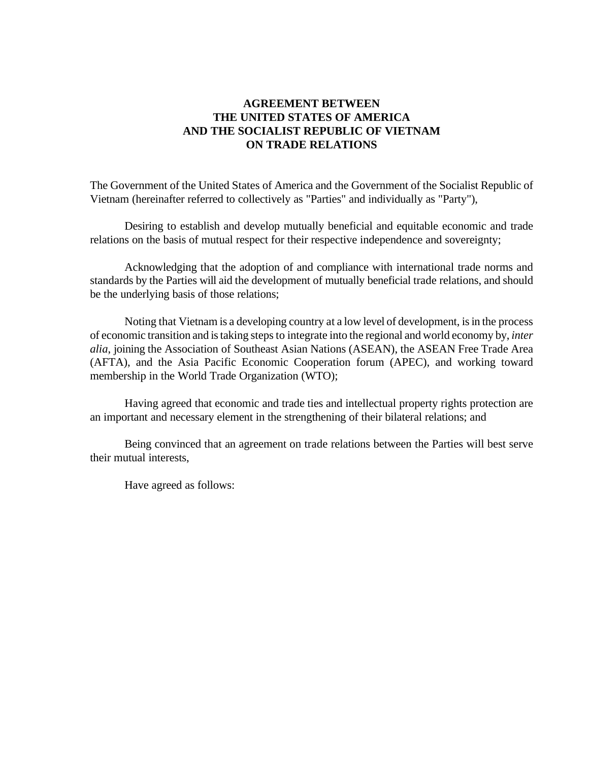## **AGREEMENT BETWEEN THE UNITED STATES OF AMERICA AND THE SOCIALIST REPUBLIC OF VIETNAM ON TRADE RELATIONS**

The Government of the United States of America and the Government of the Socialist Republic of Vietnam (hereinafter referred to collectively as "Parties" and individually as "Party"),

Desiring to establish and develop mutually beneficial and equitable economic and trade relations on the basis of mutual respect for their respective independence and sovereignty;

Acknowledging that the adoption of and compliance with international trade norms and standards by the Parties will aid the development of mutually beneficial trade relations, and should be the underlying basis of those relations;

Noting that Vietnam is a developing country at a low level of development, isin the process of economic transition and istaking stepsto integrate into the regional and world economy by, *inter alia*, joining the Association of Southeast Asian Nations (ASEAN), the ASEAN Free Trade Area (AFTA), and the Asia Pacific Economic Cooperation forum (APEC), and working toward membership in the World Trade Organization (WTO);

Having agreed that economic and trade ties and intellectual property rights protection are an important and necessary element in the strengthening of their bilateral relations; and

Being convinced that an agreement on trade relations between the Parties will best serve their mutual interests,

Have agreed as follows: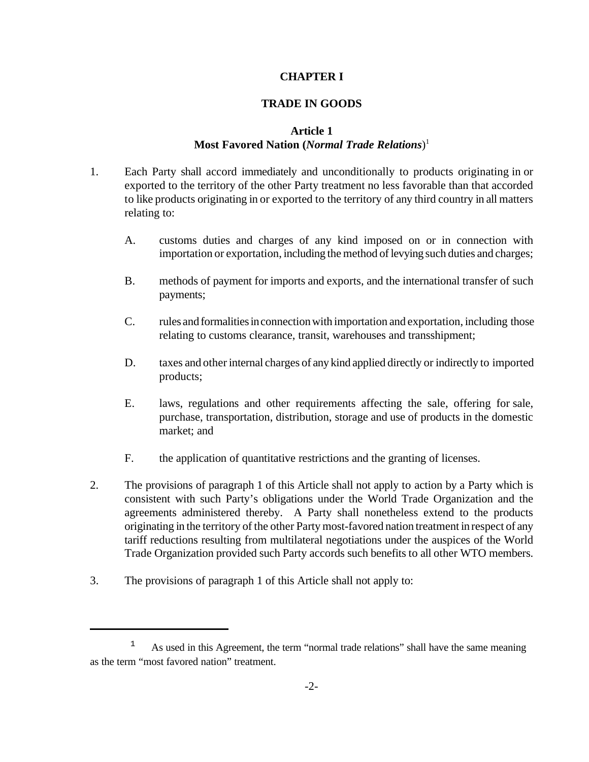#### **CHAPTER I**

#### **TRADE IN GOODS**

#### **Article 1 Most Favored Nation (***Normal Trade Relations*) 1

- 1. Each Party shall accord immediately and unconditionally to products originating in or exported to the territory of the other Party treatment no less favorable than that accorded to like products originating in or exported to the territory of any third country in all matters relating to:
	- A. customs duties and charges of any kind imposed on or in connection with importation or exportation, including the method of levying such duties and charges;
	- B. methods of payment for imports and exports, and the international transfer of such payments;
	- C. rules and formalities in connection with importation and exportation, including those relating to customs clearance, transit, warehouses and transshipment;
	- D. taxes and otherinternal charges of any kind applied directly or indirectly to imported products;
	- E. laws, regulations and other requirements affecting the sale, offering for sale, purchase, transportation, distribution, storage and use of products in the domestic market; and
	- F. the application of quantitative restrictions and the granting of licenses.
- 2. The provisions of paragraph 1 of this Article shall not apply to action by a Party which is consistent with such Party's obligations under the World Trade Organization and the agreements administered thereby. A Party shall nonetheless extend to the products originating in the territory of the other Party most-favored nation treatment in respect of any tariff reductions resulting from multilateral negotiations under the auspices of the World Trade Organization provided such Party accords such benefits to all other WTO members.
- 3. The provisions of paragraph 1 of this Article shall not apply to:

<sup>1</sup> As used in this Agreement, the term "normal trade relations" shall have the same meaning as the term "most favored nation" treatment.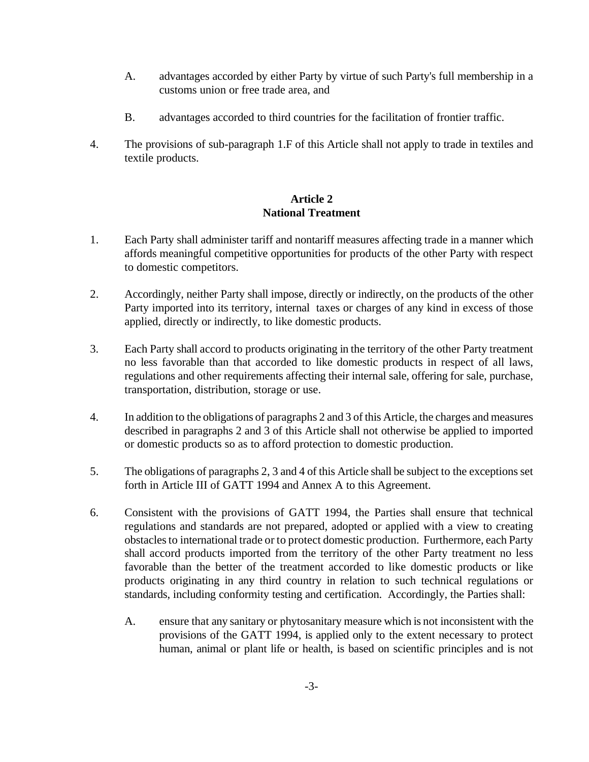- A. advantages accorded by either Party by virtue of such Party's full membership in a customs union or free trade area, and
- B. advantages accorded to third countries for the facilitation of frontier traffic.
- 4. The provisions of sub-paragraph 1.F of this Article shall not apply to trade in textiles and textile products.

#### **Article 2 National Treatment**

- 1. Each Party shall administer tariff and nontariff measures affecting trade in a manner which affords meaningful competitive opportunities for products of the other Party with respect to domestic competitors.
- 2. Accordingly, neither Party shall impose, directly or indirectly, on the products of the other Party imported into its territory, internal taxes or charges of any kind in excess of those applied, directly or indirectly, to like domestic products.
- 3. Each Party shall accord to products originating in the territory of the other Party treatment no less favorable than that accorded to like domestic products in respect of all laws, regulations and other requirements affecting their internal sale, offering for sale, purchase, transportation, distribution, storage or use.
- 4. In addition to the obligations of paragraphs 2 and 3 of this Article, the charges and measures described in paragraphs 2 and 3 of this Article shall not otherwise be applied to imported or domestic products so as to afford protection to domestic production.
- 5. The obligations of paragraphs 2, 3 and 4 of this Article shall be subject to the exceptions set forth in Article III of GATT 1994 and Annex A to this Agreement.
- 6. Consistent with the provisions of GATT 1994, the Parties shall ensure that technical regulations and standards are not prepared, adopted or applied with a view to creating obstaclesto international trade or to protect domestic production. Furthermore, each Party shall accord products imported from the territory of the other Party treatment no less favorable than the better of the treatment accorded to like domestic products or like products originating in any third country in relation to such technical regulations or standards, including conformity testing and certification. Accordingly, the Parties shall:
	- A. ensure that any sanitary or phytosanitary measure which is not inconsistent with the provisions of the GATT 1994, is applied only to the extent necessary to protect human, animal or plant life or health, is based on scientific principles and is not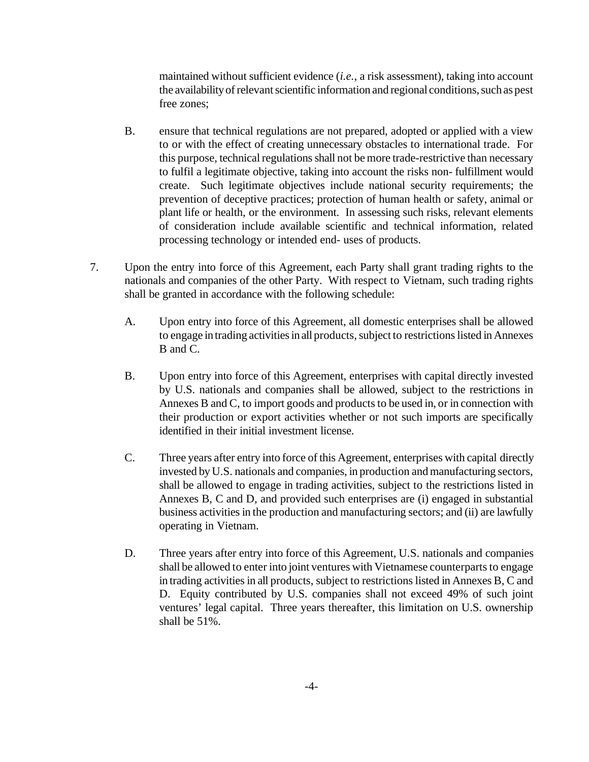maintained without sufficient evidence (*i.e.*, a risk assessment), taking into account the availability of relevant scientific information and regional conditions, such as pest free zones;

- B. ensure that technical regulations are not prepared, adopted or applied with a view to or with the effect of creating unnecessary obstacles to international trade. For this purpose, technical regulations shall not be more trade-restrictive than necessary to fulfil a legitimate objective, taking into account the risks non- fulfillment would create. Such legitimate objectives include national security requirements; the prevention of deceptive practices; protection of human health or safety, animal or plant life or health, or the environment. In assessing such risks, relevant elements of consideration include available scientific and technical information, related processing technology or intended end- uses of products.
- 7. Upon the entry into force of this Agreement, each Party shall grant trading rights to the nationals and companies of the other Party. With respect to Vietnam, such trading rights shall be granted in accordance with the following schedule:
	- A. Upon entry into force of this Agreement, all domestic enterprises shall be allowed to engage in trading activities in all products, subject to restrictions listed in Annexes B and C.
	- B. Upon entry into force of this Agreement, enterprises with capital directly invested by U.S. nationals and companies shall be allowed, subject to the restrictions in Annexes B and C, to import goods and products to be used in, or in connection with their production or export activities whether or not such imports are specifically identified in their initial investment license.
	- C. Three years after entry into force of this Agreement, enterprises with capital directly invested by U.S. nationals and companies, in production and manufacturing sectors, shall be allowed to engage in trading activities, subject to the restrictions listed in Annexes B, C and D, and provided such enterprises are (i) engaged in substantial business activities in the production and manufacturing sectors; and (ii) are lawfully operating in Vietnam.
	- D. Three years after entry into force of this Agreement, U.S. nationals and companies shall be allowed to enter into joint ventures with Vietnamese counterparts to engage in trading activities in all products, subject to restrictions listed in Annexes B, C and D. Equity contributed by U.S. companies shall not exceed 49% of such joint ventures' legal capital. Three years thereafter, this limitation on U.S. ownership shall be 51%.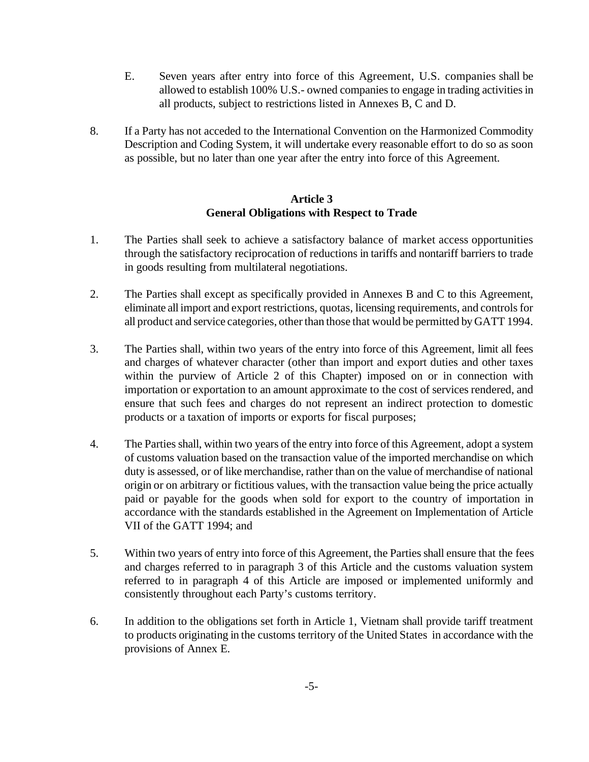- E. Seven years after entry into force of this Agreement, U.S. companies shall be allowed to establish 100% U.S.- owned companies to engage in trading activities in all products, subject to restrictions listed in Annexes B, C and D.
- 8. If a Party has not acceded to the International Convention on the Harmonized Commodity Description and Coding System, it will undertake every reasonable effort to do so as soon as possible, but no later than one year after the entry into force of this Agreement.

## **Article 3 General Obligations with Respect to Trade**

- 1. The Parties shall seek to achieve a satisfactory balance of market access opportunities through the satisfactory reciprocation of reductions in tariffs and nontariff barriers to trade in goods resulting from multilateral negotiations.
- 2. The Parties shall except as specifically provided in Annexes B and C to this Agreement, eliminate all import and export restrictions, quotas, licensing requirements, and controlsfor all product and service categories, otherthan those that would be permitted by GATT 1994.
- 3. The Parties shall, within two years of the entry into force of this Agreement, limit all fees and charges of whatever character (other than import and export duties and other taxes within the purview of Article 2 of this Chapter) imposed on or in connection with importation or exportation to an amount approximate to the cost of services rendered, and ensure that such fees and charges do not represent an indirect protection to domestic products or a taxation of imports or exports for fiscal purposes;
- 4. The Parties shall, within two years of the entry into force of this Agreement, adopt a system of customs valuation based on the transaction value of the imported merchandise on which duty is assessed, or of like merchandise, rather than on the value of merchandise of national origin or on arbitrary or fictitious values, with the transaction value being the price actually paid or payable for the goods when sold for export to the country of importation in accordance with the standards established in the Agreement on Implementation of Article VII of the GATT 1994; and
- 5. Within two years of entry into force of this Agreement, the Parties shall ensure that the fees and charges referred to in paragraph 3 of this Article and the customs valuation system referred to in paragraph 4 of this Article are imposed or implemented uniformly and consistently throughout each Party's customs territory.
- 6. In addition to the obligations set forth in Article 1, Vietnam shall provide tariff treatment to products originating in the customs territory of the United States in accordance with the provisions of Annex E.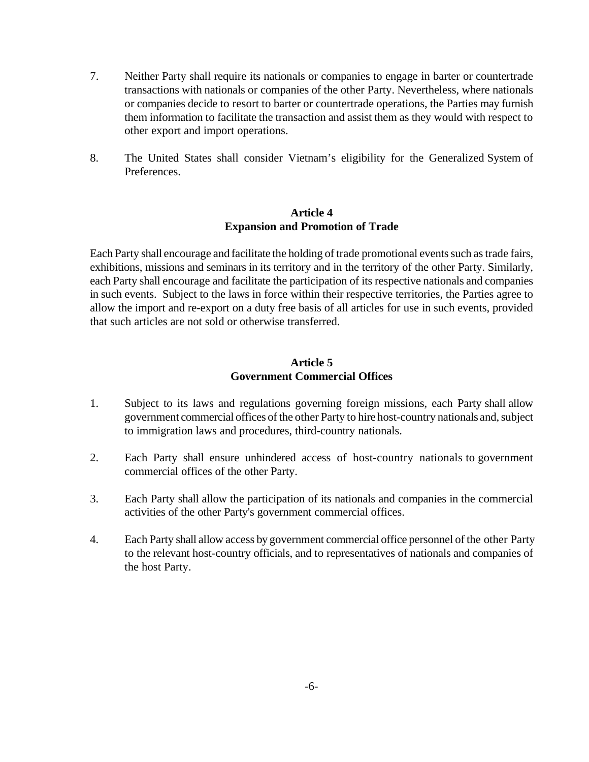- 7. Neither Party shall require its nationals or companies to engage in barter or countertrade transactions with nationals or companies of the other Party. Nevertheless, where nationals or companies decide to resort to barter or countertrade operations, the Parties may furnish them information to facilitate the transaction and assist them as they would with respect to other export and import operations.
- 8. The United States shall consider Vietnam's eligibility for the Generalized System of Preferences.

#### **Article 4 Expansion and Promotion of Trade**

Each Party shall encourage and facilitate the holding of trade promotional events such as trade fairs, exhibitions, missions and seminars in its territory and in the territory of the other Party. Similarly, each Party shall encourage and facilitate the participation of its respective nationals and companies in such events. Subject to the laws in force within their respective territories, the Parties agree to allow the import and re-export on a duty free basis of all articles for use in such events, provided that such articles are not sold or otherwise transferred.

## **Article 5 Government Commercial Offices**

- 1. Subject to its laws and regulations governing foreign missions, each Party shall allow government commercial offices of the other Party to hire host-country nationals and, subject to immigration laws and procedures, third-country nationals.
- 2. Each Party shall ensure unhindered access of host-country nationals to government commercial offices of the other Party.
- 3. Each Party shall allow the participation of its nationals and companies in the commercial activities of the other Party's government commercial offices.
- 4. Each Party shall allow access by government commercial office personnel of the other Party to the relevant host-country officials, and to representatives of nationals and companies of the host Party.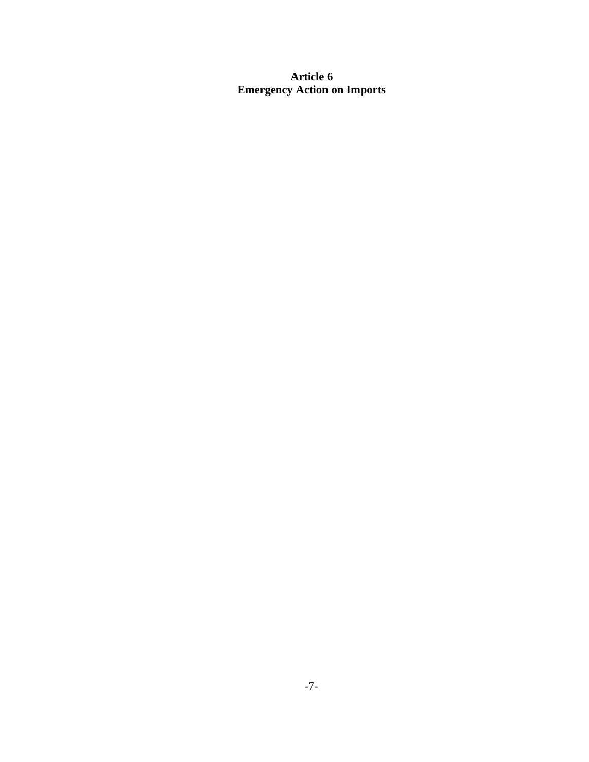## **Article 6 Emergency Action on Imports**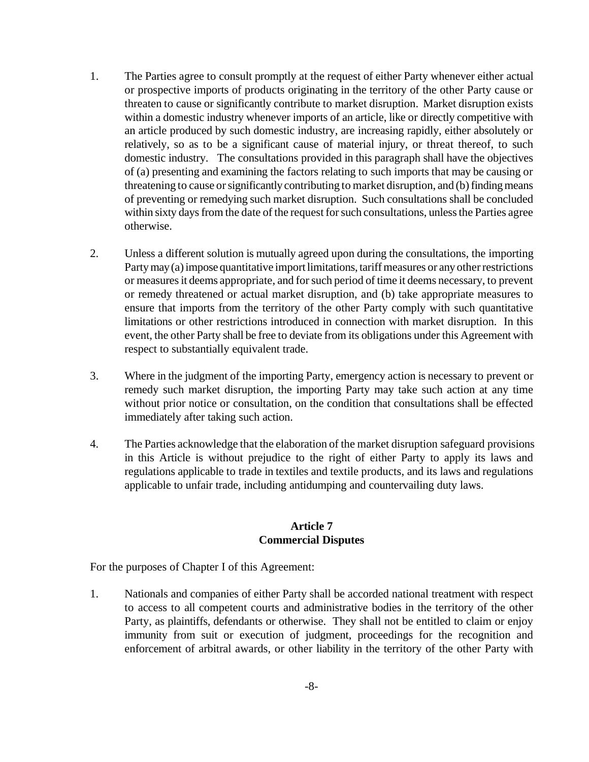- 1. The Parties agree to consult promptly at the request of either Party whenever either actual or prospective imports of products originating in the territory of the other Party cause or threaten to cause or significantly contribute to market disruption. Market disruption exists within a domestic industry whenever imports of an article, like or directly competitive with an article produced by such domestic industry, are increasing rapidly, either absolutely or relatively, so as to be a significant cause of material injury, or threat thereof, to such domestic industry. The consultations provided in this paragraph shall have the objectives of (a) presenting and examining the factors relating to such imports that may be causing or threatening to cause or significantly contributing to market disruption, and (b) finding means of preventing or remedying such market disruption. Such consultations shall be concluded within sixty days from the date of the request for such consultations, unless the Parties agree otherwise.
- 2. Unless a different solution is mutually agreed upon during the consultations, the importing Party may  $(a)$  impose quantitative import limitations, tariff measures or any other restrictions or measures it deems appropriate, and for such period of time it deems necessary, to prevent or remedy threatened or actual market disruption, and (b) take appropriate measures to ensure that imports from the territory of the other Party comply with such quantitative limitations or other restrictions introduced in connection with market disruption. In this event, the other Party shall be free to deviate from its obligations under this Agreement with respect to substantially equivalent trade.
- 3. Where in the judgment of the importing Party, emergency action is necessary to prevent or remedy such market disruption, the importing Party may take such action at any time without prior notice or consultation, on the condition that consultations shall be effected immediately after taking such action.
- 4. The Parties acknowledge that the elaboration of the market disruption safeguard provisions in this Article is without prejudice to the right of either Party to apply its laws and regulations applicable to trade in textiles and textile products, and its laws and regulations applicable to unfair trade, including antidumping and countervailing duty laws.

#### **Article 7 Commercial Disputes**

For the purposes of Chapter I of this Agreement:

1. Nationals and companies of either Party shall be accorded national treatment with respect to access to all competent courts and administrative bodies in the territory of the other Party, as plaintiffs, defendants or otherwise. They shall not be entitled to claim or enjoy immunity from suit or execution of judgment, proceedings for the recognition and enforcement of arbitral awards, or other liability in the territory of the other Party with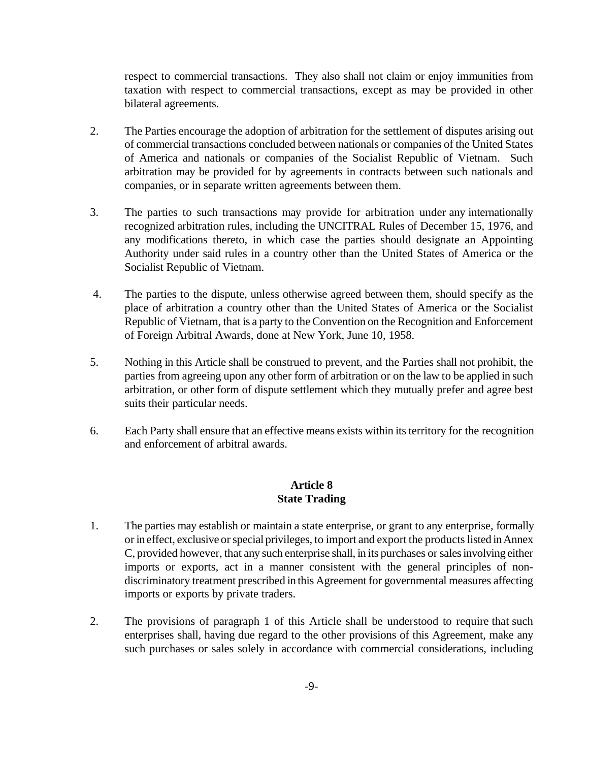respect to commercial transactions. They also shall not claim or enjoy immunities from taxation with respect to commercial transactions, except as may be provided in other bilateral agreements.

- 2. The Parties encourage the adoption of arbitration for the settlement of disputes arising out of commercial transactions concluded between nationals or companies of the United States of America and nationals or companies of the Socialist Republic of Vietnam. Such arbitration may be provided for by agreements in contracts between such nationals and companies, or in separate written agreements between them.
- 3. The parties to such transactions may provide for arbitration under any internationally recognized arbitration rules, including the UNCITRAL Rules of December 15, 1976, and any modifications thereto, in which case the parties should designate an Appointing Authority under said rules in a country other than the United States of America or the Socialist Republic of Vietnam.
- 4. The parties to the dispute, unless otherwise agreed between them, should specify as the place of arbitration a country other than the United States of America or the Socialist Republic of Vietnam, that is a party to the Convention on the Recognition and Enforcement of Foreign Arbitral Awards, done at New York, June 10, 1958.
- 5. Nothing in this Article shall be construed to prevent, and the Parties shall not prohibit, the parties from agreeing upon any other form of arbitration or on the law to be applied in such arbitration, or other form of dispute settlement which they mutually prefer and agree best suits their particular needs.
- 6. Each Party shall ensure that an effective means exists within itsterritory for the recognition and enforcement of arbitral awards.

## **Article 8 State Trading**

- 1. The parties may establish or maintain a state enterprise, or grant to any enterprise, formally or in effect, exclusive or special privileges, to import and export the products listed in Annex C, provided however, that any such enterprise shall, in its purchases orsalesinvolving either imports or exports, act in a manner consistent with the general principles of nondiscriminatory treatment prescribed in this Agreement for governmental measures affecting imports or exports by private traders.
- 2. The provisions of paragraph 1 of this Article shall be understood to require that such enterprises shall, having due regard to the other provisions of this Agreement, make any such purchases or sales solely in accordance with commercial considerations, including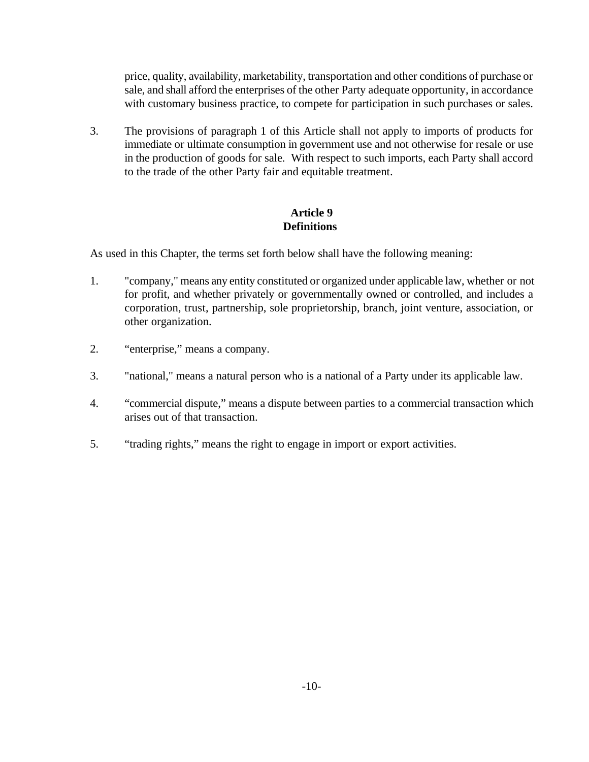price, quality, availability, marketability, transportation and other conditions of purchase or sale, and shall afford the enterprises of the other Party adequate opportunity, in accordance with customary business practice, to compete for participation in such purchases or sales.

3. The provisions of paragraph 1 of this Article shall not apply to imports of products for immediate or ultimate consumption in government use and not otherwise for resale or use in the production of goods for sale. With respect to such imports, each Party shall accord to the trade of the other Party fair and equitable treatment.

## **Article 9 Definitions**

As used in this Chapter, the terms set forth below shall have the following meaning:

- 1. "company," means any entity constituted or organized under applicable law, whether or not for profit, and whether privately or governmentally owned or controlled, and includes a corporation, trust, partnership, sole proprietorship, branch, joint venture, association, or other organization.
- 2. "enterprise," means a company.
- 3. "national," means a natural person who is a national of a Party under its applicable law.
- 4. "commercial dispute," means a dispute between parties to a commercial transaction which arises out of that transaction.
- 5. "trading rights," means the right to engage in import or export activities.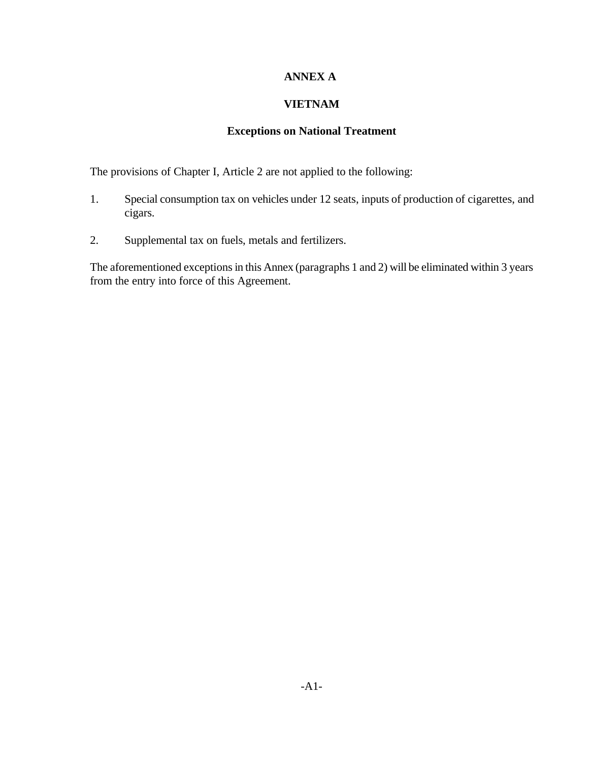## **ANNEX A**

#### **VIETNAM**

### **Exceptions on National Treatment**

The provisions of Chapter I, Article 2 are not applied to the following:

- 1. Special consumption tax on vehicles under 12 seats, inputs of production of cigarettes, and cigars.
- 2. Supplemental tax on fuels, metals and fertilizers.

The aforementioned exceptions in this Annex (paragraphs 1 and 2) will be eliminated within 3 years from the entry into force of this Agreement.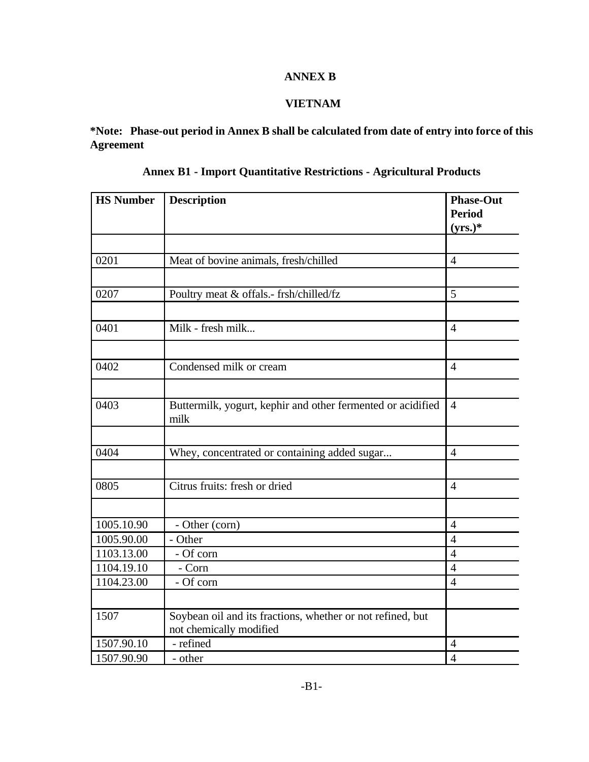## **ANNEX B**

## **VIETNAM**

## **\*Note: Phase-out period in Annex B shall be calculated from date of entry into force of this Agreement**

|  |  |  | <b>Annex B1 - Import Quantitative Restrictions - Agricultural Products</b> |  |  |
|--|--|--|----------------------------------------------------------------------------|--|--|
|--|--|--|----------------------------------------------------------------------------|--|--|

| <b>HS Number</b> | <b>Description</b>                                                                    | <b>Phase-Out</b><br><b>Period</b><br>$(yrs.)^*$ |
|------------------|---------------------------------------------------------------------------------------|-------------------------------------------------|
|                  |                                                                                       |                                                 |
| 0201             | Meat of bovine animals, fresh/chilled                                                 | $\overline{4}$                                  |
|                  |                                                                                       |                                                 |
| 0207             | Poultry meat & offals.- frsh/chilled/fz                                               | 5                                               |
|                  |                                                                                       |                                                 |
| 0401             | Milk - fresh milk                                                                     | $\overline{4}$                                  |
|                  |                                                                                       |                                                 |
| 0402             | Condensed milk or cream                                                               | $\overline{4}$                                  |
|                  |                                                                                       |                                                 |
| 0403             | Buttermilk, yogurt, kephir and other fermented or acidified<br>milk                   | $\overline{4}$                                  |
|                  |                                                                                       |                                                 |
| 0404             | Whey, concentrated or containing added sugar                                          | $\overline{4}$                                  |
|                  |                                                                                       |                                                 |
| 0805             | Citrus fruits: fresh or dried                                                         | $\overline{4}$                                  |
|                  |                                                                                       |                                                 |
| 1005.10.90       | - Other (corn)                                                                        | $\overline{4}$                                  |
| 1005.90.00       | - Other                                                                               | $\overline{4}$                                  |
| 1103.13.00       | - Of corn                                                                             | $\overline{4}$                                  |
| 1104.19.10       | - Corn                                                                                | $\overline{4}$                                  |
| 1104.23.00       | - Of corn                                                                             | $\overline{4}$                                  |
|                  |                                                                                       |                                                 |
| 1507             | Soybean oil and its fractions, whether or not refined, but<br>not chemically modified |                                                 |
| 1507.90.10       | - refined                                                                             | $\overline{4}$                                  |
| 1507.90.90       | - other                                                                               | $\overline{4}$                                  |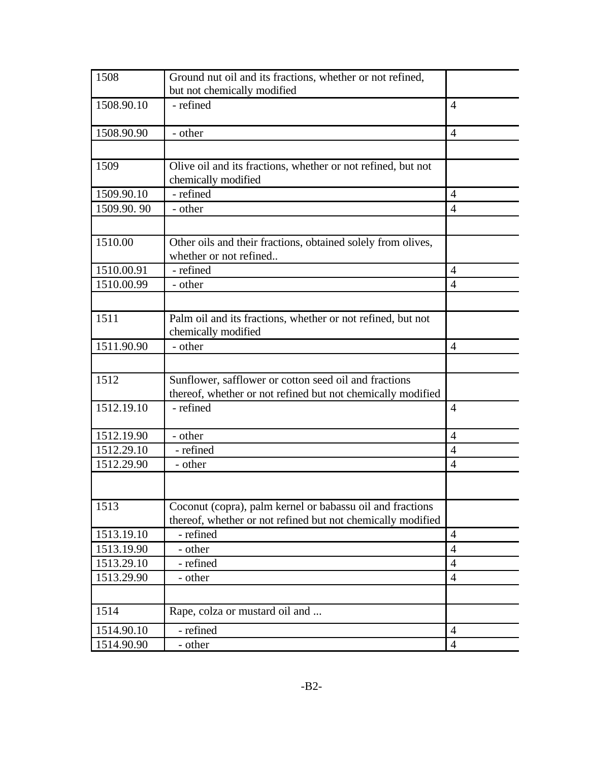| 1508       | Ground nut oil and its fractions, whether or not refined,                                                                |                |
|------------|--------------------------------------------------------------------------------------------------------------------------|----------------|
|            | but not chemically modified                                                                                              |                |
| 1508.90.10 | - refined                                                                                                                | $\overline{4}$ |
| 1508.90.90 | - other                                                                                                                  | $\overline{4}$ |
|            |                                                                                                                          |                |
| 1509       | Olive oil and its fractions, whether or not refined, but not<br>chemically modified                                      |                |
| 1509.90.10 | - refined                                                                                                                | $\overline{4}$ |
| 1509.90.90 | - other                                                                                                                  | $\overline{4}$ |
|            |                                                                                                                          |                |
| 1510.00    | Other oils and their fractions, obtained solely from olives,<br>whether or not refined                                   |                |
| 1510.00.91 | - refined                                                                                                                | $\overline{4}$ |
| 1510.00.99 | - other                                                                                                                  | $\overline{4}$ |
|            |                                                                                                                          |                |
| 1511       | Palm oil and its fractions, whether or not refined, but not<br>chemically modified                                       |                |
| 1511.90.90 | - other                                                                                                                  | $\overline{4}$ |
|            |                                                                                                                          |                |
| 1512       | Sunflower, safflower or cotton seed oil and fractions<br>thereof, whether or not refined but not chemically modified     |                |
| 1512.19.10 | - refined                                                                                                                | $\overline{4}$ |
| 1512.19.90 | - other                                                                                                                  | $\overline{4}$ |
| 1512.29.10 | - refined                                                                                                                | $\overline{4}$ |
| 1512.29.90 | - other                                                                                                                  | $\overline{4}$ |
|            |                                                                                                                          |                |
| 1513       | Coconut (copra), palm kernel or babassu oil and fractions<br>thereof, whether or not refined but not chemically modified |                |
| 1513.19.10 | - refined                                                                                                                | $\overline{4}$ |
| 1513.19.90 | - other                                                                                                                  | $\overline{4}$ |
| 1513.29.10 | - refined                                                                                                                | $\overline{4}$ |
| 1513.29.90 | - other                                                                                                                  | $\overline{4}$ |
|            |                                                                                                                          |                |
| 1514       | Rape, colza or mustard oil and                                                                                           |                |
| 1514.90.10 | - refined                                                                                                                | $\overline{4}$ |
| 1514.90.90 | - other                                                                                                                  | $\overline{4}$ |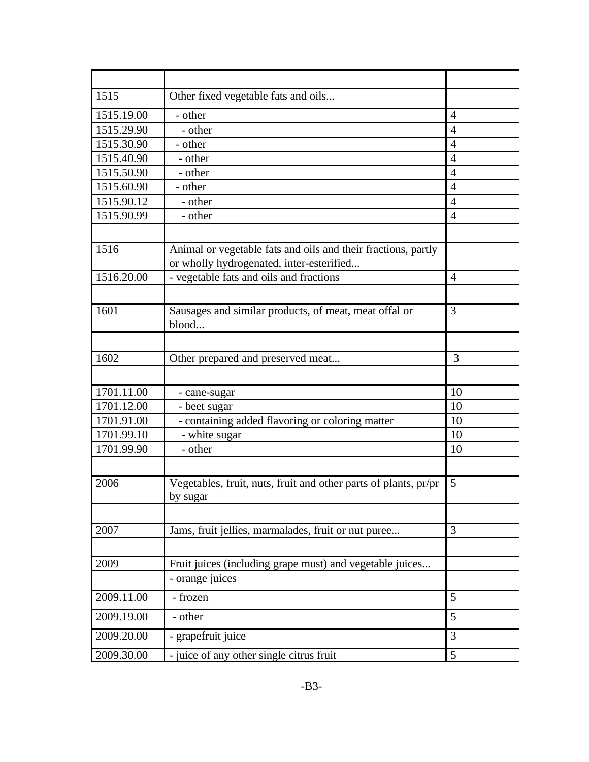| 1515       | Other fixed vegetable fats and oils                                                                       |                |
|------------|-----------------------------------------------------------------------------------------------------------|----------------|
| 1515.19.00 | - other                                                                                                   | $\overline{4}$ |
| 1515.29.90 | - other                                                                                                   | $\overline{4}$ |
| 1515.30.90 | - other                                                                                                   | $\overline{4}$ |
| 1515.40.90 | - other                                                                                                   | $\overline{4}$ |
| 1515.50.90 | - other                                                                                                   | $\overline{4}$ |
| 1515.60.90 | - other                                                                                                   | $\overline{4}$ |
| 1515.90.12 | - other                                                                                                   | $\overline{4}$ |
| 1515.90.99 | - other                                                                                                   | $\overline{4}$ |
|            |                                                                                                           |                |
| 1516       | Animal or vegetable fats and oils and their fractions, partly<br>or wholly hydrogenated, inter-esterified |                |
| 1516.20.00 | - vegetable fats and oils and fractions                                                                   | $\overline{4}$ |
|            |                                                                                                           |                |
| 1601       | Sausages and similar products, of meat, meat offal or<br>blood                                            | 3              |
|            |                                                                                                           |                |
| 1602       | Other prepared and preserved meat                                                                         | 3              |
|            |                                                                                                           |                |
| 1701.11.00 | - cane-sugar                                                                                              | 10             |
| 1701.12.00 | - beet sugar                                                                                              | 10             |
| 1701.91.00 | - containing added flavoring or coloring matter                                                           | 10             |
| 1701.99.10 | - white sugar                                                                                             | 10             |
| 1701.99.90 | - other                                                                                                   | 10             |
| 2006       | Vegetables, fruit, nuts, fruit and other parts of plants, pr/pr<br>by sugar                               | 5              |
|            |                                                                                                           |                |
| 2007       | Jams, fruit jellies, marmalades, fruit or nut puree                                                       | 3              |
|            |                                                                                                           |                |
| 2009       | Fruit juices (including grape must) and vegetable juices                                                  |                |
|            | - orange juices                                                                                           |                |
| 2009.11.00 | - frozen                                                                                                  | 5              |
| 2009.19.00 | - other                                                                                                   | 5              |
| 2009.20.00 | - grapefruit juice                                                                                        | 3              |
| 2009.30.00 | - juice of any other single citrus fruit                                                                  | 5              |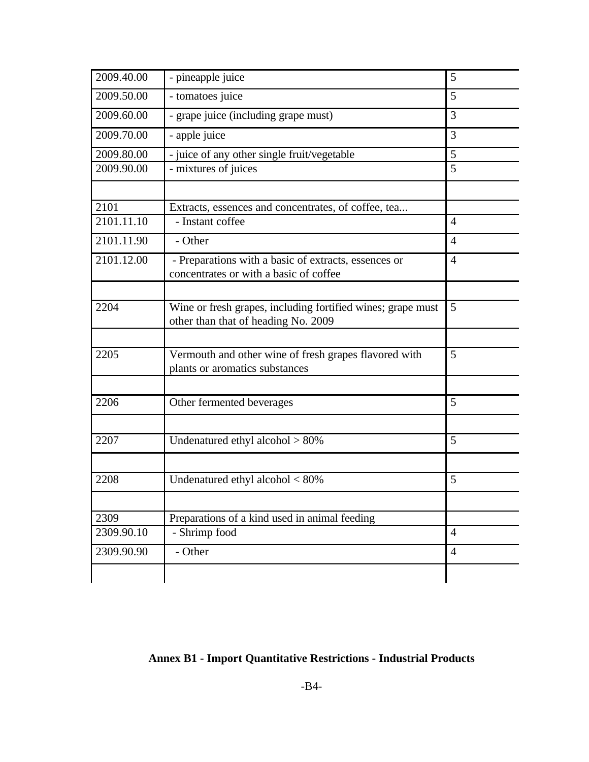| $\overline{2009,}40.00$ | - pineapple juice                                                                                  | 5              |
|-------------------------|----------------------------------------------------------------------------------------------------|----------------|
| 2009.50.00              | - tomatoes juice                                                                                   | 5              |
| 2009.60.00              | - grape juice (including grape must)                                                               | 3              |
| 2009.70.00              | - apple juice                                                                                      | 3              |
| 2009.80.00              | - juice of any other single fruit/vegetable                                                        | 5              |
| 2009.90.00              | - mixtures of juices                                                                               | 5              |
|                         |                                                                                                    |                |
| 2101                    | Extracts, essences and concentrates, of coffee, tea                                                |                |
| 2101.11.10              | - Instant coffee                                                                                   | $\overline{4}$ |
| 2101.11.90              | - Other                                                                                            | $\overline{4}$ |
| 2101.12.00              | - Preparations with a basic of extracts, essences or<br>concentrates or with a basic of coffee     | $\overline{4}$ |
|                         |                                                                                                    |                |
| 2204                    | Wine or fresh grapes, including fortified wines; grape must<br>other than that of heading No. 2009 | 5              |
|                         |                                                                                                    |                |
| 2205                    | Vermouth and other wine of fresh grapes flavored with<br>plants or aromatics substances            | 5              |
|                         |                                                                                                    |                |
| 2206                    | Other fermented beverages                                                                          | 5              |
|                         |                                                                                                    |                |
| 2207                    | Undenatured ethyl alcohol > 80%                                                                    | 5              |
|                         |                                                                                                    |                |
| 2208                    | Undenatured ethyl alcohol $< 80\%$                                                                 | 5              |
|                         |                                                                                                    |                |
| 2309                    | Preparations of a kind used in animal feeding                                                      |                |
| 2309.90.10              | - Shrimp food                                                                                      | $\overline{4}$ |
| 2309.90.90              | - Other                                                                                            | $\overline{4}$ |
|                         |                                                                                                    |                |

## **Annex B1 - Import Quantitative Restrictions - Industrial Products**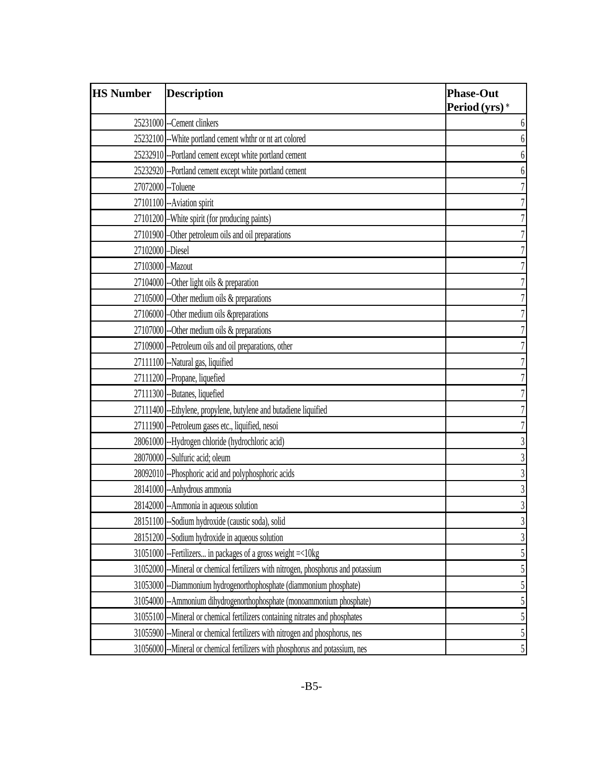| <b>HS Number</b>  | <b>Description</b>                                                                  | <b>Phase-Out</b><br>Period (yrs)* |
|-------------------|-------------------------------------------------------------------------------------|-----------------------------------|
|                   | 25231000 -- Cement clinkers                                                         | $6\,$                             |
|                   | 25232100 -- White portland cement whthr or nt art colored                           | $6\,$                             |
|                   | 25232910 -- Portland cement except white portland cement                            | $6\,$                             |
|                   | 25232920 --Portland cement except white portland cement                             | $6\,$                             |
|                   | 27072000 -- Toluene                                                                 | $\sqrt{ }$                        |
|                   | 27101100 -- Aviation spirit                                                         | $\sqrt{ }$                        |
|                   | 27101200 - White spirit (for producing paints)                                      | $\sqrt{ }$                        |
|                   | 27101900 - Other petroleum oils and oil preparations                                | $\overline{7}$                    |
| 27102000 - Diesel |                                                                                     | $\overline{7}$                    |
| 27103000 - Mazout |                                                                                     | $\overline{7}$                    |
|                   | 27104000 -- Other light oils & preparation                                          | $\sqrt{ }$                        |
|                   | 27105000 -- Other medium oils & preparations                                        | $\sqrt{ }$                        |
|                   | 27106000 - Other medium oils & preparations                                         | $\sqrt{ }$                        |
|                   | 27107000 -- Other medium oils & preparations                                        | $\sqrt{ }$                        |
|                   | 27109000 -- Petroleum oils and oil preparations, other                              | $\sqrt{ }$                        |
|                   | 27111100 -- Natural gas, liquified                                                  | $\sqrt{ }$                        |
|                   | 27111200 -- Propane, liquefied                                                      | $\sqrt{ }$                        |
|                   | 27111300 -- Butanes, liquefied                                                      | $\sqrt{ }$                        |
|                   | 27111400 -- Ethylene, propylene, butylene and butadiene liquified                   | $\sqrt{ }$                        |
|                   | 27111900 -- Petroleum gases etc., liquified, nesoi                                  | $\boldsymbol{7}$                  |
|                   | 28061000 --Hydrogen chloride (hydrochloric acid)                                    | $\mathfrak{Z}$                    |
|                   | 28070000 -- Sulfuric acid; oleum                                                    | $\mathfrak{Z}$                    |
|                   | 28092010 -- Phosphoric acid and polyphosphoric acids                                | $\overline{3}$                    |
|                   | 28141000 -- Anhydrous ammonia                                                       | $\sqrt{3}$                        |
|                   | 28142000 -- Ammonia in aqueous solution                                             | $\mathfrak{Z}$                    |
|                   | 28151100 -- Sodium hydroxide (caustic soda), solid                                  | $\mathfrak{Z}$                    |
|                   | 28151200 -- Sodium hydroxide in aqueous solution                                    | $\mathfrak{Z}$                    |
|                   | 31051000 -- Fertilizers in packages of a gross weight $=$ <10kg                     | 5                                 |
|                   | 31052000 -- Mineral or chemical fertilizers with nitrogen, phosphorus and potassium | $\overline{5}$                    |
|                   | 31053000 -- Diammonium hydrogenorthophosphate (diammonium phosphate)                | $\sqrt{5}$                        |
|                   | 31054000 -- Ammonium dihydrogenorthophosphate (monoammonium phosphate)              | 5                                 |
|                   | 31055100 -- Mineral or chemical fertilizers containing nitrates and phosphates      | $\sqrt{5}$                        |
|                   | 31055900 -- Mineral or chemical fertilizers with nitrogen and phosphorus, nes       | 5                                 |
|                   | 31056000 -- Mineral or chemical fertilizers with phosphorus and potassium, nes      | 5                                 |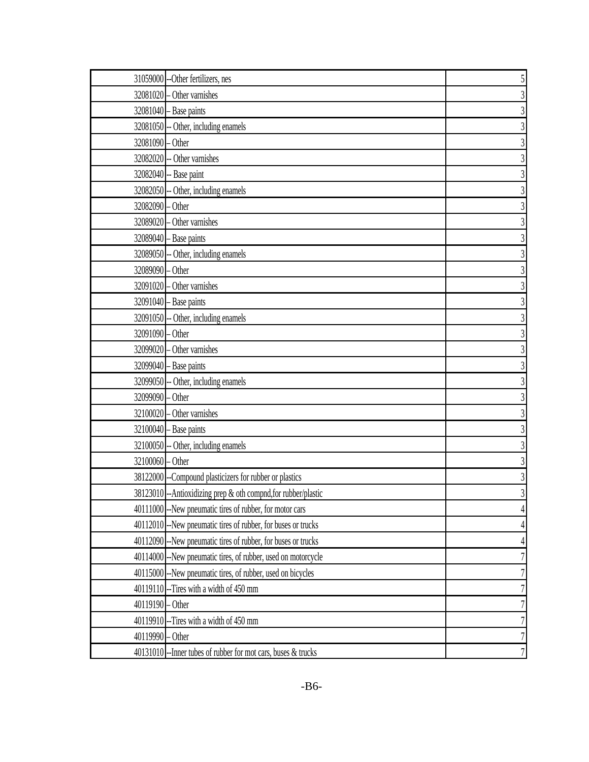|                  | 31059000 -- Other fertilizers, nes                              | 5                |
|------------------|-----------------------------------------------------------------|------------------|
|                  | 32081020 - Other varnishes                                      | $\mathfrak{Z}$   |
|                  | 32081040 - Base paints                                          | $\mathfrak{Z}$   |
|                  | 32081050 -- Other, including enamels                            | $\mathfrak{Z}$   |
| 32081090 - Other |                                                                 | $\mathfrak{Z}$   |
|                  | 32082020 - Other varnishes                                      | $\sqrt{3}$       |
|                  | 32082040 -- Base paint                                          | $\mathfrak{Z}$   |
|                  | 32082050 - Other, including enamels                             | $\sqrt{3}$       |
| 32082090 - Other |                                                                 | $\overline{3}$   |
|                  | 32089020 - Other varnishes                                      | $\sqrt{3}$       |
|                  | 32089040 - Base paints                                          | $\mathfrak{Z}$   |
|                  | 32089050 - Other, including enamels                             | $\mathfrak{Z}$   |
| 32089090 - Other |                                                                 | $\mathfrak{Z}$   |
|                  | $32091020$ – Other varnishes                                    | $\sqrt{3}$       |
|                  | 32091040 - Base paints                                          | $\mathfrak{Z}$   |
|                  | 32091050 -- Other, including enamels                            | $\mathfrak{Z}$   |
| 32091090 - Other |                                                                 | $\overline{3}$   |
|                  | 32099020 - Other varnishes                                      | $\mathfrak{Z}$   |
|                  | 32099040 - Base paints                                          | $\overline{3}$   |
|                  | 32099050 -- Other, including enamels                            | $\mathfrak{Z}$   |
| 32099090 - Other |                                                                 | $\overline{3}$   |
|                  | 32100020 - Other varnishes                                      | $\mathfrak{Z}$   |
|                  | 32100040 - Base paints                                          | $\mathfrak{Z}$   |
|                  | 32100050 -- Other, including enamels                            | $\mathfrak{Z}$   |
| 32100060 - Other |                                                                 | $\mathfrak{Z}$   |
|                  | 38122000 -- Compound plasticizers for rubber or plastics        | $\mathfrak{Z}$   |
|                  | 38123010 -- Antioxidizing prep & oth compnd, for rubber/plastic | $\mathfrak{Z}$   |
|                  | 40111000 -- New pneumatic tires of rubber, for motor cars       | $\overline{4}$   |
|                  | 40112010 -- New pneumatic tires of rubber, for buses or trucks  | $\overline{4}$   |
|                  | 40112090 -- New pneumatic tires of rubber, for buses or trucks  | 4                |
|                  | 40114000 -- New pneumatic tires, of rubber, used on motorcycle  | $\boldsymbol{7}$ |
|                  | 40115000 -- New pneumatic tires, of rubber, used on bicycles    | $\sqrt{ }$       |
|                  | 40119110 -- Tires with a width of 450 mm                        | $\boldsymbol{7}$ |
| 40119190 - Other |                                                                 | $\sqrt{ }$       |
|                  | 40119910 -- Tires with a width of 450 mm                        | $\sqrt{ }$       |
| 40119990 - Other |                                                                 | $\sqrt{ }$       |
|                  | 40131010 -- Inner tubes of rubber for mot cars, buses & trucks  | $\overline{7}$   |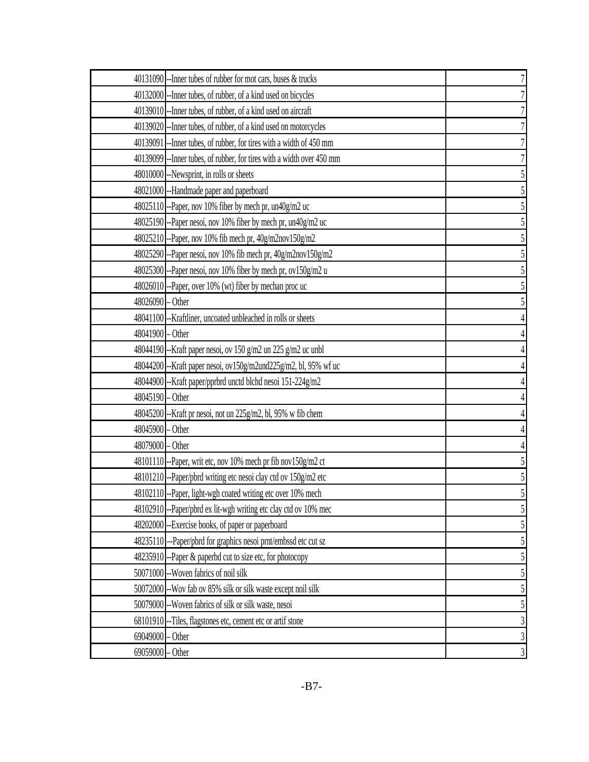|                  | 40131090 -- Inner tubes of rubber for mot cars, buses & trucks         | $\sqrt{ }$     |
|------------------|------------------------------------------------------------------------|----------------|
|                  | 40132000 -- Inner tubes, of rubber, of a kind used on bicycles         | $\sqrt{ }$     |
|                  | 40139010 -- Inner tubes, of rubber, of a kind used on aircraft         | $\sqrt{ }$     |
|                  | 40139020 -- Inner tubes, of rubber, of a kind used on motorcycles      | $\sqrt{ }$     |
|                  | 40139091 -- Inner tubes, of rubber, for tires with a width of 450 mm   | $\overline{7}$ |
|                  | 40139099 -- Inner tubes, of rubber, for tires with a width over 450 mm | $\overline{1}$ |
|                  | 48010000 -- Newsprint, in rolls or sheets                              | $\sqrt{5}$     |
|                  | 48021000 --Handmade paper and paperboard                               | $\overline{5}$ |
|                  | 48025110 -- Paper, nov 10% fiber by mech pr, un40g/m2 uc               | $\sqrt{5}$     |
|                  | 48025190 -- Paper nesoi, nov 10% fiber by mech pr, un40g/m2 uc         | $\overline{5}$ |
|                  | 48025210 --Paper, nov 10% fib mech pr, 40g/m2nov150g/m2                | $\overline{5}$ |
|                  | 48025290 --Paper nesoi, nov 10% fib mech pr, 40g/m2nov150g/m2          | $\overline{5}$ |
|                  | 48025300 -- Paper nesoi, nov 10% fiber by mech pr, ov150g/m2 u         | $\overline{5}$ |
|                  | 48026010 -- Paper, over 10% (wt) fiber by mechan proc uc               | $\overline{5}$ |
| 48026090 - Other |                                                                        | 5              |
|                  | 48041100 -- Kraftliner, uncoated unbleached in rolls or sheets         | $\overline{4}$ |
| 48041900 - Other |                                                                        | $\overline{4}$ |
|                  | 48044190 -- Kraft paper nesoi, ov 150 g/m2 un 225 g/m2 uc unbl         | $\overline{4}$ |
|                  | 48044200 -- Kraft paper nesoi, ov150g/m2und225g/m2, bl, 95% wf uc      | $\overline{4}$ |
|                  | 48044900 -- Kraft paper/pprbrd unctd blchd nesoi 151-224g/m2           | $\overline{4}$ |
| 48045190 - Other |                                                                        | $\overline{4}$ |
|                  | 48045200 -- Kraft pr nesoi, not un 225g/m2, bl, 95% w fib chem         | $\overline{4}$ |
| 48045900 - Other |                                                                        | $\overline{4}$ |
| 48079000 - Other |                                                                        | $\overline{4}$ |
|                  | 48101110 --Paper, writ etc, nov 10% mech pr fib nov150g/m2 ct          | 5              |
|                  | 48101210 -- Paper/pbrd writing etc nesoi clay ctd ov 150g/m2 etc       | 5              |
|                  | 48102110 --Paper, light-wgh coated writing etc over 10% mech           | 5              |
|                  | 48102910 --Paper/pbrd ex lit-wgh writing etc clay ctd ov 10% mec       | 5              |
|                  | 48202000 --Exercise books, of paper or paperboard                      | 5              |
|                  | 48235110 - Paper/pbrd for graphics nesoi prnt/embssd etc cut sz        | 5              |
|                  | 48235910 --Paper & paperbd cut to size etc, for photocopy              | 5              |
|                  | 50071000 -- Woven fabrics of noil silk                                 | 5              |
|                  | 50072000 -- Wov fab ov 85% silk or silk waste except noil silk         | $\sqrt{5}$     |
|                  | 50079000 -- Woven fabrics of silk or silk waste, nesoi                 | 5              |
|                  | 68101910 -- Tiles, flagstones etc, cement etc or artif stone           | 3              |
| 69049000 - Other |                                                                        | $\sqrt{3}$     |
| 69059000 - Other |                                                                        | $\sqrt{3}$     |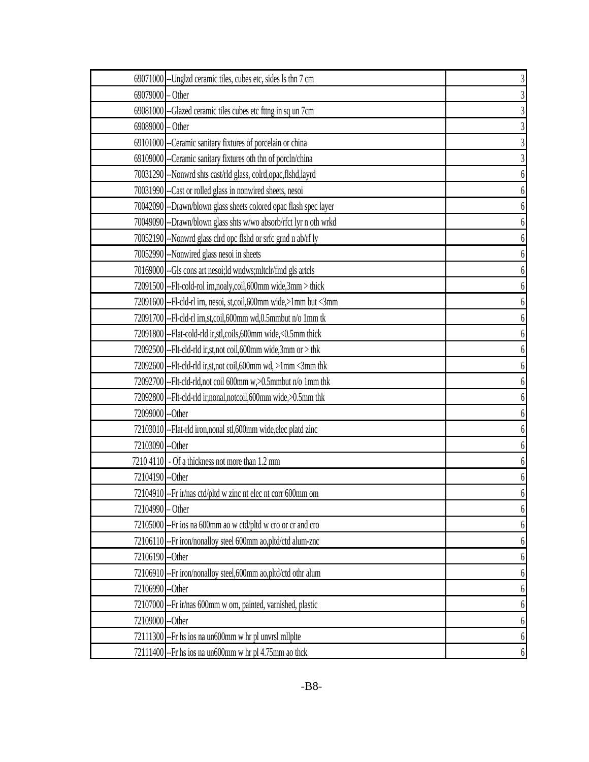|                   | 69071000 -- Unglzd ceramic tiles, cubes etc, sides ls thn 7 cm     | $\mathfrak{Z}$ |
|-------------------|--------------------------------------------------------------------|----------------|
| 69079000 - Other  |                                                                    | $\mathfrak{Z}$ |
|                   | 69081000 -- Glazed ceramic tiles cubes etc fttng in sq un 7cm      | $\overline{3}$ |
| 69089000 - Other  |                                                                    | $\mathfrak{Z}$ |
|                   | 69101000 -- Ceramic sanitary fixtures of porcelain or china        | $\overline{3}$ |
|                   | 69109000 -- Ceramic sanitary fixtures oth thn of porcln/china      | $\overline{3}$ |
|                   | 70031290 -- Nonwrd shts cast/rld glass, colrd,opac,flshd,layrd     | $6\,$          |
|                   | 70031990 -- Cast or rolled glass in nonwired sheets, nesoi         | $6\,$          |
|                   | 70042090 --Drawn/blown glass sheets colored opac flash spec layer  | $6\,$          |
|                   | 70049090 -- Drawn/blown glass shts w/wo absorb/rfct lyr n oth wrkd | $6\,$          |
|                   | 70052190 -- Nonwrd glass clrd opc flshd or srfc grnd n ab/rf ly    | $6\,$          |
|                   | 70052990 -- Nonwired glass nesoi in sheets                         | $6\,$          |
|                   | 70169000 -- Gls cons art nesoi;ld wndws;mltclr/fmd gls artcls      | $6\,$          |
|                   | 72091500 -- Flt-cold-rol irn, noaly, coil, 600mm wide, 3mm > thick | $6\,$          |
|                   | 72091600 --Fl-cld-rl irn, nesoi, st,coil,600mm wide,>1mm but <3mm  | $6\,$          |
|                   | 72091700 -- Fl-cld-rl irn, st, coil, 600mm wd, 0.5mmbut n/o 1mm tk | $6\,$          |
|                   | 72091800 --Flat-cold-rld ir, stl, coils, 600mm wide, <0.5mm thick  | $6\,$          |
|                   | 72092500 -- Flt-cld-rld ir, st, not coil, 600mm wide, 3mm or > thk | $6\,$          |
|                   | 72092600 -- Flt-cld-rld ir, st, not coil, 600mm wd, >1mm <3mm thk  | $6\,$          |
|                   | 72092700 -- Flt-cld-rld, not coil 600mm w, >0.5mmbut n/o 1mm thk   | $6\,$          |
|                   | 72092800 -- Flt-cld-rld ir, nonal, notcoil, 600mm wide, >0.5mm thk | $6\,$          |
| 72099000 -- Other |                                                                    | $6\,$          |
|                   | 72103010 -- Flat-rld iron, nonal stl, 600mm wide, elec platd zinc  | $6\,$          |
| 72103090 -- Other |                                                                    | $6\,$          |
|                   | 7210 4110 - Of a thickness not more than 1.2 mm                    | $6\,$          |
| 72104190 -- Other |                                                                    | $6\,$          |
|                   | 72104910 ----Fr ir/nas ctd/pltd w zinc nt elec nt corr 600mm om    | $6\,$          |
| 72104990 - Other  |                                                                    | $6\,$          |
|                   | 72105000 -- Fr ios na 600mm ao w ctd/pltd w cro or cr and cro      | $6\,$          |
|                   | 72106110 -- Fr iron/nonalloy steel 600mm ao, pltd/ctd alum-znc     | $6\,$          |
| 72106190 -- Other |                                                                    | $6\,$          |
|                   | 72106910 -- Fr iron/nonalloy steel, 600mm ao, pltd/ctd othr alum   | $6\,$          |
| 72106990 -- Other |                                                                    | $6\,$          |
|                   | 72107000 -- Fr ir/nas 600mm w om, painted, varnished, plastic      | $6\,$          |
| 72109000 -- Other |                                                                    | $6\,$          |
|                   |                                                                    | $6\,$          |
|                   | 72111400 ----Fr hs ios na un600mm w hr pl 4.75mm ao thck           | $6\,$          |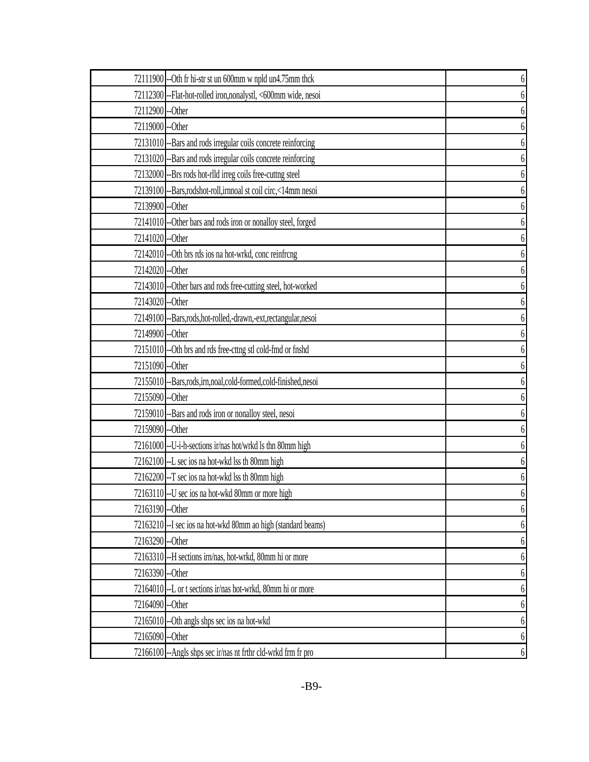|                   | 72111900 -- Oth fr hi-str st un 600mm w npld un4.75mm thck           | $6\,$ |
|-------------------|----------------------------------------------------------------------|-------|
|                   | 72112300 -- Flat-hot-rolled iron, nonalystl, <600mm wide, nesoi      | $6\,$ |
| 72112900 -- Other |                                                                      | $6\,$ |
| 72119000 -- Other |                                                                      | $6\,$ |
|                   | 72131010 -- Bars and rods irregular coils concrete reinforcing       | $6\,$ |
|                   | 72131020 -- Bars and rods irregular coils concrete reinforcing       | $6\,$ |
|                   | 72132000 -- Brs rods hot-rlld irreg coils free-cuttng steel          | $6\,$ |
|                   | 72139100 -- Bars, rodshot-roll, irnnoal st coil circ, < 14mm nesoi   | $6\,$ |
| 72139900 -- Other |                                                                      | $6\,$ |
|                   | 72141010 -- Other bars and rods iron or nonalloy steel, forged       | $6\,$ |
| 72141020 -- Other |                                                                      | $6\,$ |
|                   | 72142010 -- Oth brs rds ios na hot-wrkd, conc reinfreng              | $6\,$ |
| 72142020 -- Other |                                                                      | $6\,$ |
|                   | 72143010 -- Other bars and rods free-cutting steel, hot-worked       | $6\,$ |
| 72143020 -- Other |                                                                      | $6\,$ |
|                   | 72149100 -- Bars, rods, hot-rolled, -drawn, -ext, rectangular, nesoi | $6\,$ |
| 72149900 -- Other |                                                                      | $6\,$ |
|                   | 72151010 -- Oth brs and rds free-cttng stl cold-fmd or fnshd         | $6\,$ |
| 72151090 -- Other |                                                                      | $6\,$ |
|                   | 72155010 -- Bars,rods,irn,noal,cold-formed,cold-finished,nesoi       | $6\,$ |
| 72155090 -- Other |                                                                      | $6\,$ |
|                   | 72159010 -- Bars and rods iron or nonalloy steel, nesoi              | $6\,$ |
| 72159090 -- Other |                                                                      | $6\,$ |
|                   | 72161000 -- U-i-h-sections ir/nas hot/wrkd ls thn 80mm high          | $6\,$ |
|                   | 72162100 -- L sec ios na hot-wkd lss th 80mm high                    | $6\,$ |
|                   | 72162200 --T sec ios na hot-wkd lss th 80mm high                     | 6     |
|                   | 72163110 -- U sec ios na hot-wkd 80mm or more high                   | $6\,$ |
| 72163190 -- Other |                                                                      | $6\,$ |
|                   | 72163210 -- I sec ios na hot-wkd 80mm ao high (standard beams)       | $6\,$ |
| 72163290 -- Other |                                                                      | $6\,$ |
|                   | 72163310 -- H sections irn/nas, hot-wrkd, 80mm hi or more            | $6\,$ |
| 72163390 -- Other |                                                                      | $6\,$ |
|                   | 72164010 --L or t sections ir/nas hot-wrkd, 80mm hi or more          | $6\,$ |
| 72164090 -- Other |                                                                      | $6\,$ |
|                   | 72165010 -- Oth angls shps sec ios na hot-wkd                        | $6\,$ |
| 72165090 -- Other |                                                                      | 6     |
|                   | 72166100 -- Angls shps sec ir/nas nt frthr cld-wrkd frm fr pro       | 6     |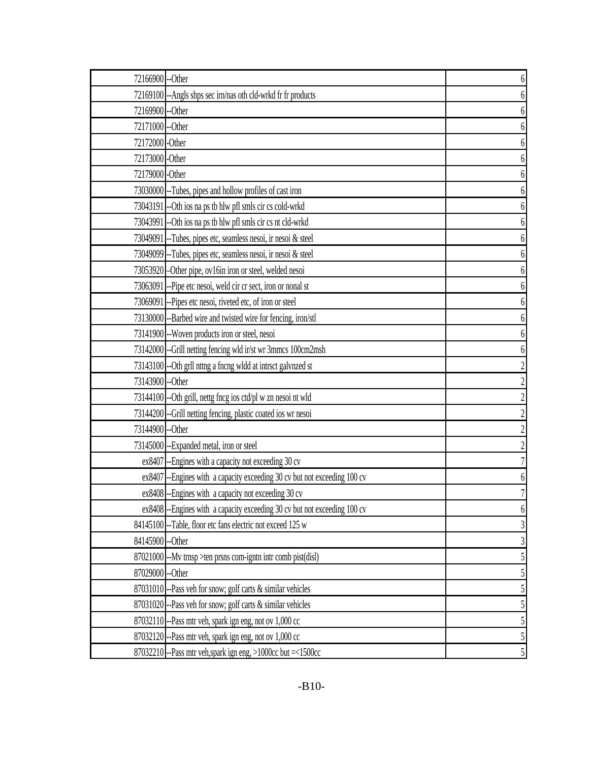| 72166900 -- Other |                                                                           |               |
|-------------------|---------------------------------------------------------------------------|---------------|
|                   | 72169100 -- Angls shps sec im/nas oth cld-wrkd fr fr products             |               |
| 72169900 -- Other |                                                                           |               |
| 72171000 -- Other |                                                                           |               |
| 72172000 - Other  |                                                                           |               |
| 72173000 - Other  |                                                                           |               |
| 72179000 - Other  |                                                                           |               |
|                   | 73030000 -- Tubes, pipes and hollow profiles of cast iron                 |               |
|                   | 73043191 -- Oth ios na ps tb hlw pfl smls cir cs cold-wrkd                |               |
|                   | 73043991 -- Oth ios na ps tb hlw pfl smls cir cs nt cld-wrkd              |               |
|                   | 73049091 -- Tubes, pipes etc, seamless nesoi, ir nesoi & steel            |               |
|                   | 73049099 -- Tubes, pipes etc, seamless nesoi, ir nesoi & steel            |               |
|                   | 73053920 - Other pipe, ov16in iron or steel, welded nesoi                 |               |
|                   | 73063091 -- Pipe etc nesoi, weld cir cr sect, iron or nonal st            |               |
|                   | 73069091 -- Pipes etc nesoi, riveted etc, of iron or steel                |               |
|                   | 73130000 -- Barbed wire and twisted wire for fencing, iron/stl            |               |
|                   | 73141900 -- Woven products iron or steel, nesoi                           |               |
|                   | 73142000 -- Grill netting fencing wld ir/st wr 3mmcs 100cm2msh            |               |
|                   | 73143100 -- Oth grll nttng a fncng wldd at intrsct galvnzed st            |               |
| 73143900 -- Other |                                                                           |               |
|                   | 73144100 -- Oth grill, nettg fncg ios ctd/pl w zn nesoi nt wld            |               |
|                   | 73144200 -- Grill netting fencing, plastic coated ios wr nesoi            |               |
| 73144900 -- Other |                                                                           |               |
|                   | 73145000 -- Expanded metal, iron or steel                                 |               |
|                   | ex8407 --Engines with a capacity not exceeding 30 cv                      |               |
|                   | ex8407 --Engines with a capacity exceeding 30 cv but not exceeding 100 cv | <sub>6</sub>  |
|                   | ex8408 --Engines with a capacity not exceeding 30 cv                      |               |
|                   | ex8408 --Engines with a capacity exceeding 30 cv but not exceeding 100 cv | $\mathfrak b$ |
|                   | 84145100 -- Table, floor etc fans electric not exceed 125 w               |               |
| 84145900 -- Other |                                                                           |               |
|                   | 87021000 -- Mv trnsp >ten prsns com-igntn intr comb pist(disl)            |               |
| 87029000 -- Other |                                                                           |               |
|                   | 87031010 -- Pass veh for snow; golf carts & similar vehicles              |               |
|                   | 87031020 -- Pass veh for snow; golf carts & similar vehicles              |               |
|                   | 87032110 -- Pass mtr veh, spark ign eng, not ov 1,000 cc                  |               |
|                   | 87032120 -- Pass mtr veh, spark ign eng, not ov 1,000 cc                  |               |
|                   | 87032210 -- Pass mtr veh, spark ign eng, >1000cc but =<1500cc             |               |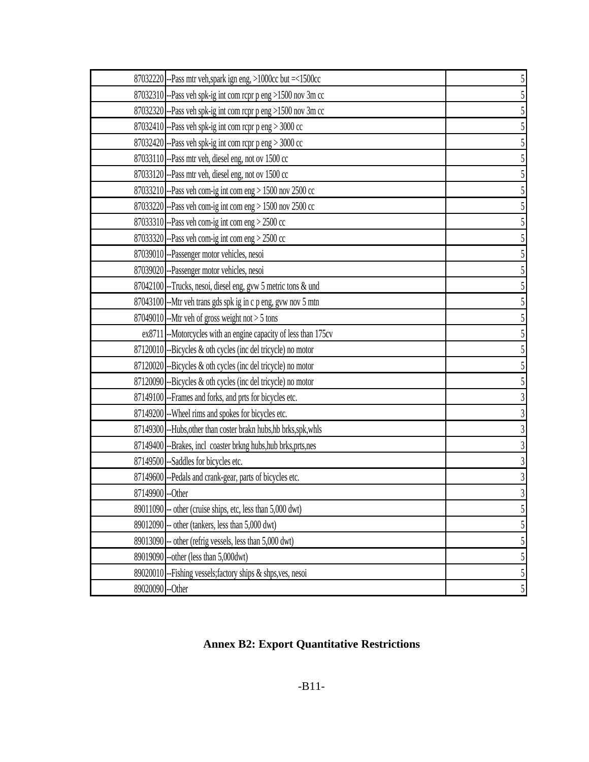|                   | 87032220 --Pass mtr veh, spark ign eng, >1000cc but =<1500cc      | $\sqrt{5}$              |
|-------------------|-------------------------------------------------------------------|-------------------------|
|                   | 87032310 -- Pass veh spk-ig int com rcpr p eng >1500 nov 3m cc    | $\sqrt{5}$              |
|                   | 87032320 --Pass veh spk-ig int com rcpr p eng >1500 nov 3m cc     | $\sqrt{5}$              |
|                   | 87032410 --Pass veh spk-ig int com rcpr p eng $>$ 3000 cc         | $\overline{5}$          |
|                   | 87032420 --Pass veh spk-ig int com rcpr p eng $>$ 3000 cc         | $\overline{5}$          |
|                   | 87033110 -- Pass mtr veh, diesel eng, not ov 1500 cc              | $\overline{5}$          |
|                   | 87033120 -- Pass mtr veh, diesel eng, not ov 1500 cc              | $\sqrt{5}$              |
|                   | 87033210 --Pass veh com-ig int com eng $> 1500$ nov 2500 cc       | $\overline{5}$          |
|                   | 87033220 -- Pass veh com-ig int com eng > 1500 nov 2500 cc        | $\sqrt{5}$              |
|                   | 87033310 --Pass veh com-ig int com eng > 2500 cc                  | $\overline{5}$          |
|                   | 87033320 --Pass veh com-ig int com eng $>$ 2500 cc                | $\sqrt{5}$              |
|                   | 87039010 -- Passenger motor vehicles, nesoi                       | 5                       |
|                   | 87039020 -- Passenger motor vehicles, nesoi                       | $\overline{5}$          |
|                   | 87042100 -- Trucks, nesoi, diesel eng, gvw 5 metric tons & und    | $\overline{5}$          |
|                   | 87043100 -- Mtr veh trans gds spk ig in c p eng, gvw nov 5 mtn    | $\overline{5}$          |
|                   | 87049010 -- Mtr veh of gross weight not $>$ 5 tons                | $\overline{5}$          |
|                   | ex8711 --Motorcycles with an engine capacity of less than 175cv   | $\overline{5}$          |
|                   | 87120010 -- Bicycles & oth cycles (inc del tricycle) no motor     | $\overline{5}$          |
|                   | 87120020 -- Bicycles & oth cycles (inc del tricycle) no motor     | $\overline{5}$          |
|                   | 87120090 -- Bicycles & oth cycles (inc del tricycle) no motor     | 5                       |
|                   | 87149100 -- Frames and forks, and prts for bicycles etc.          | $\overline{3}$          |
|                   | 87149200 -- Wheel rims and spokes for bicycles etc.               | $\overline{\mathbf{3}}$ |
|                   | 87149300 --Hubs, other than coster brakn hubs, hb brks, spk, whls | $\overline{3}$          |
|                   | 87149400 -- Brakes, incl coaster brkng hubs, hub brks, prts, nes  | $\overline{3}$          |
|                   | 87149500 -- Saddles for bicycles etc.                             | $\mathfrak{Z}$          |
|                   | 87149600 -- Pedals and crank-gear, parts of bicycles etc.         | $\mathfrak{Z}$          |
| 87149900 -- Other |                                                                   | $\overline{3}$          |
|                   | 89011090 -- other (cruise ships, etc, less than 5,000 dwt)        | 5                       |
| 89012090          | other (tankers, less than 5,000 dwt)                              | 5                       |
|                   | 89013090 -- other (refrig vessels, less than 5,000 dwt)           | 5                       |
|                   | 89019090 -- other (less than 5,000dwt)                            | 5                       |
|                   | 89020010 -- Fishing vessels; factory ships & shps, ves, nesoi     | 5                       |
| 89020090 -- Other |                                                                   | 5                       |

# **Annex B2: Export Quantitative Restrictions**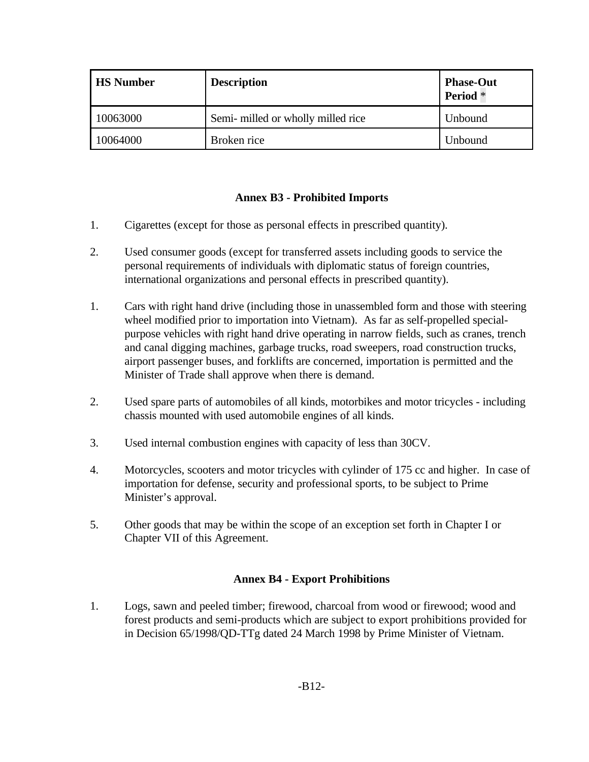| <b>HS Number</b> | <b>Description</b>                | <b>Phase-Out</b><br>Period <sup>*</sup> |
|------------------|-----------------------------------|-----------------------------------------|
| 10063000         | Semi-milled or wholly milled rice | Unbound                                 |
| 10064000         | Broken rice                       | Unbound                                 |

## **Annex B3 - Prohibited Imports**

- 1. Cigarettes (except for those as personal effects in prescribed quantity).
- 2. Used consumer goods (except for transferred assets including goods to service the personal requirements of individuals with diplomatic status of foreign countries, international organizations and personal effects in prescribed quantity).
- 1. Cars with right hand drive (including those in unassembled form and those with steering wheel modified prior to importation into Vietnam). As far as self-propelled specialpurpose vehicles with right hand drive operating in narrow fields, such as cranes, trench and canal digging machines, garbage trucks, road sweepers, road construction trucks, airport passenger buses, and forklifts are concerned, importation is permitted and the Minister of Trade shall approve when there is demand.
- 2. Used spare parts of automobiles of all kinds, motorbikes and motor tricycles including chassis mounted with used automobile engines of all kinds.
- 3. Used internal combustion engines with capacity of less than 30CV.
- 4. Motorcycles, scooters and motor tricycles with cylinder of 175 cc and higher. In case of importation for defense, security and professional sports, to be subject to Prime Minister's approval.
- 5. Other goods that may be within the scope of an exception set forth in Chapter I or Chapter VII of this Agreement.

## **Annex B4 - Export Prohibitions**

1. Logs, sawn and peeled timber; firewood, charcoal from wood or firewood; wood and forest products and semi-products which are subject to export prohibitions provided for in Decision 65/1998/QD-TTg dated 24 March 1998 by Prime Minister of Vietnam.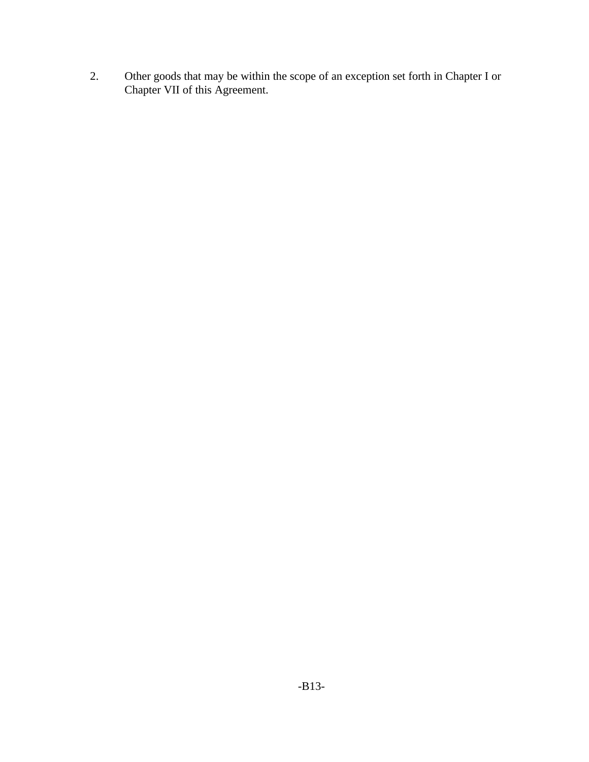2. Other goods that may be within the scope of an exception set forth in Chapter I or Chapter VII of this Agreement.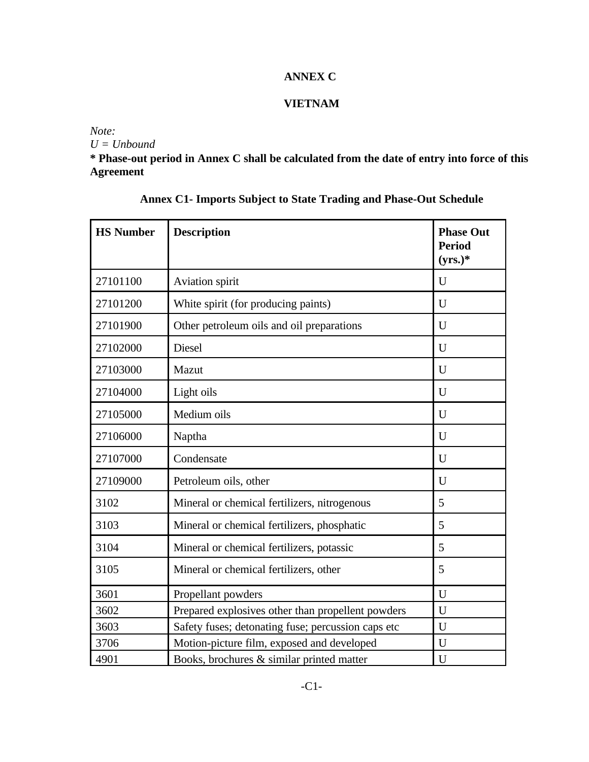## **ANNEX C**

#### **VIETNAM**

*Note:* 

*U = Unbound*

**\* Phase-out period in Annex C shall be calculated from the date of entry into force of this Agreement**

| <b>HS Number</b> | <b>Description</b>                                 | <b>Phase Out</b><br><b>Period</b><br>$(yrs.)^*$ |
|------------------|----------------------------------------------------|-------------------------------------------------|
| 27101100         | Aviation spirit                                    | U                                               |
| 27101200         | White spirit (for producing paints)                | U                                               |
| 27101900         | Other petroleum oils and oil preparations          | U                                               |
| 27102000         | <b>Diesel</b>                                      | U                                               |
| 27103000         | Mazut                                              | U                                               |
| 27104000         | Light oils                                         | U                                               |
| 27105000         | Medium oils                                        | U                                               |
| 27106000         | Naptha                                             | U                                               |
| 27107000         | Condensate                                         | U                                               |
| 27109000         | Petroleum oils, other                              | U                                               |
| 3102             | Mineral or chemical fertilizers, nitrogenous       | 5                                               |
| 3103             | Mineral or chemical fertilizers, phosphatic        | 5                                               |
| 3104             | Mineral or chemical fertilizers, potassic          | 5                                               |
| 3105             | Mineral or chemical fertilizers, other             | 5                                               |
| 3601             | Propellant powders                                 | U                                               |
| 3602             | Prepared explosives other than propellent powders  | U                                               |
| 3603             | Safety fuses; detonating fuse; percussion caps etc | U                                               |
| 3706             | Motion-picture film, exposed and developed         | $\mathbf U$                                     |
| 4901             | Books, brochures & similar printed matter          | U                                               |

## **Annex C1- Imports Subject to State Trading and Phase-Out Schedule**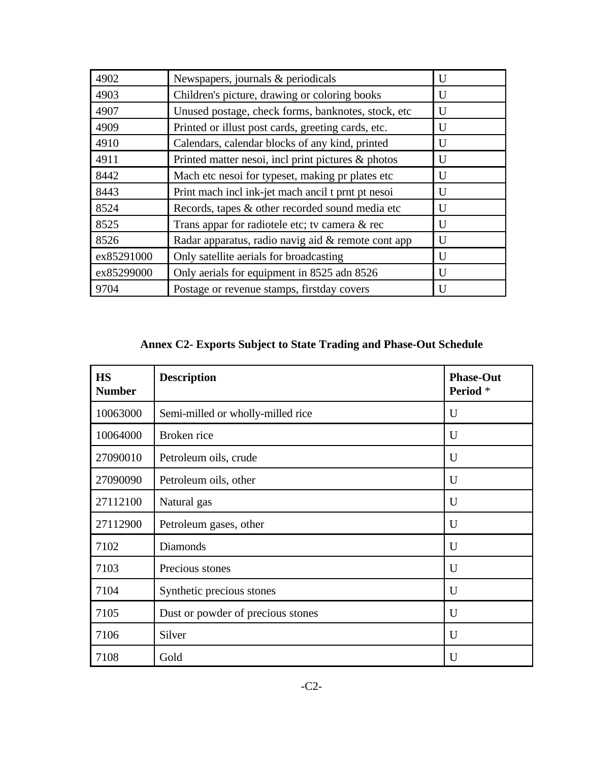| 4902       | Newspapers, journals & periodicals                  | U            |
|------------|-----------------------------------------------------|--------------|
| 4903       | Children's picture, drawing or coloring books       | U            |
| 4907       | Unused postage, check forms, banknotes, stock, etc. | U            |
| 4909       | Printed or illust post cards, greeting cards, etc.  | U            |
| 4910       | Calendars, calendar blocks of any kind, printed     | U            |
| 4911       | Printed matter nesoi, incl print pictures & photos  | U            |
| 8442       | Mach etc nesoi for typeset, making pr plates etc.   | U            |
| 8443       | Print mach incl ink-jet mach ancil t prnt pt nesoi  | U            |
| 8524       | Records, tapes & other recorded sound media etc     | U            |
| 8525       | Trans appar for radiotele etc; tv camera & rec      | U            |
| 8526       | Radar apparatus, radio navig aid & remote cont app  | U            |
| ex85291000 | Only satellite aerials for broadcasting             | U            |
| ex85299000 | Only aerials for equipment in 8525 adn 8526         | U            |
| 9704       | Postage or revenue stamps, firstday covers          | $\mathbf{I}$ |

## **Annex C2- Exports Subject to State Trading and Phase-Out Schedule**

| <b>HS</b><br><b>Number</b> | <b>Description</b>                | <b>Phase-Out</b><br>Period * |
|----------------------------|-----------------------------------|------------------------------|
| 10063000                   | Semi-milled or wholly-milled rice | U                            |
| 10064000                   | Broken rice                       | U                            |
| 27090010                   | Petroleum oils, crude             | U                            |
| 27090090                   | Petroleum oils, other             | U                            |
| 27112100                   | Natural gas                       | U                            |
| 27112900                   | Petroleum gases, other            | U                            |
| 7102                       | Diamonds                          | U                            |
| 7103                       | Precious stones                   | U                            |
| 7104                       | Synthetic precious stones         | U                            |
| 7105                       | Dust or powder of precious stones | U                            |
| 7106                       | Silver                            | U                            |
| 7108                       | Gold                              | U                            |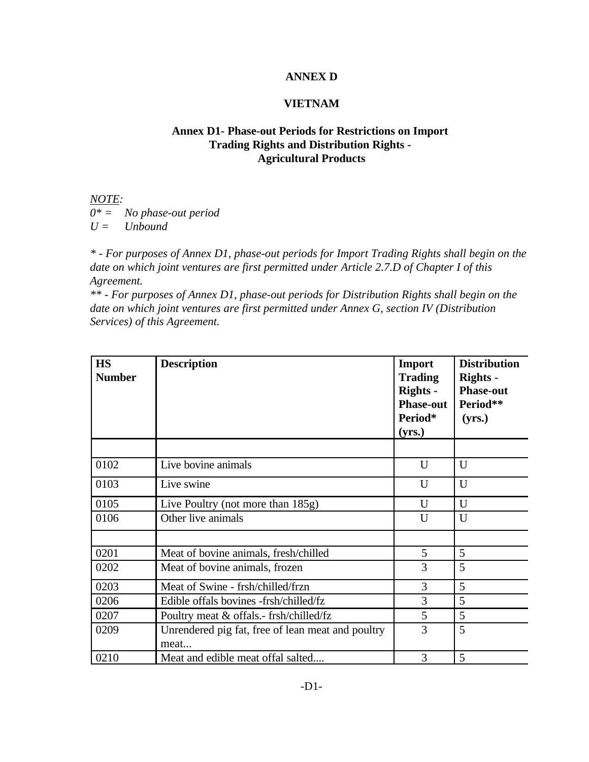#### **ANNEX D**

#### **VIETNAM**

## **Annex D1- Phase-out Periods for Restrictions on Import Trading Rights and Distribution Rights - Agricultural Products**

*NOTE:*

*0\* = No phase-out period U = Unbound* 

*\* - For purposes of Annex D1, phase-out periods for Import Trading Rights shall begin on the date on which joint ventures are first permitted under Article 2.7.D of Chapter I of this Agreement.*

*\*\* - For purposes of Annex D1, phase-out periods for Distribution Rights shall begin on the date on which joint ventures are first permitted under Annex G, section IV (Distribution Services) of this Agreement.*

| <b>HS</b><br><b>Number</b> | <b>Description</b>                                        | <b>Import</b><br><b>Trading</b><br><b>Rights -</b><br><b>Phase-out</b><br>Period*<br>(yrs.) | <b>Distribution</b><br><b>Rights -</b><br><b>Phase-out</b><br>Period**<br>(yrs.) |
|----------------------------|-----------------------------------------------------------|---------------------------------------------------------------------------------------------|----------------------------------------------------------------------------------|
|                            |                                                           |                                                                                             |                                                                                  |
| 0102                       | Live bovine animals                                       | U                                                                                           | U                                                                                |
| 0103                       | Live swine                                                | U                                                                                           | $\mathbf U$                                                                      |
| 0105                       | Live Poultry (not more than 185g)                         | U                                                                                           | U                                                                                |
| 0106                       | Other live animals                                        | U                                                                                           | U                                                                                |
|                            |                                                           |                                                                                             |                                                                                  |
| 0201                       | Meat of bovine animals, fresh/chilled                     | 5                                                                                           | 5                                                                                |
| 0202                       | Meat of bovine animals, frozen                            | 3                                                                                           | 5                                                                                |
| 0203                       | Meat of Swine - frsh/chilled/frzn                         | 3                                                                                           | 5                                                                                |
| 0206                       | Edible offals bovines -frsh/chilled/fz                    | 3                                                                                           | 5                                                                                |
| 0207                       | Poultry meat & offals.- frsh/chilled/fz                   | 5                                                                                           | 5                                                                                |
| 0209                       | Unrendered pig fat, free of lean meat and poultry<br>meat | 3                                                                                           | 5                                                                                |
| 0210                       | Meat and edible meat offal salted                         | 3                                                                                           | 5                                                                                |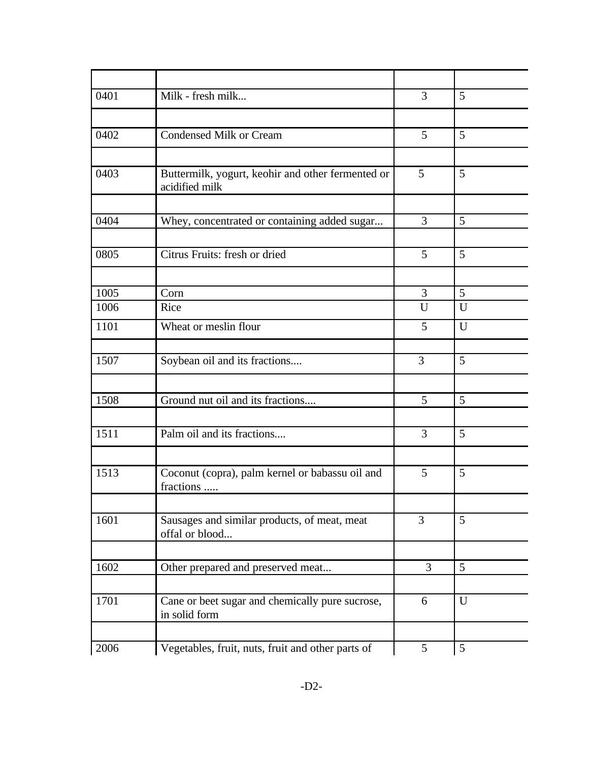| 0401              | Milk - fresh milk                                                   | 3              | 5            |  |
|-------------------|---------------------------------------------------------------------|----------------|--------------|--|
|                   |                                                                     |                |              |  |
| 0402              | <b>Condensed Milk or Cream</b>                                      | 5              | 5            |  |
|                   |                                                                     |                |              |  |
| 0403              | Buttermilk, yogurt, keohir and other fermented or<br>acidified milk | 5              | 5            |  |
|                   |                                                                     |                |              |  |
| 0404              | Whey, concentrated or containing added sugar                        | 3              | 5            |  |
| 0805              | Citrus Fruits: fresh or dried                                       | 5              | 5            |  |
|                   |                                                                     |                |              |  |
| 1005              | Corn                                                                | 3              | 5            |  |
| 1006              | Rice                                                                | U              | U            |  |
| 1101              | Wheat or meslin flour                                               | 5              | U            |  |
|                   |                                                                     |                |              |  |
| 1507              | Soybean oil and its fractions                                       | 3              | 5            |  |
|                   |                                                                     |                |              |  |
| 1508              | Ground nut oil and its fractions                                    | 5              | 5            |  |
| 1511              | Palm oil and its fractions                                          | 3              | 5            |  |
|                   |                                                                     |                |              |  |
| 1513              | Coconut (copra), palm kernel or babassu oil and<br>fractions        | 5              | 5            |  |
|                   |                                                                     |                |              |  |
| $160\overline{1}$ | Sausages and similar products, of meat, meat<br>offal or blood      | $\overline{3}$ | 5            |  |
|                   |                                                                     |                |              |  |
| 1602              | Other prepared and preserved meat                                   | 3              | 5            |  |
| 1701              | Cane or beet sugar and chemically pure sucrose,<br>in solid form    | 6              | $\mathbf{U}$ |  |
|                   |                                                                     |                |              |  |
| 2006              | Vegetables, fruit, nuts, fruit and other parts of                   | 5              | 5            |  |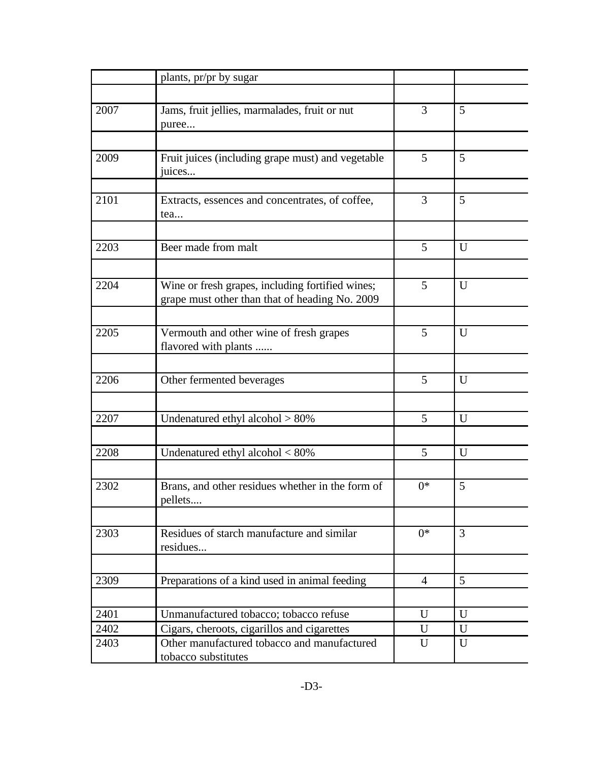|              | plants, pr/pr by sugar                                                                             |                 |                            |
|--------------|----------------------------------------------------------------------------------------------------|-----------------|----------------------------|
|              |                                                                                                    |                 |                            |
| 2007         | Jams, fruit jellies, marmalades, fruit or nut<br>puree                                             | 3               | 5                          |
|              |                                                                                                    |                 |                            |
| 2009         | Fruit juices (including grape must) and vegetable<br>juices                                        | 5               | 5                          |
|              |                                                                                                    |                 |                            |
| 2101         | Extracts, essences and concentrates, of coffee,<br>tea                                             | $\overline{3}$  | 5                          |
|              |                                                                                                    |                 |                            |
| 2203         | Beer made from malt                                                                                | 5               | U                          |
| 2204         | Wine or fresh grapes, including fortified wines;<br>grape must other than that of heading No. 2009 | 5               | $\mathbf{U}$               |
|              |                                                                                                    |                 |                            |
| 2205         | Vermouth and other wine of fresh grapes<br>flavored with plants                                    | 5               | $\mathbf{U}$               |
|              |                                                                                                    |                 |                            |
| 2206         | Other fermented beverages                                                                          | $5\overline{)}$ | $\mathbf U$                |
|              |                                                                                                    |                 |                            |
| 2207         | Undenatured ethyl alcohol > 80%                                                                    | 5               | $\mathbf{U}$               |
| 2208         | Undenatured ethyl alcohol < 80%                                                                    | 5               | U                          |
|              |                                                                                                    |                 |                            |
| 2302         | Brans, and other residues whether in the form of<br>pellets                                        | $0*$            | 5                          |
|              |                                                                                                    |                 |                            |
| 2303         | Residues of starch manufacture and similar<br>residues                                             | $0^*$           | 3                          |
|              |                                                                                                    |                 |                            |
| 2309         | Preparations of a kind used in animal feeding                                                      | $\overline{4}$  | 5                          |
|              |                                                                                                    |                 |                            |
| 2401         | Unmanufactured tobacco; tobacco refuse                                                             | U               | $\mathbf{U}$               |
| 2402<br>2403 | Cigars, cheroots, cigarillos and cigarettes<br>Other manufactured tobacco and manufactured         | U<br>U          | $\mathbf U$<br>$\mathbf U$ |
|              | tobacco substitutes                                                                                |                 |                            |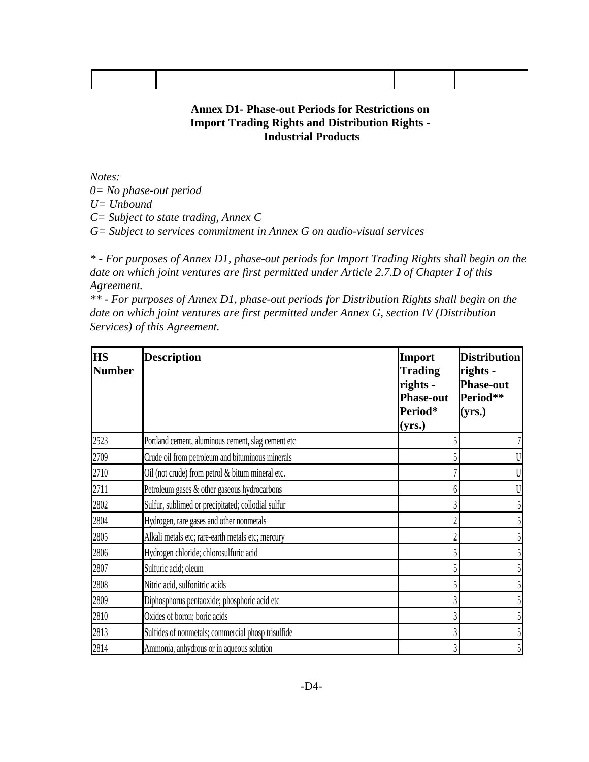## **Annex D1- Phase-out Periods for Restrictions on Import Trading Rights and Distribution Rights - Industrial Products**

*Notes:*

*0= No phase-out period*

*U= Unbound*

*C= Subject to state trading, Annex C*

*G= Subject to services commitment in Annex G on audio-visual services*

*\* - For purposes of Annex D1, phase-out periods for Import Trading Rights shall begin on the date on which joint ventures are first permitted under Article 2.7.D of Chapter I of this Agreement.*

*\*\* - For purposes of Annex D1, phase-out periods for Distribution Rights shall begin on the date on which joint ventures are first permitted under Annex G, section IV (Distribution Services) of this Agreement.*

| <b>HS</b><br><b>Number</b> | <b>Description</b>                                  | Import<br><b>Trading</b><br>rights -<br><b>Phase-out</b><br>Period*<br>(yrs.) | <b>Distribution</b><br>rights -<br><b>Phase-out</b><br>Period**<br>(yrs.) |
|----------------------------|-----------------------------------------------------|-------------------------------------------------------------------------------|---------------------------------------------------------------------------|
| 2523                       | Portland cement, aluminous cement, slag cement etc. |                                                                               |                                                                           |
| 2709                       | Crude oil from petroleum and bituminous minerals    |                                                                               | $\mathbf U$                                                               |
| 2710                       | Oil (not crude) from petrol & bitum mineral etc.    |                                                                               | $\mathbf U$                                                               |
| 2711                       | Petroleum gases & other gaseous hydrocarbons        | 6                                                                             | U                                                                         |
| 2802                       | Sulfur, sublimed or precipitated; collodial sulfur  |                                                                               | 5                                                                         |
| 2804                       | Hydrogen, rare gases and other nonmetals            |                                                                               |                                                                           |
| 2805                       | Alkali metals etc; rare-earth metals etc; mercury   |                                                                               |                                                                           |
| 2806                       | Hydrogen chloride; chlorosulfuric acid              |                                                                               | 5                                                                         |
| 2807                       | Sulfuric acid; oleum                                |                                                                               |                                                                           |
| 2808                       | Nitric acid, sulfonitric acids                      |                                                                               |                                                                           |
| 2809                       | Diphosphorus pentaoxide; phosphoric acid etc        |                                                                               |                                                                           |
| 2810                       | Oxides of boron; boric acids                        |                                                                               |                                                                           |
| 2813                       | Sulfides of nonmetals; commercial phosp trisulfide  |                                                                               |                                                                           |
| 2814                       | Ammonia, anhydrous or in aqueous solution           |                                                                               |                                                                           |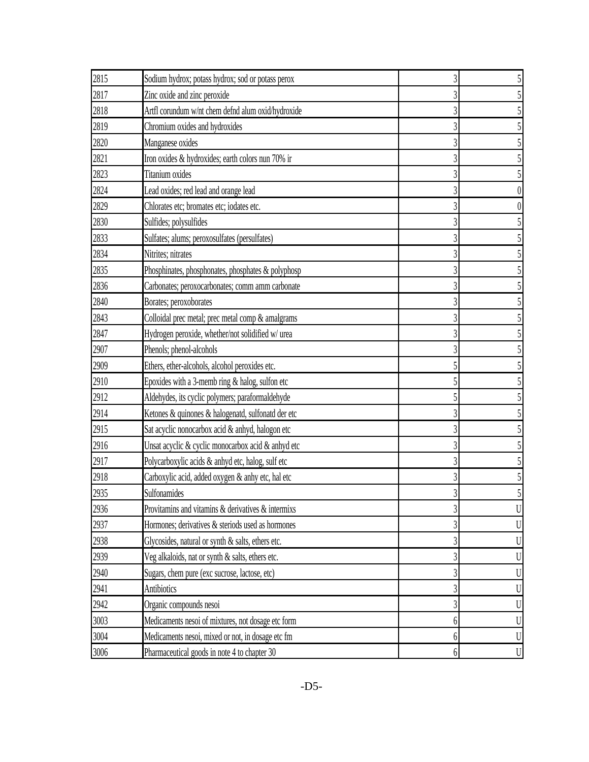| 2815 | Sodium hydrox; potass hydrox; sod or potass perox  |   |   |
|------|----------------------------------------------------|---|---|
| 2817 | Zinc oxide and zinc peroxide                       |   |   |
| 2818 | Artfl corundum w/nt chem defnd alum oxid/hydroxide | 3 |   |
| 2819 | Chromium oxides and hydroxides                     |   |   |
| 2820 | Manganese oxides                                   |   |   |
| 2821 | Iron oxides & hydroxides; earth colors nun 70% ir  | 3 |   |
| 2823 | <b>Titanium</b> oxides                             |   |   |
| 2824 | Lead oxides; red lead and orange lead              |   |   |
| 2829 | Chlorates etc; bromates etc; iodates etc.          |   |   |
| 2830 | Sulfides; polysulfides                             |   |   |
| 2833 | Sulfates; alums; peroxosulfates (persulfates)      | 3 |   |
| 2834 | Nitrites; nitrates                                 |   |   |
| 2835 | Phosphinates, phosphonates, phosphates & polyphosp | 3 |   |
| 2836 | Carbonates; peroxocarbonates; comm amm carbonate   |   |   |
| 2840 | Borates; peroxoborates                             | 3 |   |
| 2843 | Colloidal prec metal; prec metal comp & amalgrams  | 3 |   |
| 2847 | Hydrogen peroxide, whether/not solidified w/ urea  |   |   |
| 2907 | Phenols; phenol-alcohols                           | 3 |   |
| 2909 | Ethers, ether-alcohols, alcohol peroxides etc.     |   |   |
| 2910 | Epoxides with a 3-memb ring & halog, sulfon etc    |   |   |
| 2912 | Aldehydes, its cyclic polymers; paraformaldehyde   |   |   |
| 2914 | Ketones & quinones & halogenatd, sulfonatd der etc |   |   |
| 2915 | Sat acyclic nonocarbox acid & anhyd, halogon etc   |   |   |
| 2916 | Unsat acyclic & cyclic monocarbox acid & anhyd etc | 3 |   |
| 2917 | Polycarboxylic acids & anhyd etc, halog, sulf etc  |   |   |
| 2918 | Carboxylic acid, added oxygen & anhy etc, hal etc  |   |   |
| 2935 | Sulfonamides                                       | 3 |   |
| 2936 | Provitamins and vitamins & derivatives & intermixs | 3 | U |
| 2937 | Hormones; derivatives & steriods used as hormones  |   | U |
| 2938 | Glycosides, natural or synth & salts, ethers etc.  | 3 | U |
| 2939 | Veg alkaloids, nat or synth & salts, ethers etc.   | 3 | U |
| 2940 | Sugars, chem pure (exc sucrose, lactose, etc)      | 3 |   |
| 2941 | <b>Antibiotics</b>                                 | 3 | U |
| 2942 | Organic compounds nesoi                            |   |   |
| 3003 | Medicaments nesoi of mixtures, not dosage etc form | 6 | U |
| 3004 | Medicaments nesoi, mixed or not, in dosage etc fm  | 6 | U |
| 3006 | Pharmaceutical goods in note 4 to chapter 30       | 6 | U |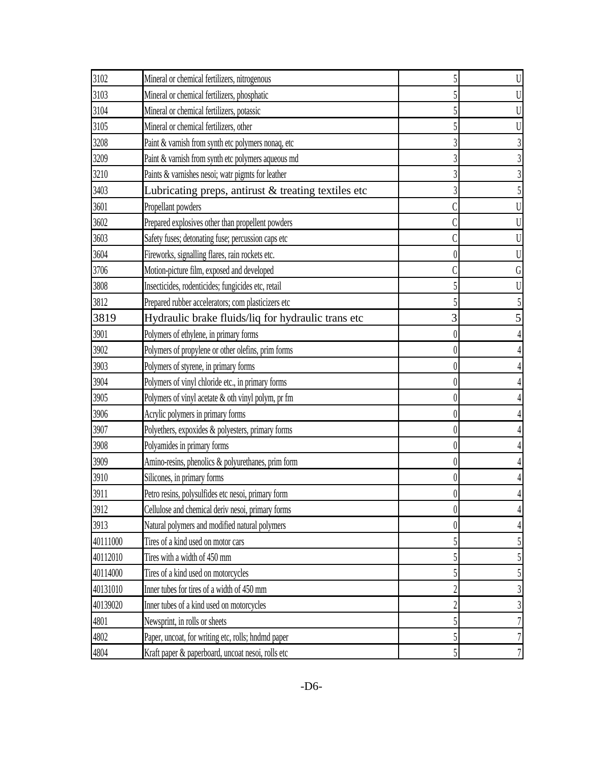| 3102     | Mineral or chemical fertilizers, nitrogenous        |                  | $\mathbf U$                |
|----------|-----------------------------------------------------|------------------|----------------------------|
| 3103     | Mineral or chemical fertilizers, phosphatic         |                  | $\mathbf U$                |
| 3104     | Mineral or chemical fertilizers, potassic           |                  | U                          |
| 3105     | Mineral or chemical fertilizers, other              |                  | $\mathbf U$                |
| 3208     | Paint & varnish from synth etc polymers nonaq, etc  |                  | $\sqrt{3}$                 |
| 3209     | Paint & varnish from synth etc polymers aqueous md  |                  | 3                          |
| 3210     | Paints & varnishes nesoi; watr pigmts for leather   |                  | 3                          |
| 3403     | Lubricating preps, antirust & treating textiles etc |                  | 5                          |
| 3601     | Propellant powders                                  |                  | $\boldsymbol{\mathrm{U}}%$ |
| 3602     | Prepared explosives other than propellent powders   |                  | U                          |
| 3603     | Safety fuses; detonating fuse; percussion caps etc  |                  | $\boldsymbol{\mathrm{U}}%$ |
| 3604     | Fireworks, signalling flares, rain rockets etc.     | $\left( \right)$ | $\mathbf U$                |
| 3706     | Motion-picture film, exposed and developed          |                  | ${\rm G}$                  |
| 3808     | Insecticides, rodenticides; fungicides etc, retail  |                  | $\boldsymbol{\mathrm{U}}%$ |
| 3812     | Prepared rubber accelerators; com plasticizers etc  |                  | 5                          |
| 3819     | Hydraulic brake fluids/liq for hydraulic trans etc  | 3                | 5                          |
| 3901     | Polymers of ethylene, in primary forms              |                  |                            |
| 3902     | Polymers of propylene or other olefins, prim forms  |                  |                            |
| 3903     | Polymers of styrene, in primary forms               |                  |                            |
| 3904     | Polymers of vinyl chloride etc., in primary forms   |                  |                            |
| 3905     | Polymers of vinyl acetate & oth vinyl polym, pr fm  |                  |                            |
| 3906     | Acrylic polymers in primary forms                   |                  |                            |
| 3907     | Polyethers, expoxides & polyesters, primary forms   |                  |                            |
| 3908     | Polyamides in primary forms                         |                  |                            |
| 3909     | Amino-resins, phenolics & polyurethanes, prim form  |                  |                            |
| 3910     | Silicones, in primary forms                         | 0                |                            |
| 3911     | Petro resins, polysulfides etc nesoi, primary form  |                  | 4                          |
| 3912     | Cellulose and chemical deriv nesoi, primary forms   | 0                | 4                          |
| 3913     | Natural polymers and modified natural polymers      | 0                | $\overline{4}$             |
| 40111000 | Tires of a kind used on motor cars                  |                  | 5                          |
| 40112010 | Tires with a width of 450 mm                        |                  | 5                          |
| 40114000 | Tires of a kind used on motorcycles                 |                  | 5                          |
| 40131010 | Inner tubes for tires of a width of 450 mm          |                  | $\mathfrak z$              |
| 40139020 | Inner tubes of a kind used on motorcycles           |                  | 3                          |
| 4801     | Newsprint, in rolls or sheets                       |                  | 7                          |
| 4802     | Paper, uncoat, for writing etc, rolls; hndmd paper  | 5                | 7                          |
| 4804     | Kraft paper & paperboard, uncoat nesoi, rolls etc   | 5                | 7 <sup>1</sup>             |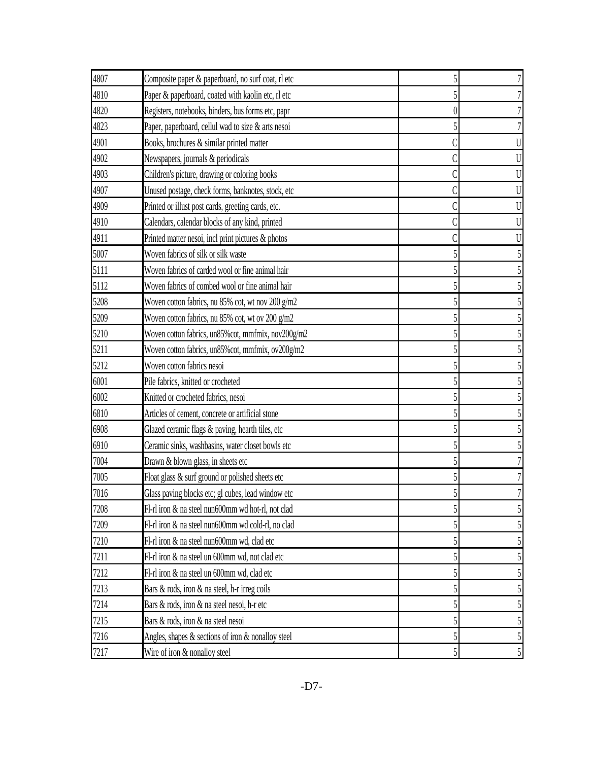| 4807 | Composite paper & paperboard, no surf coat, rl etc  |   |                |
|------|-----------------------------------------------------|---|----------------|
| 4810 | Paper & paperboard, coated with kaolin etc, rl etc  |   |                |
| 4820 | Registers, notebooks, binders, bus forms etc, papr  |   |                |
| 4823 | Paper, paperboard, cellul wad to size & arts nesoi  |   |                |
| 4901 | Books, brochures & similar printed matter           | C | U              |
| 4902 | Newspapers, journals & periodicals                  |   | U              |
| 4903 | Children's picture, drawing or coloring books       | C | U              |
| 4907 | Unused postage, check forms, banknotes, stock, etc  | C | U              |
| 4909 | Printed or illust post cards, greeting cards, etc.  | C | U              |
| 4910 | Calendars, calendar blocks of any kind, printed     |   | U              |
| 4911 | Printed matter nesoi, incl print pictures & photos  |   | U              |
| 5007 | Woven fabrics of silk or silk waste                 |   |                |
| 5111 | Woven fabrics of carded wool or fine animal hair    |   |                |
| 5112 | Woven fabrics of combed wool or fine animal hair    |   | 5              |
| 5208 | Woven cotton fabrics, nu 85% cot, wt nov 200 g/m2   |   |                |
| 5209 | Woven cotton fabrics, nu 85% cot, wt ov 200 g/m2    |   |                |
| 5210 | Woven cotton fabrics, un85% cot, mmfmix, nov200g/m2 |   |                |
| 5211 | Woven cotton fabrics, un85% cot, mmfmix, ov200g/m2  |   |                |
| 5212 | Woven cotton fabrics nesoi                          |   | 5              |
| 6001 | Pile fabrics, knitted or crocheted                  |   |                |
| 6002 | Knitted or crocheted fabrics, nesoi                 |   |                |
| 6810 | Articles of cement, concrete or artificial stone    |   | 5              |
| 6908 | Glazed ceramic flags & paving, hearth tiles, etc    |   | 5              |
| 6910 | Ceramic sinks, washbasins, water closet bowls etc   |   |                |
| 7004 | Drawn & blown glass, in sheets etc                  |   |                |
| 7005 | Float glass & surf ground or polished sheets etc    |   |                |
| 7016 | Glass paving blocks etc; gl cubes, lead window etc  |   | 7              |
| 7208 | Fl-rl iron & na steel nun600mm wd hot-rl, not clad  |   | $\sqrt{5}$     |
| 7209 | Fl-rl iron & na steel nun600mm wd cold-rl, no clad  |   | 5              |
| 7210 | Fl-rl iron & na steel nun600mm wd, clad etc         |   | 5              |
| 7211 | Fl-rl iron & na steel un 600mm wd, not clad etc     |   | 5              |
| 7212 | Fl-rl iron & na steel un 600mm wd, clad etc         |   | 5              |
| 7213 | Bars & rods, iron & na steel, h-r irreg coils       |   | 5              |
| 7214 | Bars & rods, iron & na steel nesoi, h-r etc         |   | 5              |
| 7215 | Bars & rods, iron & na steel nesoi                  |   | 5              |
| 7216 | Angles, shapes & sections of iron & nonalloy steel  |   | 5              |
| 7217 | Wire of iron & nonalloy steel                       | 5 | $\overline{5}$ |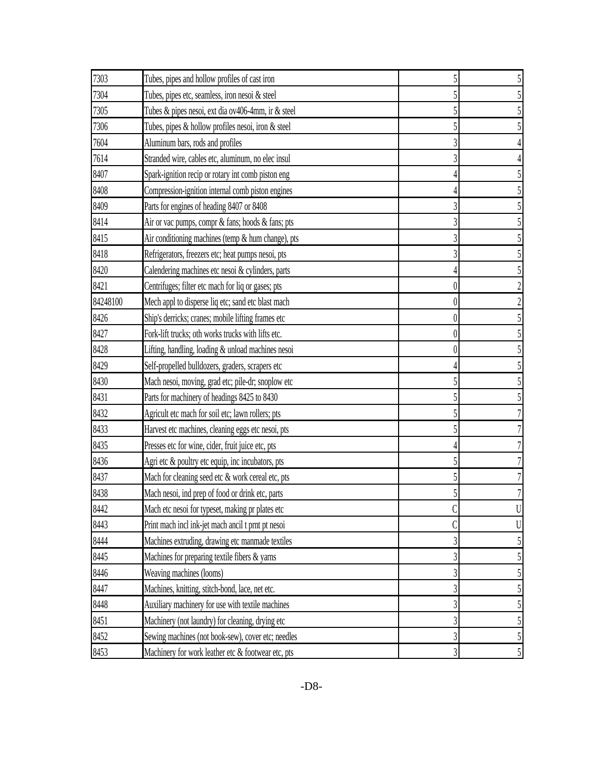| 7303     | Tubes, pipes and hollow profiles of cast iron      |                  |   |
|----------|----------------------------------------------------|------------------|---|
| 7304     | Tubes, pipes etc, seamless, iron nesoi & steel     |                  |   |
| 7305     | Tubes & pipes nesoi, ext dia ov406-4mm, ir & steel |                  |   |
| 7306     | Tubes, pipes & hollow profiles nesoi, iron & steel |                  |   |
| 7604     | Aluminum bars, rods and profiles                   |                  |   |
| 7614     | Stranded wire, cables etc, aluminum, no elec insul |                  |   |
| 8407     | Spark-ignition recip or rotary int comb piston eng |                  |   |
| 8408     | Compression-ignition internal comb piston engines  |                  |   |
| 8409     | Parts for engines of heading 8407 or 8408          |                  |   |
| 8414     | Air or vac pumps, compr & fans; hoods & fans; pts  | 3                |   |
| 8415     | Air conditioning machines (temp & hum change), pts | 3                |   |
| 8418     | Refrigerators, freezers etc; heat pumps nesoi, pts | 3                |   |
| 8420     | Calendering machines etc nesoi & cylinders, parts  |                  |   |
| 8421     | Centrifuges; filter etc mach for liq or gases; pts | 0                | 2 |
| 84248100 | Mech appl to disperse liq etc; sand etc blast mach | $\boldsymbol{0}$ | 2 |
| 8426     | Ship's derricks; cranes; mobile lifting frames etc | $\boldsymbol{0}$ |   |
| 8427     | Fork-lift trucks; oth works trucks with lifts etc. | $\boldsymbol{0}$ |   |
| 8428     | Lifting, handling, loading & unload machines nesoi | $\boldsymbol{0}$ |   |
| 8429     | Self-propelled bulldozers, graders, scrapers etc   |                  | 5 |
| 8430     | Mach nesoi, moving, grad etc; pile-dr; snoplow etc |                  |   |
| 8431     | Parts for machinery of headings 8425 to 8430       | 5                |   |
| 8432     | Agricult etc mach for soil etc; lawn rollers; pts  |                  |   |
| 8433     | Harvest etc machines, cleaning eggs etc nesoi, pts |                  |   |
| 8435     | Presses etc for wine, cider, fruit juice etc, pts  |                  |   |
| 8436     | Agri etc & poultry etc equip, inc incubators, pts  | 5                |   |
| 8437     | Mach for cleaning seed etc & work cereal etc, pts  |                  |   |
| 8438     | Mach nesoi, ind prep of food or drink etc, parts   | 5                |   |
| 8442     | Mach etc nesoi for typeset, making pr plates etc   | C                | U |
| 8443     | Print mach incl ink-jet mach ancil t prnt pt nesoi | C                |   |
| 8444     | Machines extruding, drawing etc manmade textiles   | 3                |   |
| 8445     | Machines for preparing textile fibers & yarns      | 3                |   |
| 8446     | Weaving machines (looms)                           | 3                |   |
| 8447     | Machines, knitting, stitch-bond, lace, net etc.    | 3                | 5 |
| 8448     | Auxiliary machinery for use with textile machines  |                  |   |
| 8451     | Machinery (not laundry) for cleaning, drying etc   | 3                |   |
| 8452     | Sewing machines (not book-sew), cover etc; needles | 3                | 5 |
| 8453     | Machinery for work leather etc & footwear etc, pts | 3                | 5 |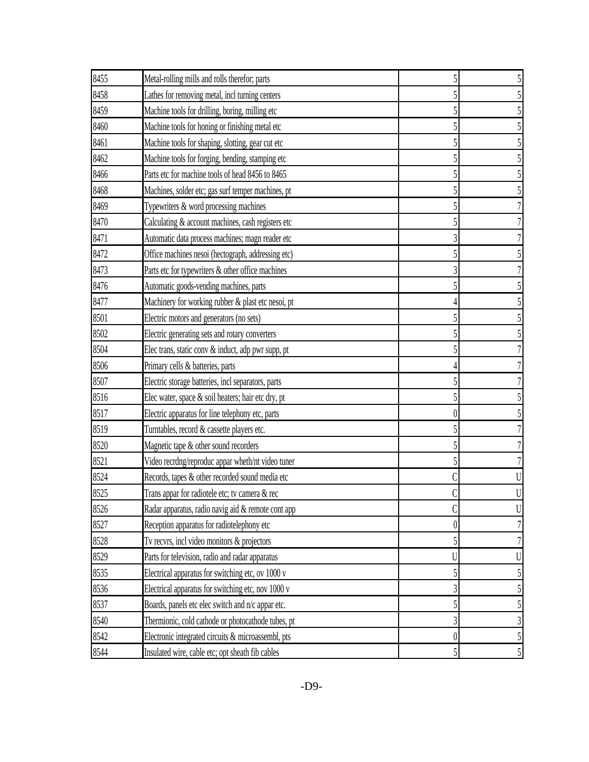| 8455 |                                                    |                  |   |
|------|----------------------------------------------------|------------------|---|
| 8458 | Metal-rolling mills and rolls therefor; parts      |                  |   |
|      | Lathes for removing metal, incl turning centers    |                  |   |
| 8459 | Machine tools for drilling, boring, milling etc    |                  |   |
| 8460 | Machine tools for honing or finishing metal etc    |                  |   |
| 8461 | Machine tools for shaping, slotting, gear cut etc  |                  |   |
| 8462 | Machine tools for forging, bending, stamping etc   |                  |   |
| 8466 | Parts etc for machine tools of head 8456 to 8465   |                  |   |
| 8468 | Machines, solder etc; gas surf temper machines, pt |                  |   |
| 8469 | Typewriters & word processing machines             |                  |   |
| 8470 | Calculating & account machines, cash registers etc |                  |   |
| 8471 | Automatic data process machines; magn reader etc   |                  |   |
| 8472 | Office machines nesoi (hectograph, addressing etc) |                  |   |
| 8473 | Parts etc for typewriters & other office machines  |                  |   |
| 8476 | Automatic goods-vending machines, parts            |                  |   |
| 8477 | Machinery for working rubber & plast etc nesoi, pt |                  |   |
| 8501 | Electric motors and generators (no sets)           |                  |   |
| 8502 | Electric generating sets and rotary converters     |                  |   |
| 8504 | Elec trans, static conv & induct, adp pwr supp, pt |                  |   |
| 8506 | Primary cells & batteries, parts                   |                  |   |
| 8507 | Electric storage batteries, incl separators, parts |                  |   |
| 8516 | Elec water, space & soil heaters; hair etc dry, pt | 5                |   |
| 8517 | Electric apparatus for line telephony etc, parts   | 0                |   |
| 8519 | Turntables, record & cassette players etc.         |                  |   |
| 8520 | Magnetic tape & other sound recorders              |                  |   |
| 8521 | Video recrdng/reproduc appar wheth/nt video tuner  |                  |   |
| 8524 | Records, tapes & other recorded sound media etc    |                  | U |
| 8525 | Trans appar for radiotele etc; tv camera & rec     |                  | U |
| 8526 | Radar apparatus, radio navig aid & remote cont app | C                | U |
| 8527 | Reception apparatus for radiotelephony etc         | 0                |   |
| 8528 | Tv recvrs, incl video monitors & projectors        |                  |   |
| 8529 | Parts for television, radio and radar apparatus    | U                |   |
| 8535 | Electrical apparatus for switching etc, ov 1000 v  |                  |   |
| 8536 | Electrical apparatus for switching etc, nov 1000 v | 3                |   |
| 8537 | Boards, panels etc elec switch and n/c appar etc.  |                  |   |
| 8540 | Thermionic, cold cathode or photocathode tubes, pt | 3                |   |
| 8542 | Electronic integrated circuits & microassembl, pts | $\boldsymbol{0}$ | 5 |
| 8544 | Insulated wire, cable etc; opt sheath fib cables   | 5                |   |
|      |                                                    |                  |   |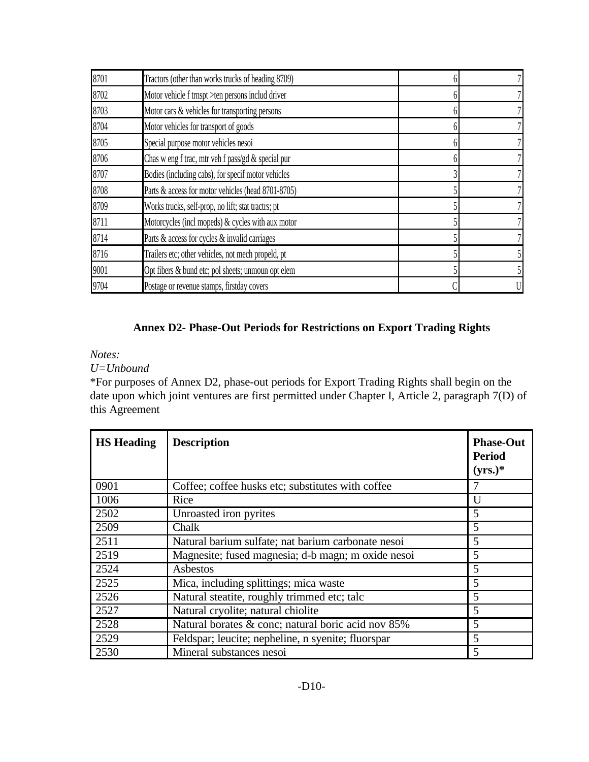| 8701 | Tractors (other than works trucks of heading 8709) |   |
|------|----------------------------------------------------|---|
| 8702 | Motor vehicle f trnspt >ten persons includ driver  |   |
| 8703 | Motor cars & vehicles for transporting persons     |   |
| 8704 | Motor vehicles for transport of goods              |   |
| 8705 | Special purpose motor vehicles nesoi               |   |
| 8706 | Chas w eng f trac, mtr veh f pass/gd & special pur |   |
| 8707 | Bodies (including cabs), for specif motor vehicles |   |
| 8708 | Parts & access for motor vehicles (head 8701-8705) |   |
| 8709 | Works trucks, self-prop, no lift; stat tractrs; pt |   |
| 8711 | Motorcycles (incl mopeds) & cycles with aux motor  |   |
| 8714 | Parts & access for cycles & invalid carriages      |   |
| 8716 | Trailers etc; other vehicles, not mech propeld, pt |   |
| 9001 | Opt fibers & bund etc; pol sheets; unmoun opt elem |   |
| 9704 | Postage or revenue stamps, firstday covers         | U |

## **Annex D2- Phase-Out Periods for Restrictions on Export Trading Rights**

*Notes:* 

*U=Unbound*

\*For purposes of Annex D2, phase-out periods for Export Trading Rights shall begin on the date upon which joint ventures are first permitted under Chapter I, Article 2, paragraph 7(D) of this Agreement

| <b>HS Heading</b> | <b>Description</b>                                 | <b>Phase-Out</b><br><b>Period</b><br>$(yrs.)^*$ |
|-------------------|----------------------------------------------------|-------------------------------------------------|
| 0901              | Coffee; coffee husks etc; substitutes with coffee  | 7                                               |
| 1006              | Rice                                               | U                                               |
| 2502              | Unroasted iron pyrites                             | 5                                               |
| 2509              | Chalk                                              | 5                                               |
| 2511              | Natural barium sulfate; nat barium carbonate nesoi | 5                                               |
| 2519              | Magnesite; fused magnesia; d-b magn; m oxide nesoi | 5                                               |
| 2524              | Asbestos                                           | 5                                               |
| 2525              | Mica, including splittings; mica waste             | 5                                               |
| 2526              | Natural steatite, roughly trimmed etc; talc        | 5                                               |
| 2527              | Natural cryolite; natural chiolite                 | 5                                               |
| 2528              | Natural borates & conc; natural boric acid nov 85% | 5                                               |
| 2529              | Feldspar; leucite; nepheline, n syenite; fluorspar | 5                                               |
| 2530              | Mineral substances nesoi                           | 5                                               |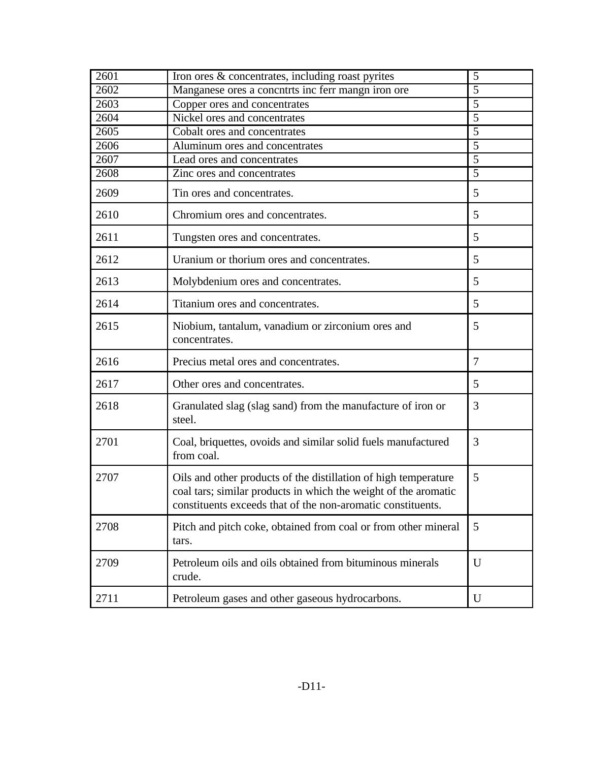| 2601 | Iron ores & concentrates, including roast pyrites                                                                                                                                                 | 5              |
|------|---------------------------------------------------------------------------------------------------------------------------------------------------------------------------------------------------|----------------|
| 2602 | Manganese ores a concntrts inc ferr mangn iron ore                                                                                                                                                | $\overline{5}$ |
| 2603 | Copper ores and concentrates                                                                                                                                                                      | 5              |
| 2604 | Nickel ores and concentrates                                                                                                                                                                      | $\overline{5}$ |
| 2605 | Cobalt ores and concentrates                                                                                                                                                                      | $\overline{5}$ |
| 2606 | Aluminum ores and concentrates                                                                                                                                                                    | 5              |
| 2607 | Lead ores and concentrates                                                                                                                                                                        | $\overline{5}$ |
| 2608 | Zinc ores and concentrates                                                                                                                                                                        | 5              |
| 2609 | Tin ores and concentrates.                                                                                                                                                                        | 5              |
| 2610 | Chromium ores and concentrates.                                                                                                                                                                   | 5              |
| 2611 | Tungsten ores and concentrates.                                                                                                                                                                   | 5              |
| 2612 | Uranium or thorium ores and concentrates.                                                                                                                                                         | 5              |
| 2613 | Molybdenium ores and concentrates.                                                                                                                                                                | 5              |
| 2614 | Titanium ores and concentrates.                                                                                                                                                                   | 5              |
| 2615 | Niobium, tantalum, vanadium or zirconium ores and<br>concentrates.                                                                                                                                | 5              |
| 2616 | Precius metal ores and concentrates.                                                                                                                                                              | 7              |
| 2617 | Other ores and concentrates.                                                                                                                                                                      | 5              |
| 2618 | Granulated slag (slag sand) from the manufacture of iron or<br>steel.                                                                                                                             | 3              |
| 2701 | Coal, briquettes, ovoids and similar solid fuels manufactured<br>from coal.                                                                                                                       | 3              |
| 2707 | Oils and other products of the distillation of high temperature<br>coal tars; similar products in which the weight of the aromatic<br>constituents exceeds that of the non-aromatic constituents. | 5              |
| 2708 | Pitch and pitch coke, obtained from coal or from other mineral<br>tars.                                                                                                                           | 5              |
| 2709 | Petroleum oils and oils obtained from bituminous minerals<br>crude.                                                                                                                               | U              |
| 2711 | Petroleum gases and other gaseous hydrocarbons.                                                                                                                                                   | U              |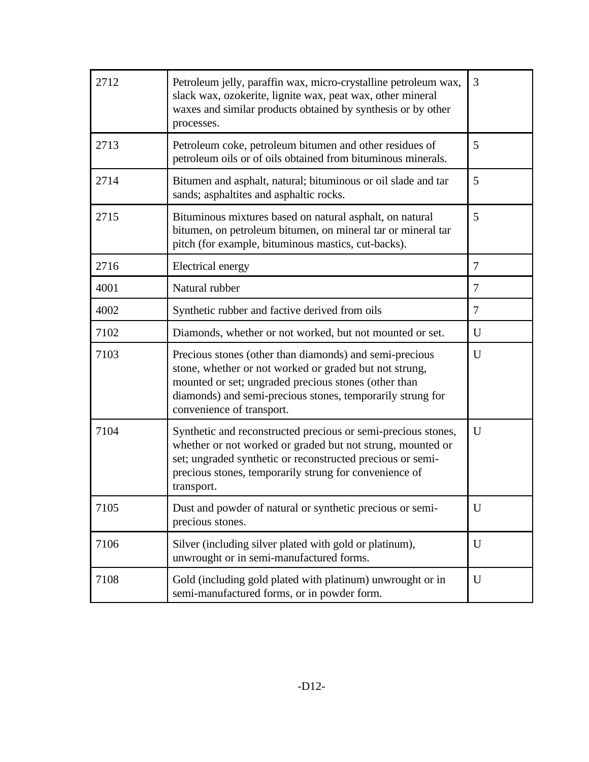| 2712 | Petroleum jelly, paraffin wax, micro-crystalline petroleum wax,<br>slack wax, ozokerite, lignite wax, peat wax, other mineral<br>waxes and similar products obtained by synthesis or by other<br>processes.                                                          | 3              |
|------|----------------------------------------------------------------------------------------------------------------------------------------------------------------------------------------------------------------------------------------------------------------------|----------------|
| 2713 | Petroleum coke, petroleum bitumen and other residues of<br>petroleum oils or of oils obtained from bituminous minerals.                                                                                                                                              | 5              |
| 2714 | Bitumen and asphalt, natural; bituminous or oil slade and tar<br>sands; asphaltites and asphaltic rocks.                                                                                                                                                             | 5              |
| 2715 | Bituminous mixtures based on natural asphalt, on natural<br>bitumen, on petroleum bitumen, on mineral tar or mineral tar<br>pitch (for example, bituminous mastics, cut-backs).                                                                                      | 5              |
| 2716 | Electrical energy                                                                                                                                                                                                                                                    | $\overline{7}$ |
| 4001 | Natural rubber                                                                                                                                                                                                                                                       | $\tau$         |
| 4002 | Synthetic rubber and factive derived from oils                                                                                                                                                                                                                       | $\overline{7}$ |
| 7102 | Diamonds, whether or not worked, but not mounted or set.                                                                                                                                                                                                             | $\mathbf U$    |
| 7103 | Precious stones (other than diamonds) and semi-precious<br>stone, whether or not worked or graded but not strung,<br>mounted or set; ungraded precious stones (other than<br>diamonds) and semi-precious stones, temporarily strung for<br>convenience of transport. | U              |
| 7104 | Synthetic and reconstructed precious or semi-precious stones,<br>whether or not worked or graded but not strung, mounted or<br>set; ungraded synthetic or reconstructed precious or semi-<br>precious stones, temporarily strung for convenience of<br>transport.    | U              |
| 7105 | Dust and powder of natural or synthetic precious or semi-<br>precious stones.                                                                                                                                                                                        | U              |
| 7106 | Silver (including silver plated with gold or platinum),<br>unwrought or in semi-manufactured forms.                                                                                                                                                                  | U              |
| 7108 | Gold (including gold plated with platinum) unwrought or in<br>semi-manufactured forms, or in powder form.                                                                                                                                                            | U              |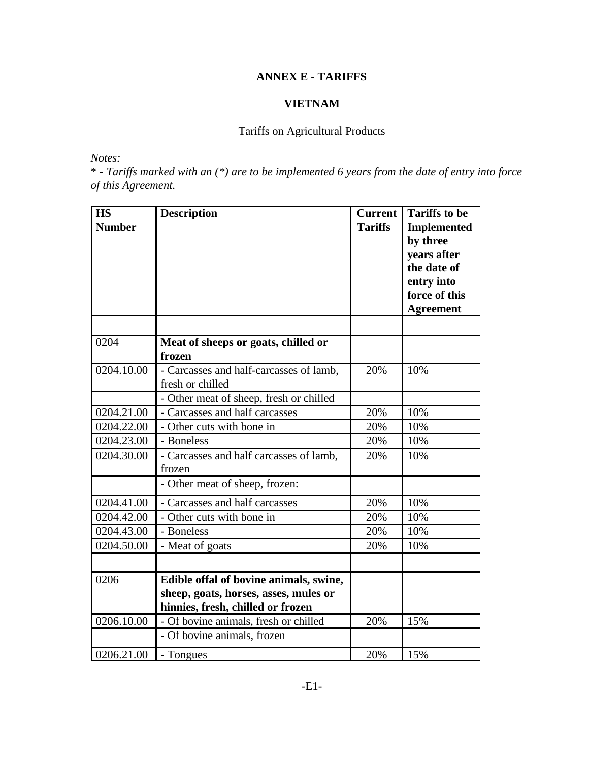# **ANNEX E - TARIFFS**

## **VIETNAM**

## Tariffs on Agricultural Products

*Notes:*

\* - *Tariffs marked with an (\*) are to be implemented 6 years from the date of entry into force of this Agreement.*

| <b>HS</b><br><b>Number</b> | <b>Description</b>                                                         | <b>Current</b><br><b>Tariffs</b> | <b>Tariffs to be</b><br><b>Implemented</b><br>by three<br>years after<br>the date of<br>entry into<br>force of this<br><b>Agreement</b> |
|----------------------------|----------------------------------------------------------------------------|----------------------------------|-----------------------------------------------------------------------------------------------------------------------------------------|
| 0204                       | Meat of sheeps or goats, chilled or                                        |                                  |                                                                                                                                         |
|                            | frozen                                                                     |                                  |                                                                                                                                         |
| 0204.10.00                 | - Carcasses and half-carcasses of lamb,<br>fresh or chilled                | 20%                              | 10%                                                                                                                                     |
|                            | - Other meat of sheep, fresh or chilled                                    |                                  |                                                                                                                                         |
| 0204.21.00                 | - Carcasses and half carcasses                                             | 20%                              | 10%                                                                                                                                     |
| 0204.22.00                 | - Other cuts with bone in                                                  | 20%                              | 10%                                                                                                                                     |
| 0204.23.00                 | - Boneless                                                                 | 20%                              | 10%                                                                                                                                     |
| 0204.30.00                 | - Carcasses and half carcasses of lamb,<br>frozen                          | 20%                              | 10%                                                                                                                                     |
|                            | - Other meat of sheep, frozen:                                             |                                  |                                                                                                                                         |
| 0204.41.00                 | - Carcasses and half carcasses                                             | 20%                              | 10%                                                                                                                                     |
| 0204.42.00                 | - Other cuts with bone in                                                  | 20%                              | 10%                                                                                                                                     |
| 0204.43.00                 | - Boneless                                                                 | 20%                              | 10%                                                                                                                                     |
| 0204.50.00                 | - Meat of goats                                                            | 20%                              | 10%                                                                                                                                     |
| 0206                       | Edible offal of bovine animals, swine,                                     |                                  |                                                                                                                                         |
|                            | sheep, goats, horses, asses, mules or<br>hinnies, fresh, chilled or frozen |                                  |                                                                                                                                         |
| 0206.10.00                 | - Of bovine animals, fresh or chilled                                      | 20%                              | 15%                                                                                                                                     |
|                            | - Of bovine animals, frozen                                                |                                  |                                                                                                                                         |
| 0206.21.00                 | - Tongues                                                                  | 20%                              | 15%                                                                                                                                     |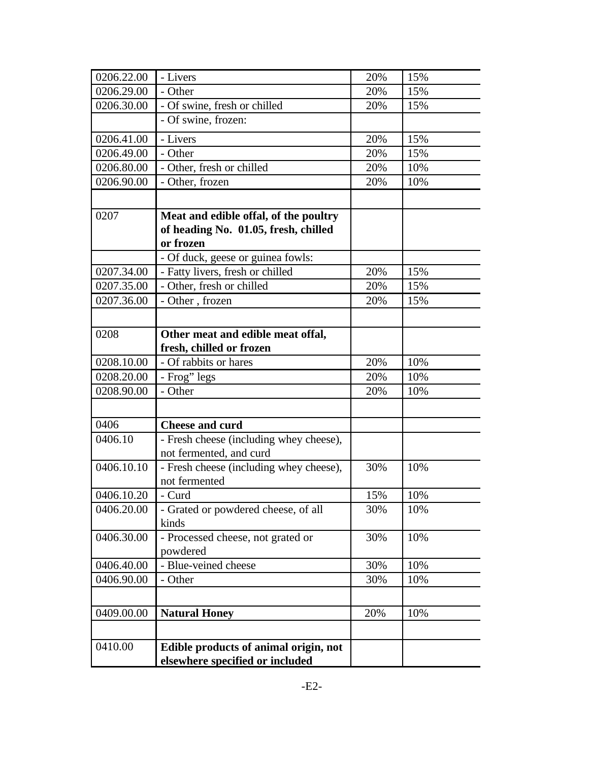| 0206.22.00 | - Livers                                     | 20% | 15% |
|------------|----------------------------------------------|-----|-----|
| 0206.29.00 | - Other                                      | 20% | 15% |
| 0206.30.00 | - Of swine, fresh or chilled                 | 20% | 15% |
|            | - Of swine, frozen:                          |     |     |
| 0206.41.00 | - Livers                                     | 20% | 15% |
| 0206.49.00 | - Other                                      | 20% | 15% |
| 0206.80.00 | - Other, fresh or chilled                    | 20% | 10% |
| 0206.90.00 | - Other, frozen                              | 20% | 10% |
|            |                                              |     |     |
| 0207       | Meat and edible offal, of the poultry        |     |     |
|            | of heading No. 01.05, fresh, chilled         |     |     |
|            | or frozen                                    |     |     |
|            | - Of duck, geese or guinea fowls:            |     |     |
| 0207.34.00 | - Fatty livers, fresh or chilled             | 20% | 15% |
| 0207.35.00 | - Other, fresh or chilled                    | 20% | 15% |
| 0207.36.00 | - Other, frozen                              | 20% | 15% |
|            |                                              |     |     |
| 0208       | Other meat and edible meat offal,            |     |     |
|            | fresh, chilled or frozen                     |     |     |
| 0208.10.00 | - Of rabbits or hares                        | 20% | 10% |
| 0208.20.00 | - Frog" legs                                 | 20% | 10% |
| 0208.90.00 | - Other                                      | 20% | 10% |
|            |                                              |     |     |
| 0406       | <b>Cheese and curd</b>                       |     |     |
| 0406.10    | - Fresh cheese (including whey cheese),      |     |     |
|            | not fermented, and curd                      |     |     |
| 0406.10.10 | - Fresh cheese (including whey cheese),      | 30% | 10% |
|            | not fermented                                |     |     |
| 0406.10.20 | - Curd                                       | 15% | 10% |
| 0406.20.00 | - Grated or powdered cheese, of all<br>kinds | 30% | 10% |
| 0406.30.00 | - Processed cheese, not grated or            | 30% | 10% |
|            | powdered                                     |     |     |
| 0406.40.00 | - Blue-veined cheese                         | 30% | 10% |
| 0406.90.00 | - Other                                      | 30% | 10% |
|            |                                              |     |     |
| 0409.00.00 | <b>Natural Honey</b>                         | 20% | 10% |
|            |                                              |     |     |
| 0410.00    | Edible products of animal origin, not        |     |     |
|            | elsewhere specified or included              |     |     |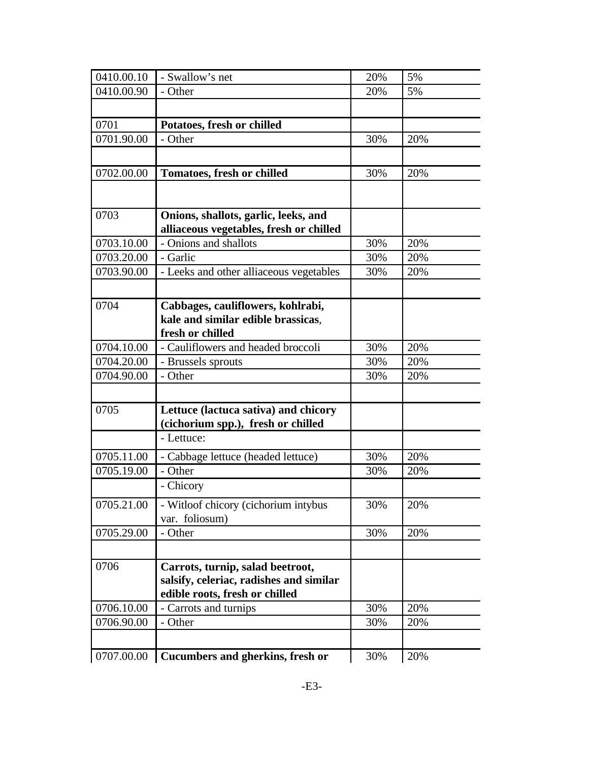| 0410.00.10 | - Swallow's net                         | 20% | $\overline{5\%}$ |
|------------|-----------------------------------------|-----|------------------|
| 0410.00.90 | - Other                                 | 20% | 5%               |
|            |                                         |     |                  |
| 0701       | Potatoes, fresh or chilled              |     |                  |
| 0701.90.00 | - Other                                 | 30% | 20%              |
|            |                                         |     |                  |
| 0702.00.00 | <b>Tomatoes, fresh or chilled</b>       | 30% | 20%              |
|            |                                         |     |                  |
| 0703       | Onions, shallots, garlic, leeks, and    |     |                  |
|            | alliaceous vegetables, fresh or chilled |     |                  |
| 0703.10.00 | - Onions and shallots                   | 30% | 20%              |
| 0703.20.00 | - Garlic                                | 30% | 20%              |
| 0703.90.00 | - Leeks and other alliaceous vegetables | 30% | 20%              |
|            |                                         |     |                  |
| 0704       | Cabbages, cauliflowers, kohlrabi,       |     |                  |
|            | kale and similar edible brassicas,      |     |                  |
|            | fresh or chilled                        |     |                  |
| 0704.10.00 | - Cauliflowers and headed broccoli      | 30% | 20%              |
| 0704.20.00 | - Brussels sprouts                      | 30% | 20%              |
| 0704.90.00 | - Other                                 | 30% | 20%              |
|            |                                         |     |                  |
| 0705       | Lettuce (lactuca sativa) and chicory    |     |                  |
|            | (cichorium spp.), fresh or chilled      |     |                  |
|            | - Lettuce:                              |     |                  |
| 0705.11.00 | - Cabbage lettuce (headed lettuce)      | 30% | 20%              |
| 0705.19.00 | - Other                                 | 30% | 20%              |
|            | - Chicory                               |     |                  |
| 0705.21.00 | - Witloof chicory (cichorium intybus    | 30% | 20%              |
|            | var. foliosum)                          |     |                  |
| 0705.29.00 | - Other                                 | 30% | 20%              |
|            |                                         |     |                  |
| 0706       | Carrots, turnip, salad beetroot,        |     |                  |
|            | salsify, celeriac, radishes and similar |     |                  |
|            | edible roots, fresh or chilled          |     |                  |
| 0706.10.00 | - Carrots and turnips                   | 30% | 20%              |
| 0706.90.00 | - Other                                 | 30% | 20%              |
|            |                                         |     |                  |
| 0707.00.00 | <b>Cucumbers and gherkins, fresh or</b> | 30% | 20%              |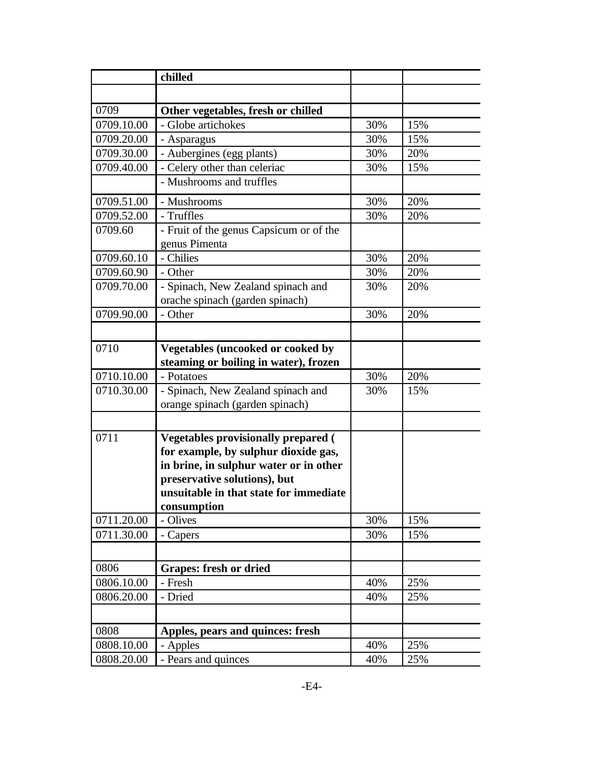|            | chilled                                                                                                                                                                                                               |     |     |
|------------|-----------------------------------------------------------------------------------------------------------------------------------------------------------------------------------------------------------------------|-----|-----|
|            |                                                                                                                                                                                                                       |     |     |
| 0709       | Other vegetables, fresh or chilled                                                                                                                                                                                    |     |     |
| 0709.10.00 | - Globe artichokes                                                                                                                                                                                                    | 30% | 15% |
| 0709.20.00 | - Asparagus                                                                                                                                                                                                           | 30% | 15% |
| 0709.30.00 | - Aubergines (egg plants)                                                                                                                                                                                             | 30% | 20% |
| 0709.40.00 | - Celery other than celeriac                                                                                                                                                                                          | 30% | 15% |
|            | - Mushrooms and truffles                                                                                                                                                                                              |     |     |
| 0709.51.00 | - Mushrooms                                                                                                                                                                                                           | 30% | 20% |
| 0709.52.00 | - Truffles                                                                                                                                                                                                            | 30% | 20% |
| 0709.60    | - Fruit of the genus Capsicum or of the<br>genus Pimenta                                                                                                                                                              |     |     |
| 0709.60.10 | - Chilies                                                                                                                                                                                                             | 30% | 20% |
| 0709.60.90 | - Other                                                                                                                                                                                                               | 30% | 20% |
| 0709.70.00 | - Spinach, New Zealand spinach and<br>orache spinach (garden spinach)                                                                                                                                                 | 30% | 20% |
| 0709.90.00 | - Other                                                                                                                                                                                                               | 30% | 20% |
|            |                                                                                                                                                                                                                       |     |     |
| 0710       | Vegetables (uncooked or cooked by<br>steaming or boiling in water), frozen                                                                                                                                            |     |     |
| 0710.10.00 | - Potatoes                                                                                                                                                                                                            | 30% | 20% |
| 0710.30.00 | - Spinach, New Zealand spinach and                                                                                                                                                                                    | 30% | 15% |
|            | orange spinach (garden spinach)                                                                                                                                                                                       |     |     |
|            |                                                                                                                                                                                                                       |     |     |
| 0711       | <b>Vegetables provisionally prepared (</b><br>for example, by sulphur dioxide gas,<br>in brine, in sulphur water or in other<br>preservative solutions), but<br>unsuitable in that state for immediate<br>consumption |     |     |
| 0711.20.00 | - Olives                                                                                                                                                                                                              | 30% | 15% |
| 0711.30.00 | - Capers                                                                                                                                                                                                              | 30% | 15% |
|            |                                                                                                                                                                                                                       |     |     |
| 0806       | <b>Grapes: fresh or dried</b>                                                                                                                                                                                         |     |     |
| 0806.10.00 | - Fresh                                                                                                                                                                                                               | 40% | 25% |
| 0806.20.00 | - Dried                                                                                                                                                                                                               | 40% | 25% |
|            |                                                                                                                                                                                                                       |     |     |
| 0808       | Apples, pears and quinces: fresh                                                                                                                                                                                      |     |     |
| 0808.10.00 | - Apples                                                                                                                                                                                                              | 40% | 25% |
| 0808.20.00 | - Pears and quinces                                                                                                                                                                                                   | 40% | 25% |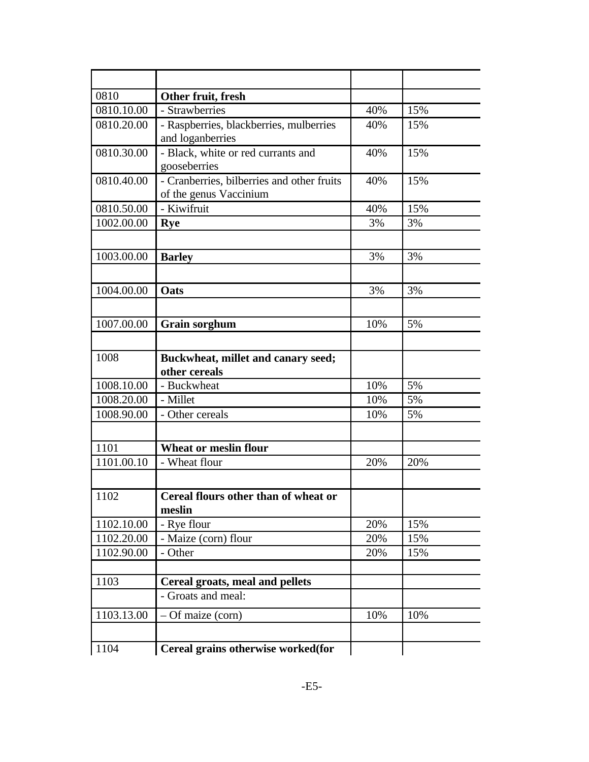| 0810                    | Other fruit, fresh                                                   |     |     |
|-------------------------|----------------------------------------------------------------------|-----|-----|
| 0810.10.00              | - Strawberries                                                       | 40% | 15% |
| 0810.20.00              | - Raspberries, blackberries, mulberries<br>and loganberries          | 40% | 15% |
| $0810.\overline{30.00}$ | - Black, white or red currants and<br>gooseberries                   | 40% | 15% |
| 0810.40.00              | - Cranberries, bilberries and other fruits<br>of the genus Vaccinium | 40% | 15% |
| 0810.50.00              | - Kiwifruit                                                          | 40% | 15% |
| 1002.00.00              | <b>Rye</b>                                                           | 3%  | 3%  |
|                         |                                                                      |     |     |
| 1003.00.00              | <b>Barley</b>                                                        | 3%  | 3%  |
|                         |                                                                      |     |     |
| 1004.00.00              | Oats                                                                 | 3%  | 3%  |
|                         |                                                                      |     |     |
| 1007.00.00              | <b>Grain sorghum</b>                                                 | 10% | 5%  |
| 1008                    | Buckwheat, millet and canary seed;                                   |     |     |
|                         | other cereals                                                        |     |     |
| 1008.10.00              | - Buckwheat                                                          | 10% | 5%  |
| 1008.20.00              | - Millet                                                             | 10% | 5%  |
| 1008.90.00              | - Other cereals                                                      | 10% | 5%  |
|                         |                                                                      |     |     |
| 1101                    | <b>Wheat or meslin flour</b>                                         |     |     |
| 1101.00.10              | - Wheat flour                                                        | 20% | 20% |
| 1102                    | Cereal flours other than of wheat or<br>meslin                       |     |     |
| 1102.10.00              | - Rye flour                                                          | 20% | 15% |
| 1102.20.00              | - Maize (corn) flour                                                 | 20% | 15% |
| 1102.90.00              | - Other                                                              | 20% | 15% |
| 1103                    | Cereal groats, meal and pellets                                      |     |     |
|                         | - Groats and meal:                                                   |     |     |
| 1103.13.00              | – Of maize (corn)                                                    | 10% | 10% |
|                         |                                                                      |     |     |
| 1104                    | Cereal grains otherwise worked(for                                   |     |     |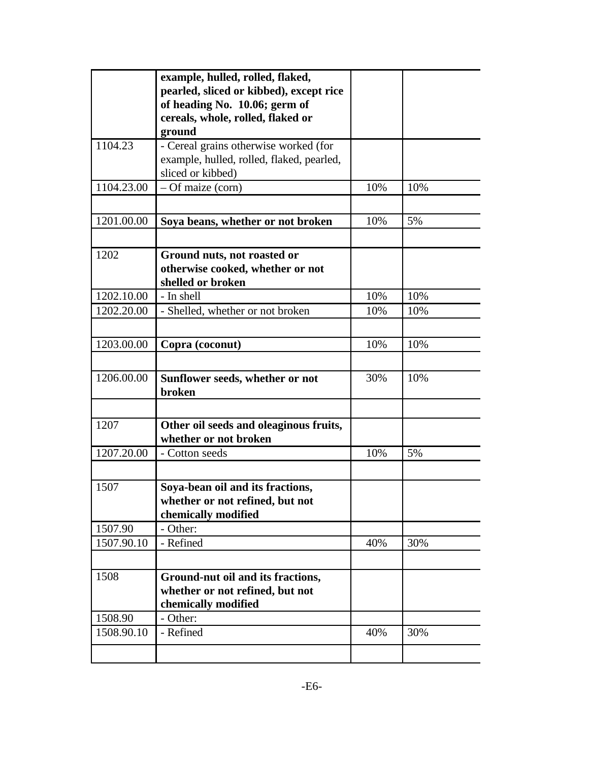|            | example, hulled, rolled, flaked,<br>pearled, sliced or kibbed), except rice  |     |     |
|------------|------------------------------------------------------------------------------|-----|-----|
|            | of heading No. 10.06; germ of<br>cereals, whole, rolled, flaked or<br>ground |     |     |
| 1104.23    | - Cereal grains otherwise worked (for                                        |     |     |
|            | example, hulled, rolled, flaked, pearled,                                    |     |     |
|            | sliced or kibbed)                                                            |     |     |
| 1104.23.00 | - Of maize (corn)                                                            | 10% | 10% |
|            |                                                                              |     |     |
| 1201.00.00 | Soya beans, whether or not broken                                            | 10% | 5%  |
|            |                                                                              |     |     |
| 1202       | Ground nuts, not roasted or                                                  |     |     |
|            | otherwise cooked, whether or not<br>shelled or broken                        |     |     |
| 1202.10.00 | - In shell                                                                   | 10% | 10% |
| 1202.20.00 | - Shelled, whether or not broken                                             | 10% | 10% |
|            |                                                                              |     |     |
| 1203.00.00 | Copra (coconut)                                                              | 10% | 10% |
|            |                                                                              |     |     |
| 1206.00.00 | Sunflower seeds, whether or not<br>broken                                    | 30% | 10% |
|            |                                                                              |     |     |
| 1207       | Other oil seeds and oleaginous fruits,<br>whether or not broken              |     |     |
| 1207.20.00 | - Cotton seeds                                                               | 10% | 5%  |
|            |                                                                              |     |     |
| 1507       | Soya-bean oil and its fractions,                                             |     |     |
|            | whether or not refined, but not                                              |     |     |
|            | chemically modified                                                          |     |     |
| 1507.90    | - Other:                                                                     |     |     |
| 1507.90.10 | - Refined                                                                    | 40% | 30% |
|            |                                                                              |     |     |
| 1508       | Ground-nut oil and its fractions,<br>whether or not refined, but not         |     |     |
|            | chemically modified                                                          |     |     |
| 1508.90    | - Other:                                                                     |     |     |
| 1508.90.10 | - Refined                                                                    | 40% | 30% |
|            |                                                                              |     |     |
|            |                                                                              |     |     |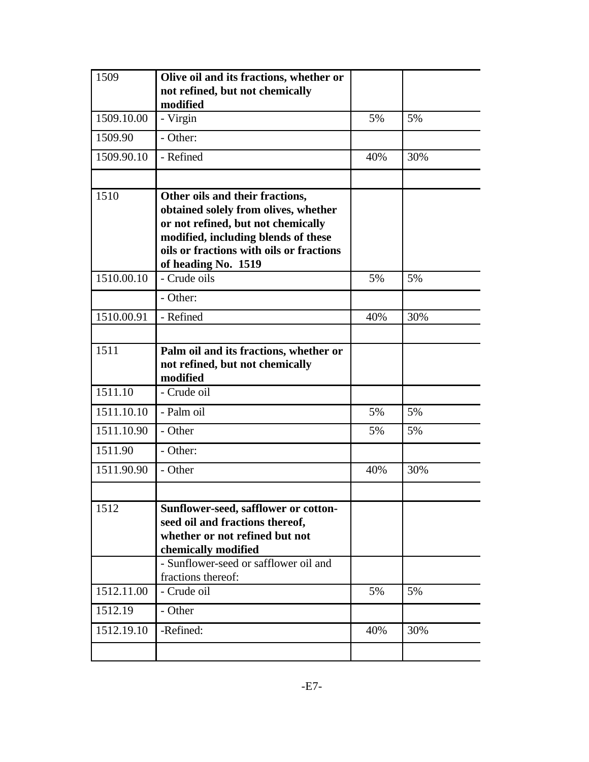| 1509       | Olive oil and its fractions, whether or<br>not refined, but not chemically<br>modified                                                                                                                                  |     |     |
|------------|-------------------------------------------------------------------------------------------------------------------------------------------------------------------------------------------------------------------------|-----|-----|
| 1509.10.00 | - Virgin                                                                                                                                                                                                                | 5%  | 5%  |
| 1509.90    | - Other:                                                                                                                                                                                                                |     |     |
| 1509.90.10 | - Refined                                                                                                                                                                                                               | 40% | 30% |
|            |                                                                                                                                                                                                                         |     |     |
| 1510       | Other oils and their fractions,<br>obtained solely from olives, whether<br>or not refined, but not chemically<br>modified, including blends of these<br>oils or fractions with oils or fractions<br>of heading No. 1519 |     |     |
| 1510.00.10 | - Crude oils                                                                                                                                                                                                            | 5%  | 5%  |
|            | - Other:                                                                                                                                                                                                                |     |     |
| 1510.00.91 | - Refined                                                                                                                                                                                                               | 40% | 30% |
| 1511       | Palm oil and its fractions, whether or<br>not refined, but not chemically<br>modified                                                                                                                                   |     |     |
| 1511.10    | - Crude oil                                                                                                                                                                                                             |     |     |
| 1511.10.10 | - Palm oil                                                                                                                                                                                                              | 5%  | 5%  |
| 1511.10.90 | - Other                                                                                                                                                                                                                 | 5%  | 5%  |
| 1511.90    | - Other:                                                                                                                                                                                                                |     |     |
| 1511.90.90 | - Other                                                                                                                                                                                                                 | 40% | 30% |
|            |                                                                                                                                                                                                                         |     |     |
| 1512       | Sunflower-seed, safflower or cotton-<br>seed oil and fractions thereof,<br>whether or not refined but not<br>chemically modified                                                                                        |     |     |
|            | - Sunflower-seed or safflower oil and                                                                                                                                                                                   |     |     |
| 1512.11.00 | fractions thereof:<br>- Crude oil                                                                                                                                                                                       | 5%  | 5%  |
| 1512.19    | - Other                                                                                                                                                                                                                 |     |     |
| 1512.19.10 | -Refined:                                                                                                                                                                                                               | 40% | 30% |
|            |                                                                                                                                                                                                                         |     |     |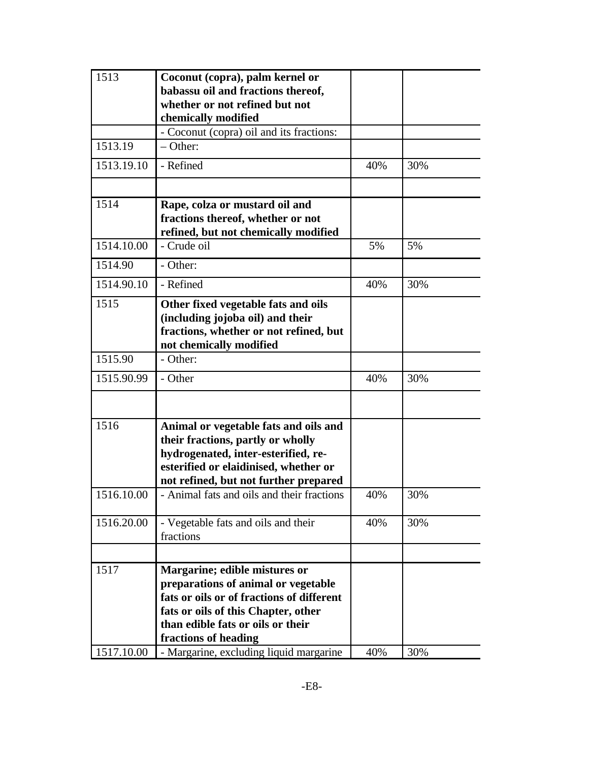| 1513       | Coconut (copra), palm kernel or<br>babassu oil and fractions thereof,                                                                                                                               |     |     |
|------------|-----------------------------------------------------------------------------------------------------------------------------------------------------------------------------------------------------|-----|-----|
|            | whether or not refined but not<br>chemically modified                                                                                                                                               |     |     |
|            | - Coconut (copra) oil and its fractions:                                                                                                                                                            |     |     |
| 1513.19    | $-$ Other:                                                                                                                                                                                          |     |     |
| 1513.19.10 | - Refined                                                                                                                                                                                           | 40% | 30% |
|            |                                                                                                                                                                                                     |     |     |
| 1514       | Rape, colza or mustard oil and<br>fractions thereof, whether or not<br>refined, but not chemically modified                                                                                         |     |     |
| 1514.10.00 | - Crude oil                                                                                                                                                                                         | 5%  | 5%  |
| 1514.90    | - Other:                                                                                                                                                                                            |     |     |
| 1514.90.10 | - Refined                                                                                                                                                                                           | 40% | 30% |
| 1515       | Other fixed vegetable fats and oils<br>(including jojoba oil) and their<br>fractions, whether or not refined, but<br>not chemically modified                                                        |     |     |
| 1515.90    | - Other:                                                                                                                                                                                            |     |     |
| 1515.90.99 | - Other                                                                                                                                                                                             | 40% | 30% |
|            |                                                                                                                                                                                                     |     |     |
| 1516       | Animal or vegetable fats and oils and<br>their fractions, partly or wholly<br>hydrogenated, inter-esterified, re-<br>esterified or elaidinised, whether or<br>not refined, but not further prepared |     |     |
| 1516.10.00 | - Animal fats and oils and their fractions                                                                                                                                                          | 40% | 30% |
| 1516.20.00 | - Vegetable fats and oils and their<br>fractions                                                                                                                                                    | 40% | 30% |
| 1517       | Margarine; edible mistures or<br>preparations of animal or vegetable<br>fats or oils or of fractions of different                                                                                   |     |     |
|            | fats or oils of this Chapter, other<br>than edible fats or oils or their                                                                                                                            |     |     |
| 1517.10.00 | fractions of heading<br>- Margarine, excluding liquid margarine                                                                                                                                     | 40% | 30% |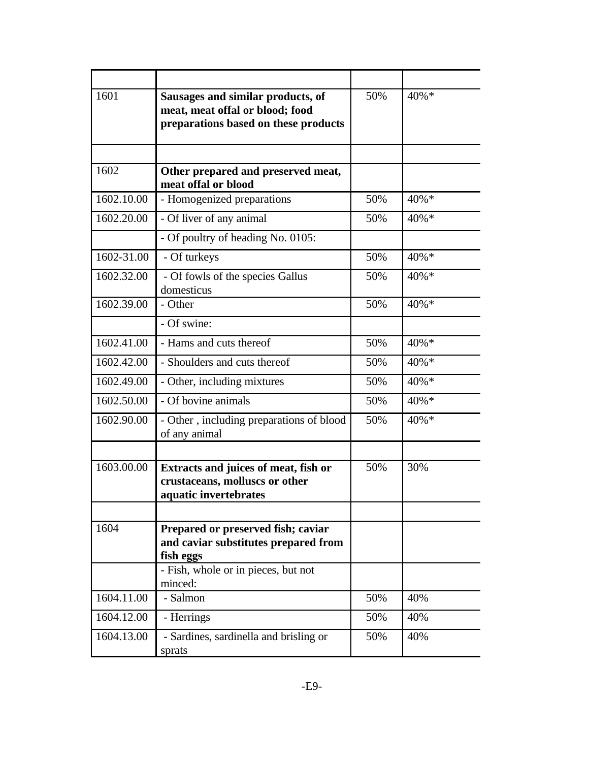| 1601       | Sausages and similar products, of<br>meat, meat offal or blood; food<br>preparations based on these products | 50% | $40\% *$ |
|------------|--------------------------------------------------------------------------------------------------------------|-----|----------|
|            |                                                                                                              |     |          |
| 1602       | Other prepared and preserved meat,<br>meat offal or blood                                                    |     |          |
| 1602.10.00 | - Homogenized preparations                                                                                   | 50% | 40%*     |
| 1602.20.00 | - Of liver of any animal                                                                                     | 50% | 40%*     |
|            | - Of poultry of heading No. 0105:                                                                            |     |          |
| 1602-31.00 | - Of turkeys                                                                                                 | 50% | 40%*     |
| 1602.32.00 | - Of fowls of the species Gallus<br>domesticus                                                               | 50% | 40%*     |
| 1602.39.00 | - Other                                                                                                      | 50% | 40%*     |
|            | - Of swine:                                                                                                  |     |          |
| 1602.41.00 | - Hams and cuts thereof                                                                                      | 50% | 40%*     |
| 1602.42.00 | - Shoulders and cuts thereof                                                                                 | 50% | 40%*     |
| 1602.49.00 | - Other, including mixtures                                                                                  | 50% | 40%*     |
| 1602.50.00 | - Of bovine animals                                                                                          | 50% | 40%*     |
| 1602.90.00 | - Other, including preparations of blood<br>of any animal                                                    | 50% | 40%*     |
|            |                                                                                                              |     |          |
| 1603.00.00 | Extracts and juices of meat, fish or<br>crustaceans, molluscs or other<br>aquatic invertebrates              | 50% | 30%      |
| 1604       | Prepared or preserved fish; caviar<br>and caviar substitutes prepared from<br>fish eggs                      |     |          |
|            | - Fish, whole or in pieces, but not<br>minced:                                                               |     |          |
| 1604.11.00 | - Salmon                                                                                                     | 50% | 40%      |
| 1604.12.00 | - Herrings                                                                                                   | 50% | 40%      |
| 1604.13.00 | - Sardines, sardinella and brisling or<br>sprats                                                             | 50% | 40%      |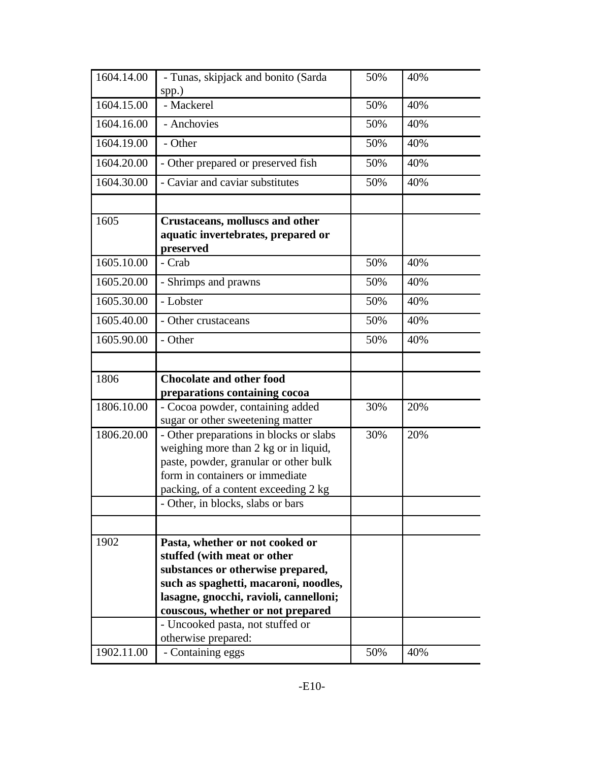| 1604.14.00 | - Tunas, skipjack and bonito (Sarda                                                                                                                                                                                                       | 50% | 40% |
|------------|-------------------------------------------------------------------------------------------------------------------------------------------------------------------------------------------------------------------------------------------|-----|-----|
| 1604.15.00 | spp.)<br>- Mackerel                                                                                                                                                                                                                       | 50% | 40% |
| 1604.16.00 | - Anchovies                                                                                                                                                                                                                               | 50% | 40% |
| 1604.19.00 | - Other                                                                                                                                                                                                                                   | 50% | 40% |
| 1604.20.00 | - Other prepared or preserved fish                                                                                                                                                                                                        | 50% | 40% |
| 1604.30.00 | - Caviar and caviar substitutes                                                                                                                                                                                                           | 50% | 40% |
|            |                                                                                                                                                                                                                                           |     |     |
| 1605       | <b>Crustaceans, molluscs and other</b><br>aquatic invertebrates, prepared or<br>preserved                                                                                                                                                 |     |     |
| 1605.10.00 | - Crab                                                                                                                                                                                                                                    | 50% | 40% |
| 1605.20.00 | - Shrimps and prawns                                                                                                                                                                                                                      | 50% | 40% |
| 1605.30.00 | - Lobster                                                                                                                                                                                                                                 | 50% | 40% |
| 1605.40.00 | - Other crustaceans                                                                                                                                                                                                                       | 50% | 40% |
| 1605.90.00 | - Other                                                                                                                                                                                                                                   | 50% | 40% |
|            |                                                                                                                                                                                                                                           |     |     |
| 1806       | <b>Chocolate and other food</b>                                                                                                                                                                                                           |     |     |
| 1806.10.00 | preparations containing cocoa                                                                                                                                                                                                             | 30% | 20% |
|            | - Cocoa powder, containing added<br>sugar or other sweetening matter                                                                                                                                                                      |     |     |
| 1806.20.00 | - Other preparations in blocks or slabs<br>weighing more than 2 kg or in liquid,<br>paste, powder, granular or other bulk<br>form in containers or immediate<br>packing, of a content exceeding 2 kg<br>- Other, in blocks, slabs or bars | 30% | 20% |
|            |                                                                                                                                                                                                                                           |     |     |
| 1902       | Pasta, whether or not cooked or<br>stuffed (with meat or other<br>substances or otherwise prepared,<br>such as spaghetti, macaroni, noodles,<br>lasagne, gnocchi, ravioli, cannelloni;<br>couscous, whether or not prepared               |     |     |
|            | - Uncooked pasta, not stuffed or<br>otherwise prepared:                                                                                                                                                                                   |     |     |
| 1902.11.00 | - Containing eggs                                                                                                                                                                                                                         | 50% | 40% |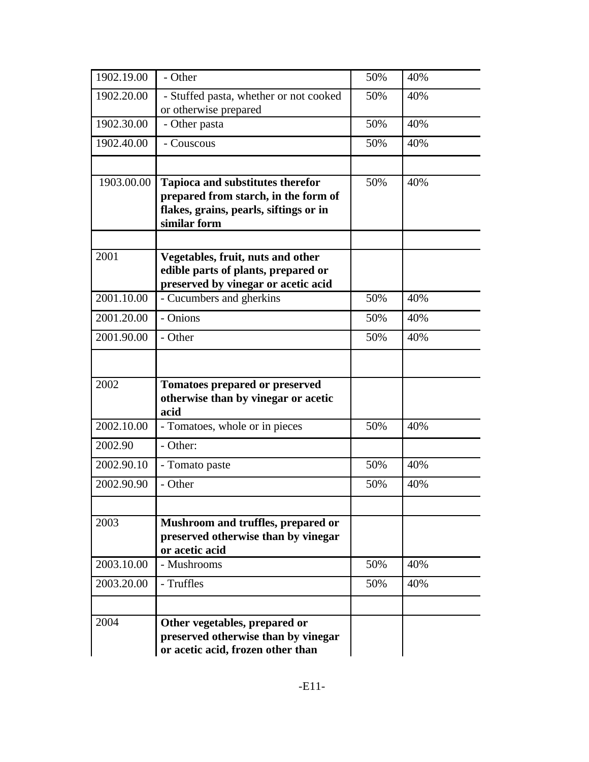| 2004                     | Other vegetables, prepared or<br>preserved otherwise than by vinegar<br>or acetic acid, frozen other than          |            |            |
|--------------------------|--------------------------------------------------------------------------------------------------------------------|------------|------------|
|                          |                                                                                                                    |            |            |
| 2003.20.00               | - Truffles                                                                                                         | 50%        | 40%        |
| 2003.10.00               | - Mushrooms                                                                                                        | 50%        | 40%        |
| 2003                     | Mushroom and truffles, prepared or<br>preserved otherwise than by vinegar<br>or acetic acid                        |            |            |
|                          |                                                                                                                    |            |            |
| 2002.90.90               | - Tomato paste<br>- Other                                                                                          | 50%        | 40%        |
| 2002.90.10               |                                                                                                                    | 50%        | 40%        |
| 2002.10.00<br>2002.90    | - Tomatoes, whole or in pieces<br>- Other:                                                                         | 50%        | 40%        |
| 2002                     | <b>Tomatoes prepared or preserved</b><br>otherwise than by vinegar or acetic<br>acid                               |            |            |
|                          |                                                                                                                    |            |            |
| 2001.90.00               | - Other                                                                                                            | 50%        | 40%        |
| 2001.10.00<br>2001.20.00 | - Cucumbers and gherkins<br>- Onions                                                                               | 50%<br>50% | 40%<br>40% |
| 2001                     | Vegetables, fruit, nuts and other<br>edible parts of plants, prepared or<br>preserved by vinegar or acetic acid    |            |            |
|                          | similar form                                                                                                       |            |            |
| 1903.00.00               | Tapioca and substitutes therefor<br>prepared from starch, in the form of<br>flakes, grains, pearls, siftings or in | 50%        | 40%        |
|                          |                                                                                                                    |            |            |
| 1902.40.00               | - Other pasta<br>- Couscous                                                                                        | 50%<br>50% | 40%<br>40% |
| 1902.20.00<br>1902.30.00 | - Stuffed pasta, whether or not cooked<br>or otherwise prepared                                                    | 50%        | 40%        |
| 1902.19.00               | - Other                                                                                                            | 50%        | 40%        |
|                          |                                                                                                                    |            |            |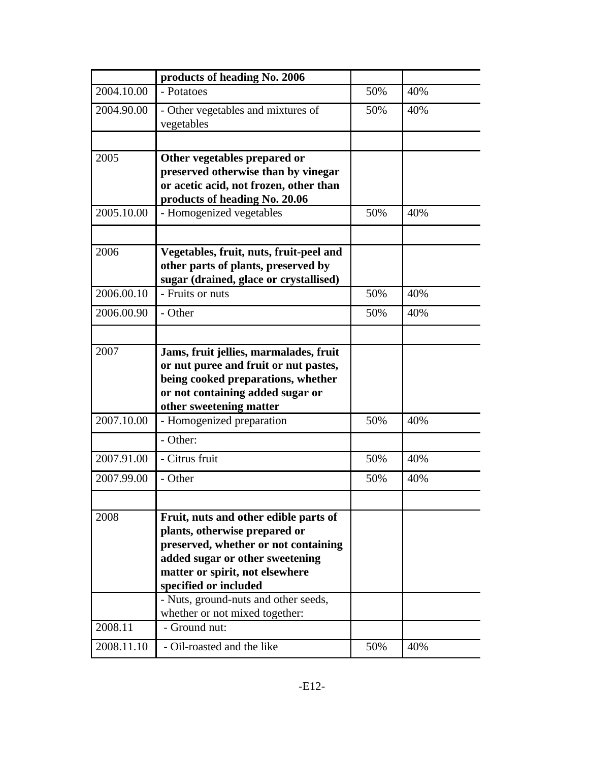|            | products of heading No. 2006                                                                                                                                                                                  |     |     |
|------------|---------------------------------------------------------------------------------------------------------------------------------------------------------------------------------------------------------------|-----|-----|
| 2004.10.00 | - Potatoes                                                                                                                                                                                                    | 50% | 40% |
| 2004.90.00 | - Other vegetables and mixtures of<br>vegetables                                                                                                                                                              | 50% | 40% |
|            |                                                                                                                                                                                                               |     |     |
| 2005       | Other vegetables prepared or<br>preserved otherwise than by vinegar<br>or acetic acid, not frozen, other than<br>products of heading No. 20.06                                                                |     |     |
| 2005.10.00 | - Homogenized vegetables                                                                                                                                                                                      | 50% | 40% |
| 2006       | Vegetables, fruit, nuts, fruit-peel and<br>other parts of plants, preserved by<br>sugar (drained, glace or crystallised)                                                                                      |     |     |
| 2006.00.10 | - Fruits or nuts                                                                                                                                                                                              | 50% | 40% |
| 2006.00.90 | - Other                                                                                                                                                                                                       | 50% | 40% |
| 2007       | Jams, fruit jellies, marmalades, fruit<br>or nut puree and fruit or nut pastes,<br>being cooked preparations, whether<br>or not containing added sugar or<br>other sweetening matter                          |     |     |
| 2007.10.00 | - Homogenized preparation                                                                                                                                                                                     | 50% | 40% |
|            | - Other:                                                                                                                                                                                                      |     |     |
| 2007.91.00 | - Citrus fruit                                                                                                                                                                                                | 50% | 40% |
| 2007.99.00 | - Other                                                                                                                                                                                                       | 50% | 40% |
| 2008       | Fruit, nuts and other edible parts of<br>plants, otherwise prepared or<br>preserved, whether or not containing<br>added sugar or other sweetening<br>matter or spirit, not elsewhere<br>specified or included |     |     |
|            | - Nuts, ground-nuts and other seeds,<br>whether or not mixed together:                                                                                                                                        |     |     |
| 2008.11    | - Ground nut:                                                                                                                                                                                                 |     |     |
| 2008.11.10 | - Oil-roasted and the like                                                                                                                                                                                    | 50% | 40% |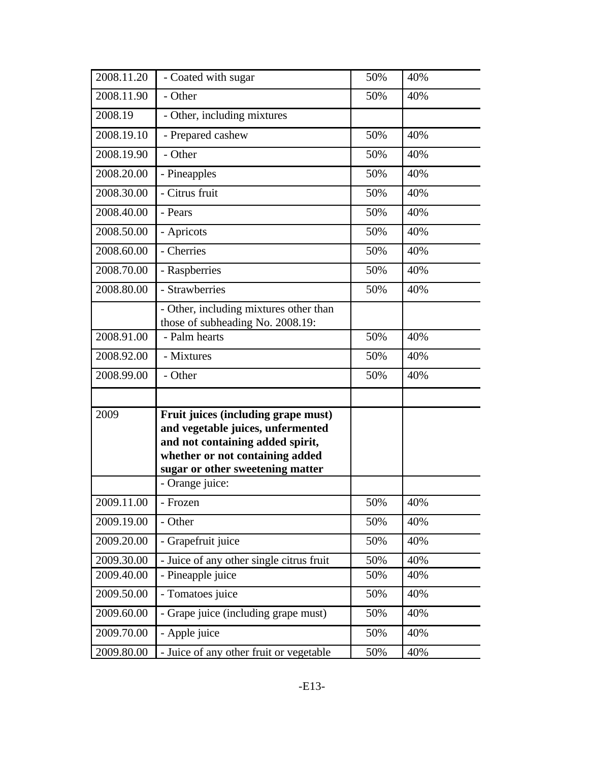| 2008.11.20               | - Coated with sugar                                                                                                                                                                                    | 50%        | 40%        |
|--------------------------|--------------------------------------------------------------------------------------------------------------------------------------------------------------------------------------------------------|------------|------------|
| 2008.11.90               | - Other                                                                                                                                                                                                | 50%        | 40%        |
| 2008.19                  | - Other, including mixtures                                                                                                                                                                            |            |            |
| 2008.19.10               | - Prepared cashew                                                                                                                                                                                      | 50%        | 40%        |
| 2008.19.90               | - Other                                                                                                                                                                                                | 50%        | 40%        |
| 2008.20.00               | - Pineapples                                                                                                                                                                                           | 50%        | 40%        |
| 2008.30.00               | - Citrus fruit                                                                                                                                                                                         | 50%        | 40%        |
| 2008.40.00               | - Pears                                                                                                                                                                                                | 50%        | 40%        |
| 2008.50.00               | - Apricots                                                                                                                                                                                             | 50%        | 40%        |
| 2008.60.00               | - Cherries                                                                                                                                                                                             | 50%        | 40%        |
| 2008.70.00               | - Raspberries                                                                                                                                                                                          | 50%        | 40%        |
| 2008.80.00               | - Strawberries                                                                                                                                                                                         | 50%        | 40%        |
|                          | - Other, including mixtures other than<br>those of subheading No. 2008.19:                                                                                                                             |            |            |
| 2008.91.00               | - Palm hearts                                                                                                                                                                                          | 50%        | 40%        |
| 2008.92.00               | - Mixtures                                                                                                                                                                                             | 50%        | 40%        |
| 2008.99.00               | - Other                                                                                                                                                                                                | 50%        | 40%        |
| 2009                     | Fruit juices (including grape must)<br>and vegetable juices, unfermented<br>and not containing added spirit,<br>whether or not containing added<br>sugar or other sweetening matter<br>- Orange juice: |            |            |
|                          |                                                                                                                                                                                                        |            |            |
| 2009.11.00               | - Frozen                                                                                                                                                                                               | 50%        | 40%        |
| 2009.19.00               | - Other                                                                                                                                                                                                | 50%        | 40%        |
| 2009.20.00               | - Grapefruit juice                                                                                                                                                                                     | 50%        | 40%        |
| 2009.30.00<br>2009.40.00 | - Juice of any other single citrus fruit<br>- Pineapple juice                                                                                                                                          | 50%<br>50% | 40%<br>40% |
| 2009.50.00               | - Tomatoes juice                                                                                                                                                                                       | 50%        | 40%        |
|                          |                                                                                                                                                                                                        |            |            |
| 2009.60.00               | - Grape juice (including grape must)                                                                                                                                                                   | 50%        | 40%        |
| 2009.70.00               | - Apple juice                                                                                                                                                                                          | 50%        | 40%        |
| 2009.80.00               | - Juice of any other fruit or vegetable                                                                                                                                                                | 50%        | 40%        |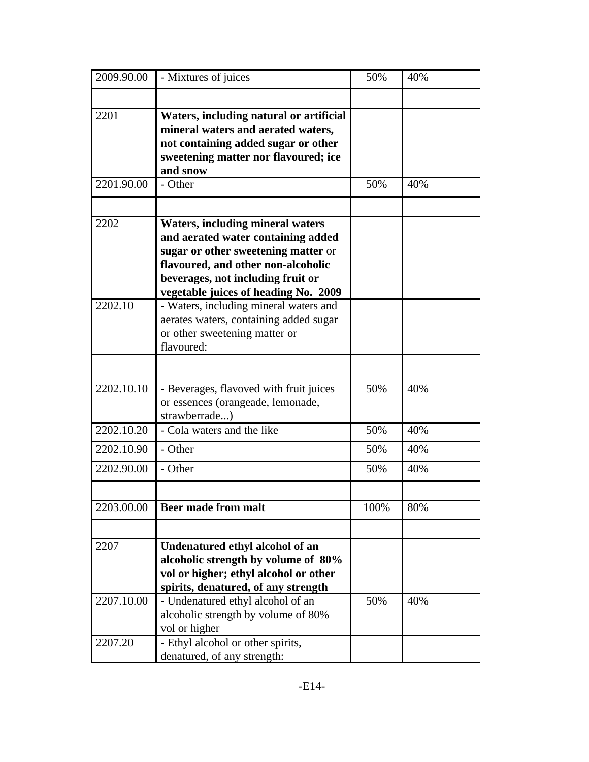| 2009.90.00 | - Mixtures of juices                                                                                                                                                                                                                    | 50%  | 40% |
|------------|-----------------------------------------------------------------------------------------------------------------------------------------------------------------------------------------------------------------------------------------|------|-----|
|            |                                                                                                                                                                                                                                         |      |     |
| 2201       | Waters, including natural or artificial<br>mineral waters and aerated waters,<br>not containing added sugar or other<br>sweetening matter nor flavoured; ice<br>and snow                                                                |      |     |
| 2201.90.00 | - Other                                                                                                                                                                                                                                 | 50%  | 40% |
|            |                                                                                                                                                                                                                                         |      |     |
| 2202       | <b>Waters, including mineral waters</b><br>and aerated water containing added<br>sugar or other sweetening matter or<br>flavoured, and other non-alcoholic<br>beverages, not including fruit or<br>vegetable juices of heading No. 2009 |      |     |
| 2202.10    | - Waters, including mineral waters and<br>aerates waters, containing added sugar<br>or other sweetening matter or<br>flavoured:                                                                                                         |      |     |
| 2202.10.10 | - Beverages, flavoved with fruit juices<br>or essences (orangeade, lemonade,<br>strawberrade)                                                                                                                                           | 50%  | 40% |
| 2202.10.20 | - Cola waters and the like                                                                                                                                                                                                              | 50%  | 40% |
| 2202.10.90 | - Other                                                                                                                                                                                                                                 | 50%  | 40% |
| 2202.90.00 | - Other                                                                                                                                                                                                                                 | 50%  | 40% |
| 2203.00.00 | <b>Beer made from malt</b>                                                                                                                                                                                                              | 100% | 80% |
| 2207       | Undenatured ethyl alcohol of an<br>alcoholic strength by volume of 80%<br>vol or higher; ethyl alcohol or other<br>spirits, denatured, of any strength                                                                                  |      |     |
| 2207.10.00 | - Undenatured ethyl alcohol of an<br>alcoholic strength by volume of 80%<br>vol or higher                                                                                                                                               | 50%  | 40% |
| 2207.20    | - Ethyl alcohol or other spirits,<br>denatured, of any strength:                                                                                                                                                                        |      |     |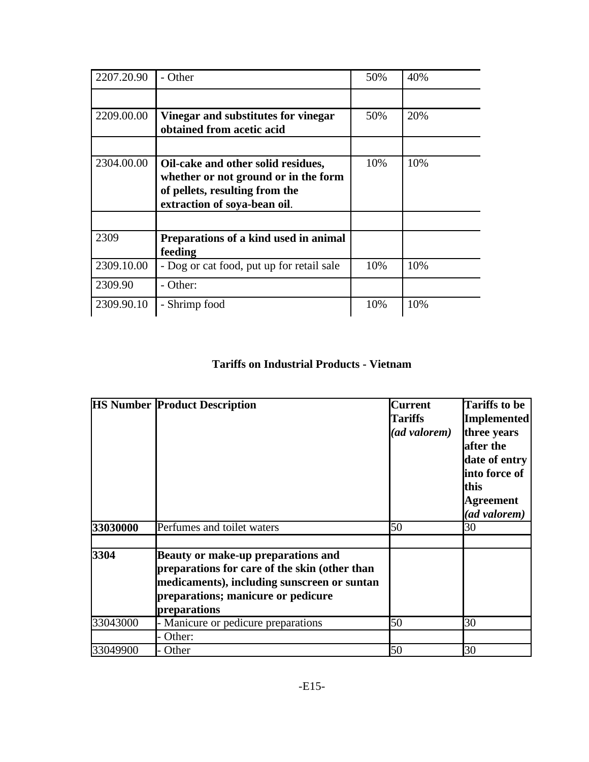| 2207.20.90 | - Other                                                                                                                                      | 50% | 40% |
|------------|----------------------------------------------------------------------------------------------------------------------------------------------|-----|-----|
| 2209.00.00 | Vinegar and substitutes for vinegar<br>obtained from acetic acid                                                                             | 50% | 20% |
| 2304.00.00 | Oil-cake and other solid residues,<br>whether or not ground or in the form<br>of pellets, resulting from the<br>extraction of soya-bean oil. | 10% | 10% |
| 2309       | Preparations of a kind used in animal<br>feeding                                                                                             |     |     |
| 2309.10.00 | - Dog or cat food, put up for retail sale                                                                                                    | 10% | 10% |
| 2309.90    | - Other:                                                                                                                                     |     |     |
| 2309.90.10 | - Shrimp food                                                                                                                                | 10% | 10% |

# **Tariffs on Industrial Products - Vietnam**

|          | <b>HS Number Product Description</b>          | <b>Current</b> | <b>Tariffs to be</b> |
|----------|-----------------------------------------------|----------------|----------------------|
|          |                                               | <b>Tariffs</b> | <b>Implemented</b>   |
|          |                                               | (ad valorem)   | three years          |
|          |                                               |                | after the            |
|          |                                               |                | date of entry        |
|          |                                               |                | into force of        |
|          |                                               |                | this                 |
|          |                                               |                | <b>Agreement</b>     |
|          |                                               |                | (ad valorem)         |
| 33030000 | Perfumes and toilet waters                    | 50             | 30                   |
|          |                                               |                |                      |
| 3304     | Beauty or make-up preparations and            |                |                      |
|          | preparations for care of the skin (other than |                |                      |
|          | medicaments), including sunscreen or suntan   |                |                      |
|          | preparations; manicure or pedicure            |                |                      |
|          | preparations                                  |                |                      |
| 33043000 | - Manicure or pedicure preparations           | 50             | 30                   |
|          | - Other:                                      |                |                      |
| 33049900 | Other                                         | 50             | 30                   |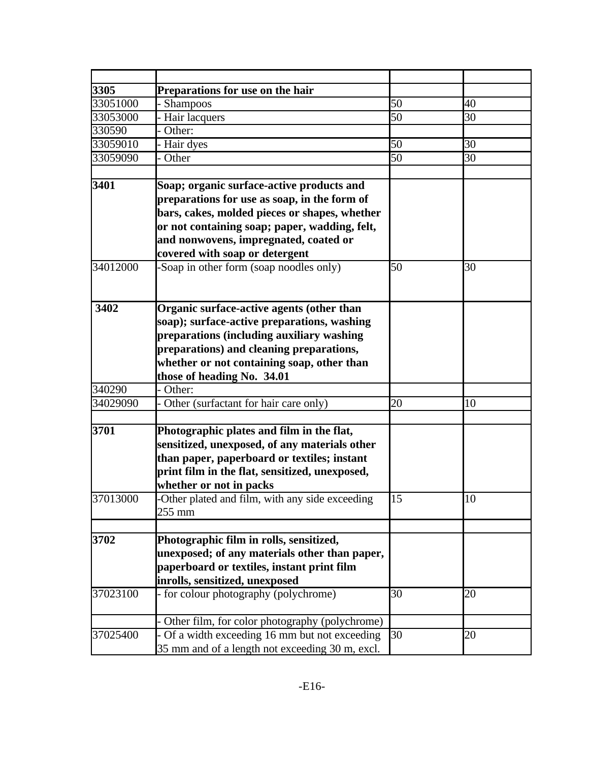| 3305     | Preparations for use on the hair                |                 |    |
|----------|-------------------------------------------------|-----------------|----|
| 33051000 | - Shampoos                                      | 50              | 40 |
| 33053000 | - Hair lacquers                                 | 50              | 30 |
| 330590   | Other:                                          |                 |    |
| 33059010 | - Hair dyes                                     | 50              | 30 |
| 33059090 | Other                                           | 50              | 30 |
| 3401     | Soap; organic surface-active products and       |                 |    |
|          | preparations for use as soap, in the form of    |                 |    |
|          | bars, cakes, molded pieces or shapes, whether   |                 |    |
|          | or not containing soap; paper, wadding, felt,   |                 |    |
|          | and nonwovens, impregnated, coated or           |                 |    |
|          | covered with soap or detergent                  |                 |    |
| 34012000 | -Soap in other form (soap noodles only)         | 50              | 30 |
|          |                                                 |                 |    |
| 3402     | Organic surface-active agents (other than       |                 |    |
|          | soap); surface-active preparations, washing     |                 |    |
|          | preparations (including auxiliary washing       |                 |    |
|          | preparations) and cleaning preparations,        |                 |    |
|          | whether or not containing soap, other than      |                 |    |
|          | those of heading No. 34.01                      |                 |    |
| 340290   | - Other:                                        |                 |    |
| 34029090 | Other (surfactant for hair care only)           | 20              | 10 |
| 3701     | Photographic plates and film in the flat,       |                 |    |
|          | sensitized, unexposed, of any materials other   |                 |    |
|          | than paper, paperboard or textiles; instant     |                 |    |
|          | print film in the flat, sensitized, unexposed,  |                 |    |
|          | whether or not in packs                         |                 |    |
| 37013000 | -Other plated and film, with any side exceeding | $\overline{15}$ | 10 |
|          | 255 mm                                          |                 |    |
|          |                                                 |                 |    |
| 3702     | Photographic film in rolls, sensitized,         |                 |    |
|          | unexposed; of any materials other than paper,   |                 |    |
|          | paperboard or textiles, instant print film      |                 |    |
|          | inrolls, sensitized, unexposed                  |                 |    |
| 37023100 | - for colour photography (polychrome)           | 30              | 20 |
|          | Other film, for color photography (polychrome)  |                 |    |
| 37025400 | - Of a width exceeding 16 mm but not exceeding  | 30              | 20 |
|          | 35 mm and of a length not exceeding 30 m, excl. |                 |    |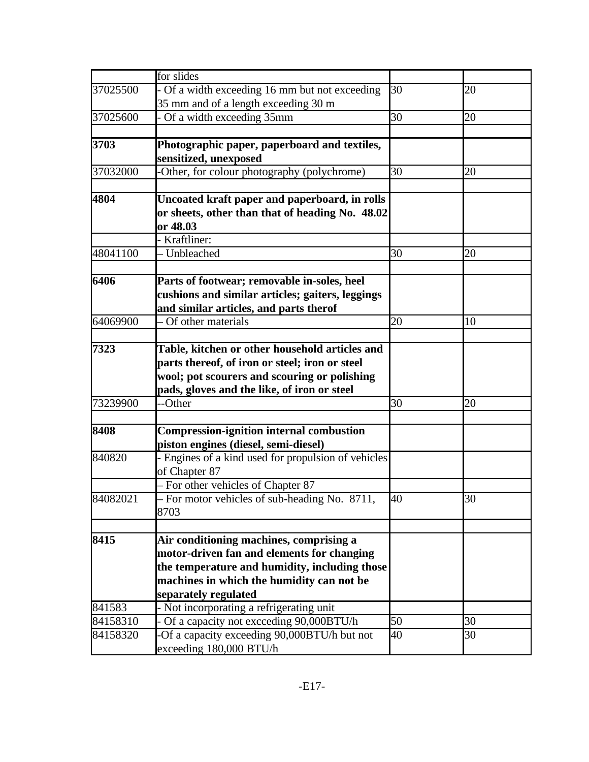|          | for slides                                                                                                                                                                                      |    |    |
|----------|-------------------------------------------------------------------------------------------------------------------------------------------------------------------------------------------------|----|----|
| 37025500 | - Of a width exceeding 16 mm but not exceeding                                                                                                                                                  | 30 | 20 |
|          | 35 mm and of a length exceeding 30 m                                                                                                                                                            |    |    |
| 37025600 | - Of a width exceeding 35mm                                                                                                                                                                     | 30 | 20 |
|          |                                                                                                                                                                                                 |    |    |
| 3703     | Photographic paper, paperboard and textiles,<br>sensitized, unexposed                                                                                                                           |    |    |
| 37032000 | Other, for colour photography (polychrome)                                                                                                                                                      | 30 | 20 |
|          |                                                                                                                                                                                                 |    |    |
| 4804     | Uncoated kraft paper and paperboard, in rolls<br>or sheets, other than that of heading No. 48.02<br>or 48.03                                                                                    |    |    |
|          | - Kraftliner:                                                                                                                                                                                   |    |    |
| 48041100 | Unbleached                                                                                                                                                                                      | 30 | 20 |
| 6406     | Parts of footwear; removable in-soles, heel<br>cushions and similar articles; gaiters, leggings<br>and similar articles, and parts therof                                                       |    |    |
| 64069900 | Of other materials                                                                                                                                                                              | 20 | 10 |
|          |                                                                                                                                                                                                 |    |    |
| 7323     | Table, kitchen or other household articles and<br>parts thereof, of iron or steel; iron or steel<br>wool; pot scourers and scouring or polishing<br>pads, gloves and the like, of iron or steel |    |    |
| 73239900 | -Other                                                                                                                                                                                          | 30 | 20 |
|          |                                                                                                                                                                                                 |    |    |
| 8408     | <b>Compression-ignition internal combustion</b>                                                                                                                                                 |    |    |
|          | piston engines (diesel, semi-diesel)                                                                                                                                                            |    |    |
| 840820   | - Engines of a kind used for propulsion of vehicles<br>of Chapter 87                                                                                                                            |    |    |
|          | - For other vehicles of Chapter 87                                                                                                                                                              |    |    |
| 84082021 | - For motor vehicles of sub-heading No. 8711,<br>8703                                                                                                                                           | 40 | 30 |
| 8415     | Air conditioning machines, comprising a                                                                                                                                                         |    |    |
|          | motor-driven fan and elements for changing                                                                                                                                                      |    |    |
|          | the temperature and humidity, including those                                                                                                                                                   |    |    |
|          | machines in which the humidity can not be                                                                                                                                                       |    |    |
|          | separately regulated                                                                                                                                                                            |    |    |
| 841583   | - Not incorporating a refrigerating unit                                                                                                                                                        |    |    |
| 84158310 | - Of a capacity not exceeding 90,000BTU/h                                                                                                                                                       | 50 | 30 |
| 84158320 | -Of a capacity exceeding 90,000BTU/h but not<br>exceeding 180,000 BTU/h                                                                                                                         | 40 | 30 |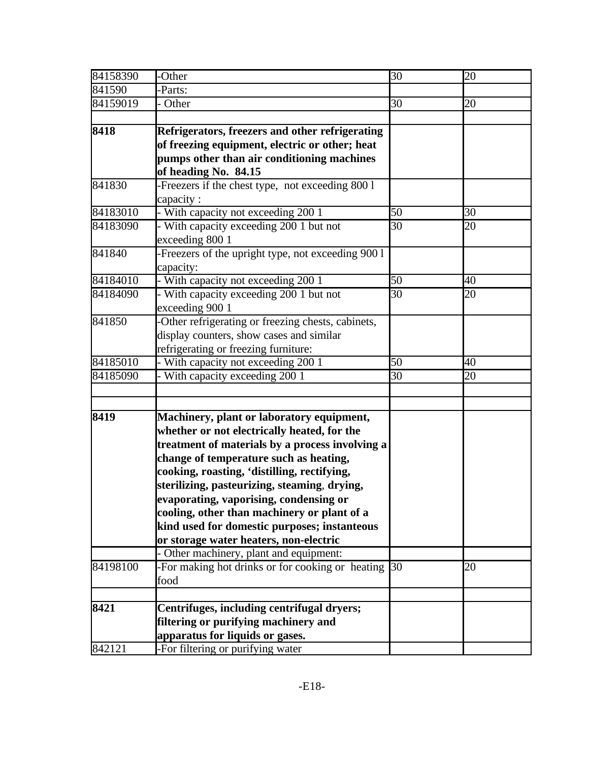| 84158390 | -Other                                             | $\overline{30}$ | 20 |
|----------|----------------------------------------------------|-----------------|----|
| 841590   | -Parts:                                            |                 |    |
| 84159019 | Other                                              | 30              | 20 |
|          |                                                    |                 |    |
| 8418     | Refrigerators, freezers and other refrigerating    |                 |    |
|          | of freezing equipment, electric or other; heat     |                 |    |
|          | pumps other than air conditioning machines         |                 |    |
|          | of heading No. 84.15                               |                 |    |
| 841830   | -Freezers if the chest type, not exceeding 800 l   |                 |    |
|          | capacity:                                          |                 |    |
| 84183010 | - With capacity not exceeding 200 1                | 50              | 30 |
| 84183090 | - With capacity exceeding 200 1 but not            | 30              | 20 |
|          | exceeding 800 1                                    |                 |    |
| 841840   | -Freezers of the upright type, not exceeding 900 l |                 |    |
|          | capacity:                                          |                 |    |
| 84184010 | - With capacity not exceeding 200 1                | $\overline{50}$ | 40 |
| 84184090 | - With capacity exceeding 200 1 but not            | 30              | 20 |
|          | exceeding 900 1                                    |                 |    |
| 841850   | -Other refrigerating or freezing chests, cabinets, |                 |    |
|          | display counters, show cases and similar           |                 |    |
|          | refrigerating or freezing furniture:               |                 |    |
| 84185010 | - With capacity not exceeding 200 1                | 50              | 40 |
| 84185090 | - With capacity exceeding 200 1                    | 30              | 20 |
|          |                                                    |                 |    |
|          |                                                    |                 |    |
| 8419     | Machinery, plant or laboratory equipment,          |                 |    |
|          | whether or not electrically heated, for the        |                 |    |
|          | treatment of materials by a process involving a    |                 |    |
|          | change of temperature such as heating,             |                 |    |
|          | cooking, roasting, 'distilling, rectifying,        |                 |    |
|          | sterilizing, pasteurizing, steaming, drying,       |                 |    |
|          | evaporating, vaporising, condensing or             |                 |    |
|          | cooling, other than machinery or plant of a        |                 |    |
|          | kind used for domestic purposes; instanteous       |                 |    |
|          | or storage water heaters, non-electric             |                 |    |
|          | - Other machinery, plant and equipment:            |                 |    |
| 84198100 | -For making hot drinks or for cooking or heating   | 30              | 20 |
|          | food                                               |                 |    |
|          |                                                    |                 |    |
| 8421     | Centrifuges, including centrifugal dryers;         |                 |    |
|          | filtering or purifying machinery and               |                 |    |
|          | apparatus for liquids or gases.                    |                 |    |
| 842121   | -For filtering or purifying water                  |                 |    |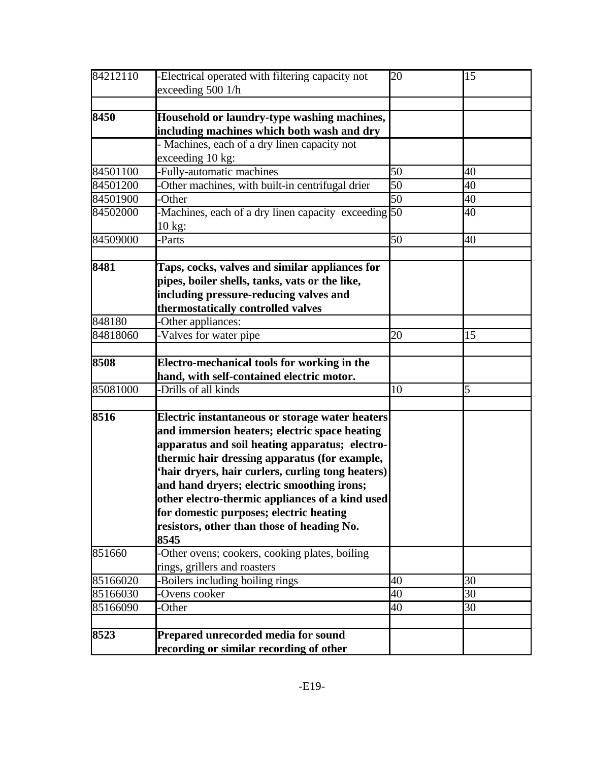| 84212110 | -Electrical operated with filtering capacity not     | 20              | 15 |
|----------|------------------------------------------------------|-----------------|----|
|          | exceeding 500 1/h                                    |                 |    |
|          |                                                      |                 |    |
| 8450     | Household or laundry-type washing machines,          |                 |    |
|          | including machines which both wash and dry           |                 |    |
|          | - Machines, each of a dry linen capacity not         |                 |    |
|          | exceeding 10 kg:                                     |                 |    |
| 84501100 | -Fully-automatic machines                            | 50              | 40 |
| 84501200 | -Other machines, with built-in centrifugal drier     | 50              | 40 |
| 84501900 | -Other                                               | 50              | 40 |
| 84502000 | -Machines, each of a dry linen capacity exceeding 50 |                 | 40 |
|          | 10 kg:                                               |                 |    |
| 84509000 | -Parts                                               | $\overline{50}$ | 40 |
|          |                                                      |                 |    |
| 8481     | Taps, cocks, valves and similar appliances for       |                 |    |
|          | pipes, boiler shells, tanks, vats or the like,       |                 |    |
|          | including pressure-reducing valves and               |                 |    |
|          | thermostatically controlled valves                   |                 |    |
| 848180   | -Other appliances:                                   |                 |    |
| 84818060 | -Valves for water pipe                               | 20              | 15 |
|          |                                                      |                 |    |
| 8508     | Electro-mechanical tools for working in the          |                 |    |
|          | hand, with self-contained electric motor.            |                 |    |
| 85081000 | -Drills of all kinds                                 | 10              | 5  |
|          |                                                      |                 |    |
| 8516     | Electric instantaneous or storage water heaters      |                 |    |
|          | and immersion heaters; electric space heating        |                 |    |
|          | apparatus and soil heating apparatus; electro-       |                 |    |
|          | thermic hair dressing apparatus (for example,        |                 |    |
|          | 'hair dryers, hair curlers, curling tong heaters)    |                 |    |
|          | and hand dryers; electric smoothing irons;           |                 |    |
|          | other electro-thermic appliances of a kind used      |                 |    |
|          | for domestic purposes; electric heating              |                 |    |
|          | resistors, other than those of heading No.           |                 |    |
|          | 8545                                                 |                 |    |
| 851660   | -Other ovens; cookers, cooking plates, boiling       |                 |    |
|          | rings, grillers and roasters                         |                 |    |
| 85166020 | -Boilers including boiling rings                     | 40              | 30 |
| 85166030 | Ovens cooker                                         | 40              | 30 |
| 85166090 | -Other                                               | 40              | 30 |
|          |                                                      |                 |    |
| 8523     | Prepared unrecorded media for sound                  |                 |    |
|          | recording or similar recording of other              |                 |    |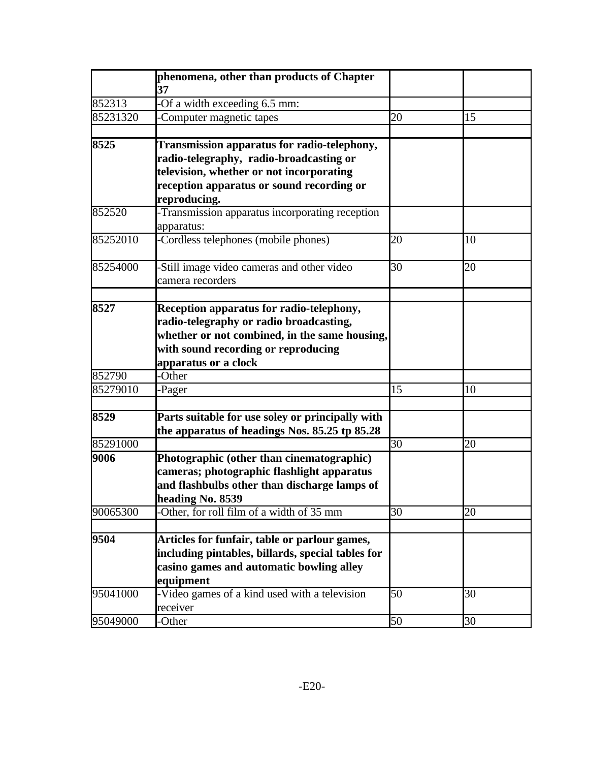|          | phenomena, other than products of Chapter<br>37                                                                                                                                                     |    |                 |
|----------|-----------------------------------------------------------------------------------------------------------------------------------------------------------------------------------------------------|----|-----------------|
| 852313   | -Of a width exceeding 6.5 mm:                                                                                                                                                                       |    |                 |
| 85231320 | -Computer magnetic tapes                                                                                                                                                                            | 20 | 15              |
| 8525     | Transmission apparatus for radio-telephony,<br>radio-telegraphy, radio-broadcasting or<br>television, whether or not incorporating<br>reception apparatus or sound recording or<br>reproducing.     |    |                 |
| 852520   | -Transmission apparatus incorporating reception<br>apparatus:                                                                                                                                       |    |                 |
| 85252010 | Cordless telephones (mobile phones)                                                                                                                                                                 | 20 | 10              |
| 85254000 | -Still image video cameras and other video<br>camera recorders                                                                                                                                      | 30 | 20              |
| 8527     | Reception apparatus for radio-telephony,<br>radio-telegraphy or radio broadcasting,<br>whether or not combined, in the same housing,<br>with sound recording or reproducing<br>apparatus or a clock |    |                 |
| 852790   | -Other                                                                                                                                                                                              |    |                 |
| 85279010 | -Pager                                                                                                                                                                                              | 15 | 10              |
| 8529     | Parts suitable for use soley or principally with<br>the apparatus of headings Nos. 85.25 tp 85.28                                                                                                   |    |                 |
| 85291000 |                                                                                                                                                                                                     | 30 | 20              |
| 9006     | Photographic (other than cinematographic)<br>cameras; photographic flashlight apparatus<br>and flashbulbs other than discharge lamps of<br>heading No. 8539                                         |    |                 |
| 90065300 | -Other, for roll film of a width of 35 mm                                                                                                                                                           | 30 | 20              |
| 9504     | Articles for funfair, table or parlour games,<br>including pintables, billards, special tables for<br>casino games and automatic bowling alley<br>equipment                                         |    |                 |
| 95041000 | -Video games of a kind used with a television<br>receiver                                                                                                                                           | 50 | 30              |
| 95049000 | -Other                                                                                                                                                                                              | 50 | $\overline{30}$ |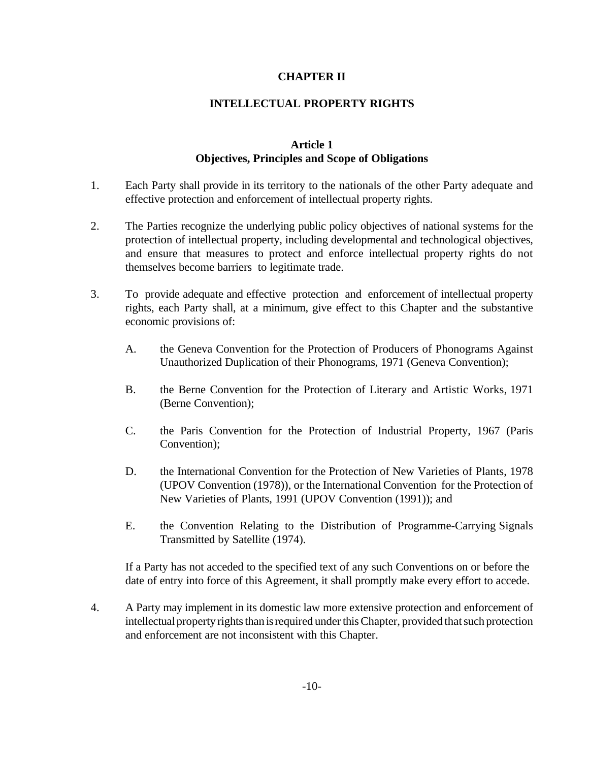#### **CHAPTER II**

#### **INTELLECTUAL PROPERTY RIGHTS**

#### **Article 1 Objectives, Principles and Scope of Obligations**

- 1. Each Party shall provide in its territory to the nationals of the other Party adequate and effective protection and enforcement of intellectual property rights.
- 2. The Parties recognize the underlying public policy objectives of national systems for the protection of intellectual property, including developmental and technological objectives, and ensure that measures to protect and enforce intellectual property rights do not themselves become barriers to legitimate trade.
- 3. To provide adequate and effective protection and enforcement of intellectual property rights, each Party shall, at a minimum, give effect to this Chapter and the substantive economic provisions of:
	- A. the Geneva Convention for the Protection of Producers of Phonograms Against Unauthorized Duplication of their Phonograms, 1971 (Geneva Convention);
	- B. the Berne Convention for the Protection of Literary and Artistic Works, 1971 (Berne Convention);
	- C. the Paris Convention for the Protection of Industrial Property, 1967 (Paris Convention);
	- D. the International Convention for the Protection of New Varieties of Plants, 1978 (UPOV Convention (1978)), or the International Convention for the Protection of New Varieties of Plants, 1991 (UPOV Convention (1991)); and
	- E. the Convention Relating to the Distribution of Programme-Carrying Signals Transmitted by Satellite (1974).

If a Party has not acceded to the specified text of any such Conventions on or before the date of entry into force of this Agreement, it shall promptly make every effort to accede.

4. A Party may implement in its domestic law more extensive protection and enforcement of intellectual property rights than is required under this Chapter, provided that such protection and enforcement are not inconsistent with this Chapter.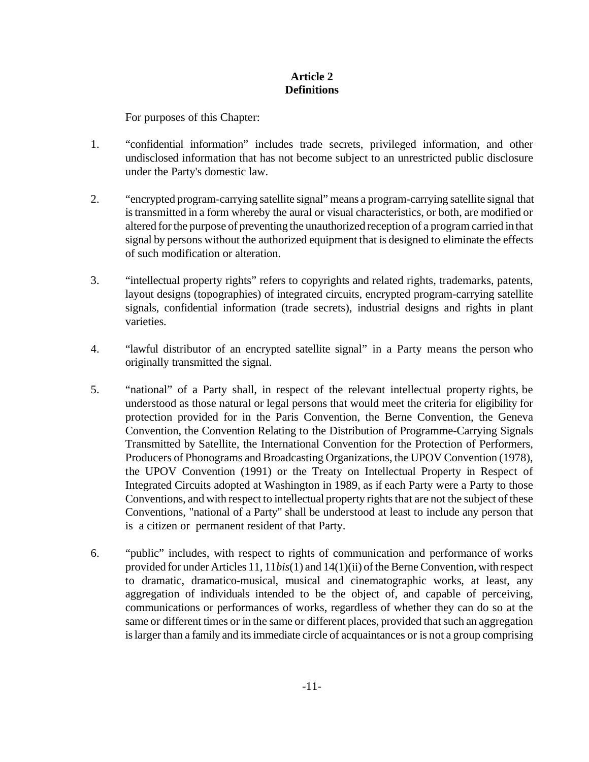## **Article 2 Definitions**

For purposes of this Chapter:

- 1. "confidential information" includes trade secrets, privileged information, and other undisclosed information that has not become subject to an unrestricted public disclosure under the Party's domestic law.
- 2. "encrypted program-carrying satellite signal" means a program-carrying satellite signal that istransmitted in a form whereby the aural or visual characteristics, or both, are modified or altered for the purpose of preventing the unauthorized reception of a program carried in that signal by persons without the authorized equipment that is designed to eliminate the effects of such modification or alteration.
- 3. "intellectual property rights" refers to copyrights and related rights, trademarks, patents, layout designs (topographies) of integrated circuits, encrypted program-carrying satellite signals, confidential information (trade secrets), industrial designs and rights in plant varieties.
- 4. "lawful distributor of an encrypted satellite signal" in a Party means the person who originally transmitted the signal.
- 5. "national" of a Party shall, in respect of the relevant intellectual property rights, be understood as those natural or legal persons that would meet the criteria for eligibility for protection provided for in the Paris Convention, the Berne Convention, the Geneva Convention, the Convention Relating to the Distribution of Programme-Carrying Signals Transmitted by Satellite, the International Convention for the Protection of Performers, Producers of Phonograms and Broadcasting Organizations, the UPOV Convention (1978), the UPOV Convention (1991) or the Treaty on Intellectual Property in Respect of Integrated Circuits adopted at Washington in 1989, as if each Party were a Party to those Conventions, and with respect to intellectual property rights that are not the subject of these Conventions, "national of a Party" shall be understood at least to include any person that is a citizen or permanent resident of that Party.
- 6. "public" includes, with respect to rights of communication and performance of works provided for under Articles 11, 11*bis*(1) and 14(1)(ii) ofthe Berne Convention, with respect to dramatic, dramatico-musical, musical and cinematographic works, at least, any aggregation of individuals intended to be the object of, and capable of perceiving, communications or performances of works, regardless of whether they can do so at the same or different times or in the same or different places, provided that such an aggregation is larger than a family and its immediate circle of acquaintances or is not a group comprising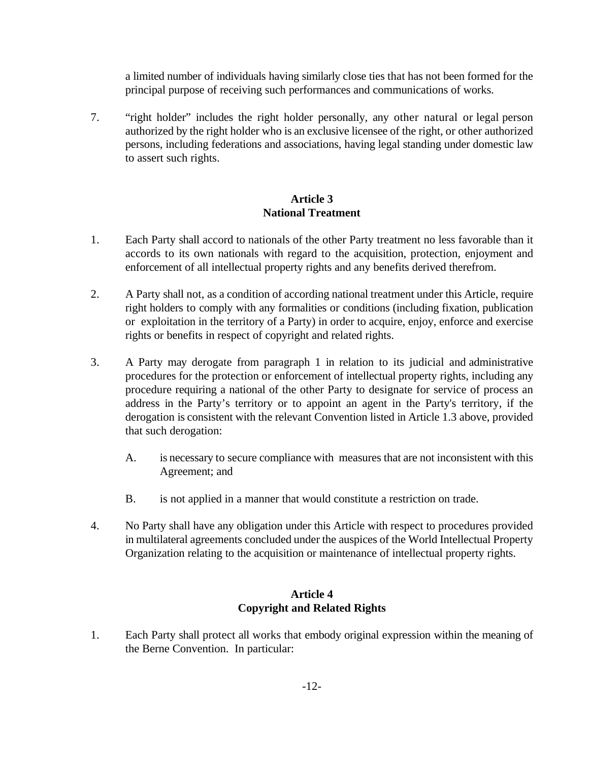a limited number of individuals having similarly close ties that has not been formed for the principal purpose of receiving such performances and communications of works.

7. "right holder" includes the right holder personally, any other natural or legal person authorized by the right holder who is an exclusive licensee of the right, or other authorized persons, including federations and associations, having legal standing under domestic law to assert such rights.

## **Article 3 National Treatment**

- 1. Each Party shall accord to nationals of the other Party treatment no less favorable than it accords to its own nationals with regard to the acquisition, protection, enjoyment and enforcement of all intellectual property rights and any benefits derived therefrom.
- 2. A Party shall not, as a condition of according national treatment under this Article, require right holders to comply with any formalities or conditions (including fixation, publication or exploitation in the territory of a Party) in order to acquire, enjoy, enforce and exercise rights or benefits in respect of copyright and related rights.
- 3. A Party may derogate from paragraph 1 in relation to its judicial and administrative procedures for the protection or enforcement of intellectual property rights, including any procedure requiring a national of the other Party to designate for service of process an address in the Party's territory or to appoint an agent in the Party's territory, if the derogation is consistent with the relevant Convention listed in Article 1.3 above, provided that such derogation:
	- A. is necessary to secure compliance with measures that are not inconsistent with this Agreement; and
	- B. is not applied in a manner that would constitute a restriction on trade.
- 4. No Party shall have any obligation under this Article with respect to procedures provided in multilateral agreements concluded under the auspices of the World Intellectual Property Organization relating to the acquisition or maintenance of intellectual property rights.

### **Article 4 Copyright and Related Rights**

1. Each Party shall protect all works that embody original expression within the meaning of the Berne Convention. In particular: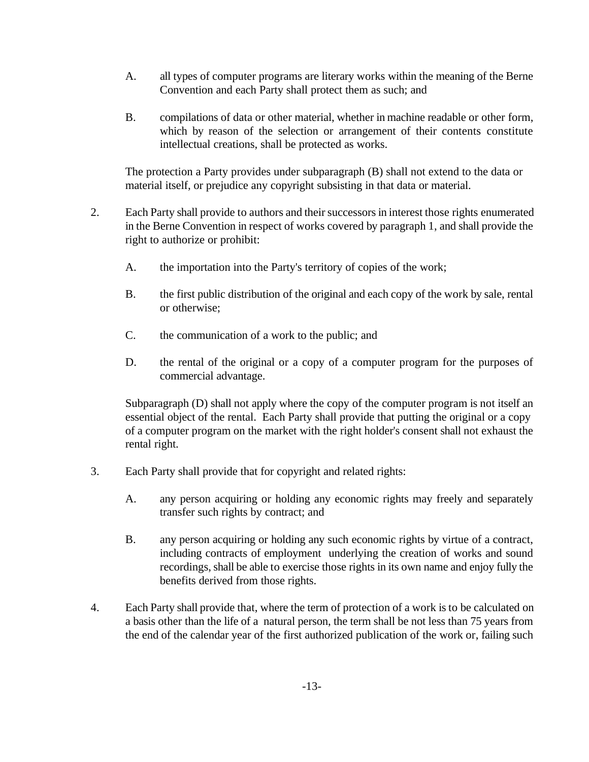- A. all types of computer programs are literary works within the meaning of the Berne Convention and each Party shall protect them as such; and
- B. compilations of data or other material, whether in machine readable or other form, which by reason of the selection or arrangement of their contents constitute intellectual creations, shall be protected as works.

The protection a Party provides under subparagraph (B) shall not extend to the data or material itself, or prejudice any copyright subsisting in that data or material.

- 2. Each Party shall provide to authors and their successors in interest those rights enumerated in the Berne Convention in respect of works covered by paragraph 1, and shall provide the right to authorize or prohibit:
	- A. the importation into the Party's territory of copies of the work;
	- B. the first public distribution of the original and each copy of the work by sale, rental or otherwise;
	- C. the communication of a work to the public; and
	- D. the rental of the original or a copy of a computer program for the purposes of commercial advantage.

Subparagraph (D) shall not apply where the copy of the computer program is not itself an essential object of the rental. Each Party shall provide that putting the original or a copy of a computer program on the market with the right holder's consent shall not exhaust the rental right.

- 3. Each Party shall provide that for copyright and related rights:
	- A. any person acquiring or holding any economic rights may freely and separately transfer such rights by contract; and
	- B. any person acquiring or holding any such economic rights by virtue of a contract, including contracts of employment underlying the creation of works and sound recordings, shall be able to exercise those rights in its own name and enjoy fully the benefits derived from those rights.
- 4. Each Party shall provide that, where the term of protection of a work is to be calculated on a basis other than the life of a natural person, the term shall be not less than 75 years from the end of the calendar year of the first authorized publication of the work or, failing such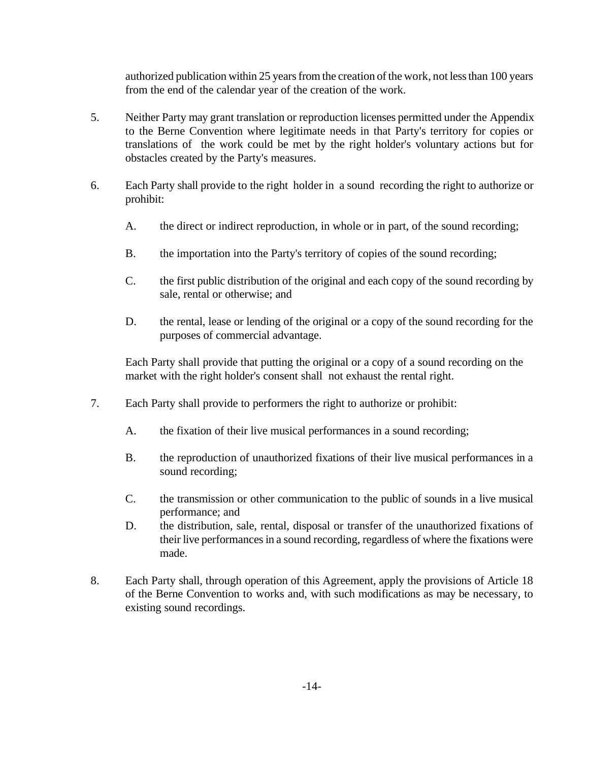authorized publication within 25 years from the creation of the work, not less than 100 years from the end of the calendar year of the creation of the work.

- 5. Neither Party may grant translation or reproduction licenses permitted under the Appendix to the Berne Convention where legitimate needs in that Party's territory for copies or translations of the work could be met by the right holder's voluntary actions but for obstacles created by the Party's measures.
- 6. Each Party shall provide to the right holder in a sound recording the right to authorize or prohibit:
	- A. the direct or indirect reproduction, in whole or in part, of the sound recording;
	- B. the importation into the Party's territory of copies of the sound recording;
	- C. the first public distribution of the original and each copy of the sound recording by sale, rental or otherwise; and
	- D. the rental, lease or lending of the original or a copy of the sound recording for the purposes of commercial advantage.

Each Party shall provide that putting the original or a copy of a sound recording on the market with the right holder's consent shall not exhaust the rental right.

- 7. Each Party shall provide to performers the right to authorize or prohibit:
	- A. the fixation of their live musical performances in a sound recording;
	- B. the reproduction of unauthorized fixations of their live musical performances in a sound recording;
	- C. the transmission or other communication to the public of sounds in a live musical performance; and
	- D. the distribution, sale, rental, disposal or transfer of the unauthorized fixations of their live performances in a sound recording, regardless of where the fixations were made.
- 8. Each Party shall, through operation of this Agreement, apply the provisions of Article 18 of the Berne Convention to works and, with such modifications as may be necessary, to existing sound recordings.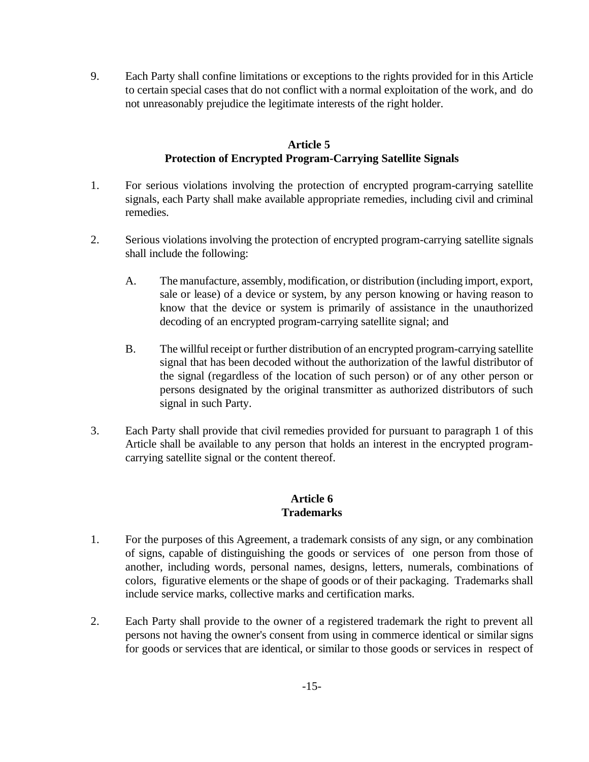9. Each Party shall confine limitations or exceptions to the rights provided for in this Article to certain special cases that do not conflict with a normal exploitation of the work, and do not unreasonably prejudice the legitimate interests of the right holder.

## **Article 5 Protection of Encrypted Program-Carrying Satellite Signals**

- 1. For serious violations involving the protection of encrypted program-carrying satellite signals, each Party shall make available appropriate remedies, including civil and criminal remedies.
- 2. Serious violations involving the protection of encrypted program-carrying satellite signals shall include the following:
	- A. The manufacture, assembly, modification, or distribution (including import, export, sale or lease) of a device or system, by any person knowing or having reason to know that the device or system is primarily of assistance in the unauthorized decoding of an encrypted program-carrying satellite signal; and
	- B. The willful receipt or further distribution of an encrypted program-carrying satellite signal that has been decoded without the authorization of the lawful distributor of the signal (regardless of the location of such person) or of any other person or persons designated by the original transmitter as authorized distributors of such signal in such Party.
- 3. Each Party shall provide that civil remedies provided for pursuant to paragraph 1 of this Article shall be available to any person that holds an interest in the encrypted programcarrying satellite signal or the content thereof.

### **Article 6 Trademarks**

- 1. For the purposes of this Agreement, a trademark consists of any sign, or any combination of signs, capable of distinguishing the goods or services of one person from those of another, including words, personal names, designs, letters, numerals, combinations of colors, figurative elements or the shape of goods or of their packaging. Trademarks shall include service marks, collective marks and certification marks.
- 2. Each Party shall provide to the owner of a registered trademark the right to prevent all persons not having the owner's consent from using in commerce identical or similar signs for goods or services that are identical, or similar to those goods or services in respect of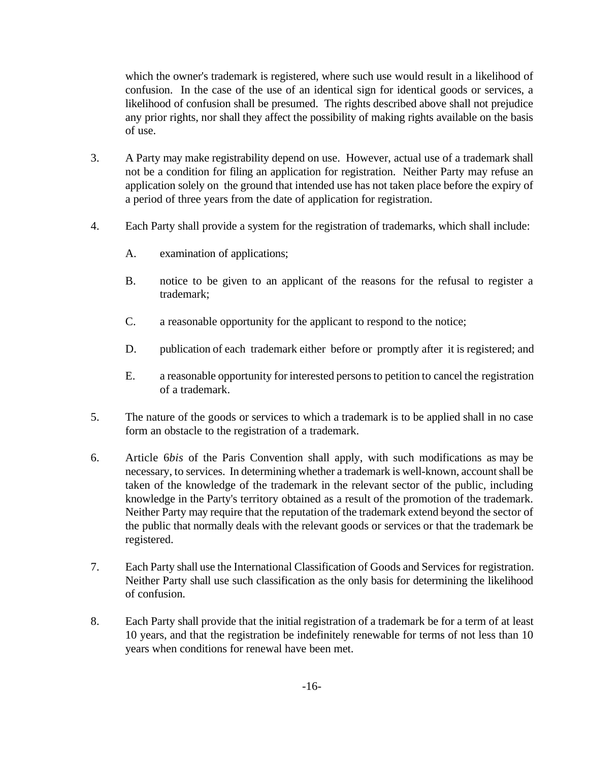which the owner's trademark is registered, where such use would result in a likelihood of confusion. In the case of the use of an identical sign for identical goods or services, a likelihood of confusion shall be presumed. The rights described above shall not prejudice any prior rights, nor shall they affect the possibility of making rights available on the basis of use.

- 3. A Party may make registrability depend on use. However, actual use of a trademark shall not be a condition for filing an application for registration. Neither Party may refuse an application solely on the ground that intended use has not taken place before the expiry of a period of three years from the date of application for registration.
- 4. Each Party shall provide a system for the registration of trademarks, which shall include:
	- A. examination of applications;
	- B. notice to be given to an applicant of the reasons for the refusal to register a trademark;
	- C. a reasonable opportunity for the applicant to respond to the notice;
	- D. publication of each trademark either before or promptly after it is registered; and
	- E. a reasonable opportunity for interested personsto petition to cancel the registration of a trademark.
- 5. The nature of the goods or services to which a trademark is to be applied shall in no case form an obstacle to the registration of a trademark.
- 6. Article 6*bis* of the Paris Convention shall apply, with such modifications as may be necessary, to services. In determining whether a trademark is well-known, account shall be taken of the knowledge of the trademark in the relevant sector of the public, including knowledge in the Party's territory obtained as a result of the promotion of the trademark. Neither Party may require that the reputation of the trademark extend beyond the sector of the public that normally deals with the relevant goods or services or that the trademark be registered.
- 7. Each Party shall use the International Classification of Goods and Services for registration. Neither Party shall use such classification as the only basis for determining the likelihood of confusion.
- 8. Each Party shall provide that the initial registration of a trademark be for a term of at least 10 years, and that the registration be indefinitely renewable for terms of not less than 10 years when conditions for renewal have been met.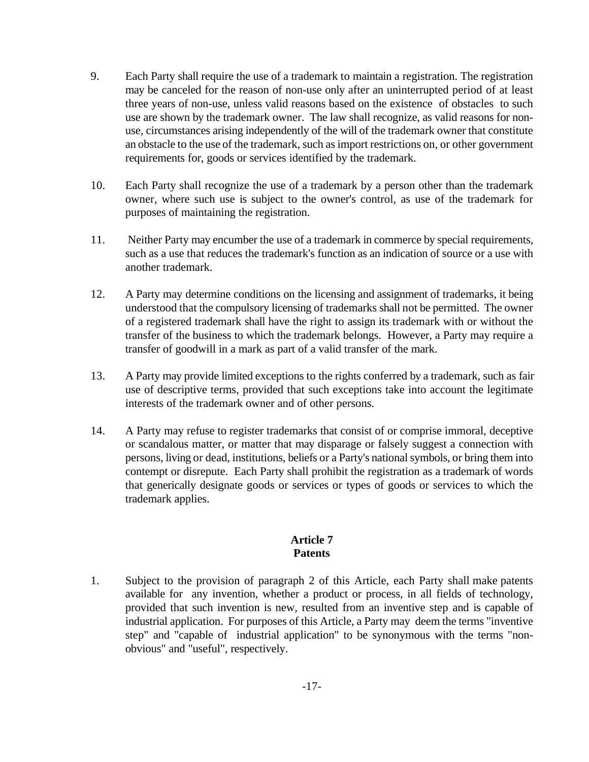- 9. Each Party shall require the use of a trademark to maintain a registration. The registration may be canceled for the reason of non-use only after an uninterrupted period of at least three years of non-use, unless valid reasons based on the existence of obstacles to such use are shown by the trademark owner. The law shall recognize, as valid reasons for nonuse, circumstances arising independently of the will of the trademark owner that constitute an obstacle to the use of the trademark, such asimport restrictions on, or other government requirements for, goods or services identified by the trademark.
- 10. Each Party shall recognize the use of a trademark by a person other than the trademark owner, where such use is subject to the owner's control, as use of the trademark for purposes of maintaining the registration.
- 11. Neither Party may encumber the use of a trademark in commerce by special requirements, such as a use that reduces the trademark's function as an indication of source or a use with another trademark.
- 12. A Party may determine conditions on the licensing and assignment of trademarks, it being understood that the compulsory licensing of trademarks shall not be permitted. The owner of a registered trademark shall have the right to assign its trademark with or without the transfer of the business to which the trademark belongs. However, a Party may require a transfer of goodwill in a mark as part of a valid transfer of the mark.
- 13. A Party may provide limited exceptions to the rights conferred by a trademark, such as fair use of descriptive terms, provided that such exceptions take into account the legitimate interests of the trademark owner and of other persons.
- 14. A Party may refuse to register trademarks that consist of or comprise immoral, deceptive or scandalous matter, or matter that may disparage or falsely suggest a connection with persons, living or dead, institutions, beliefs or a Party's nationalsymbols, or bring them into contempt or disrepute. Each Party shall prohibit the registration as a trademark of words that generically designate goods or services or types of goods or services to which the trademark applies.

### **Article 7 Patents**

1. Subject to the provision of paragraph 2 of this Article, each Party shall make patents available for any invention, whether a product or process, in all fields of technology, provided that such invention is new, resulted from an inventive step and is capable of industrial application. For purposes of this Article, a Party may deem the terms "inventive step" and "capable of industrial application" to be synonymous with the terms "nonobvious" and "useful", respectively.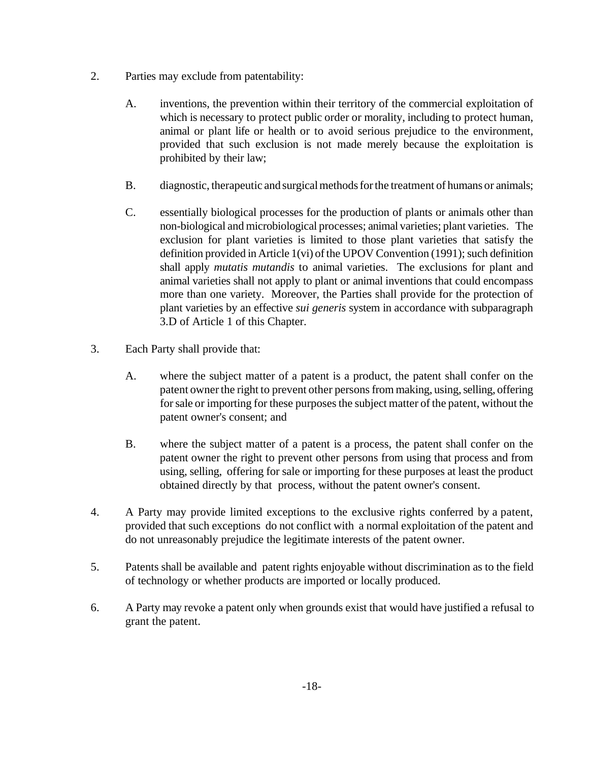- 2. Parties may exclude from patentability:
	- A. inventions, the prevention within their territory of the commercial exploitation of which is necessary to protect public order or morality, including to protect human, animal or plant life or health or to avoid serious prejudice to the environment, provided that such exclusion is not made merely because the exploitation is prohibited by their law;
	- B. diagnostic, therapeutic and surgical methods for the treatment of humans or animals;
	- C. essentially biological processes for the production of plants or animals other than non-biological and microbiological processes; animal varieties; plant varieties. The exclusion for plant varieties is limited to those plant varieties that satisfy the definition provided in Article  $1(v_i)$  of the UPOV Convention (1991); such definition shall apply *mutatis mutandis* to animal varieties. The exclusions for plant and animal varieties shall not apply to plant or animal inventions that could encompass more than one variety. Moreover, the Parties shall provide for the protection of plant varieties by an effective *sui generis* system in accordance with subparagraph 3.D of Article 1 of this Chapter.
- 3. Each Party shall provide that:
	- A. where the subject matter of a patent is a product, the patent shall confer on the patent owner the right to prevent other persons from making, using, selling, offering for sale or importing for these purposes the subject matter of the patent, without the patent owner's consent; and
	- B. where the subject matter of a patent is a process, the patent shall confer on the patent owner the right to prevent other persons from using that process and from using, selling, offering for sale or importing for these purposes at least the product obtained directly by that process, without the patent owner's consent.
- 4. A Party may provide limited exceptions to the exclusive rights conferred by a patent, provided that such exceptions do not conflict with a normal exploitation of the patent and do not unreasonably prejudice the legitimate interests of the patent owner.
- 5. Patents shall be available and patent rights enjoyable without discrimination as to the field of technology or whether products are imported or locally produced.
- 6. A Party may revoke a patent only when grounds exist that would have justified a refusal to grant the patent.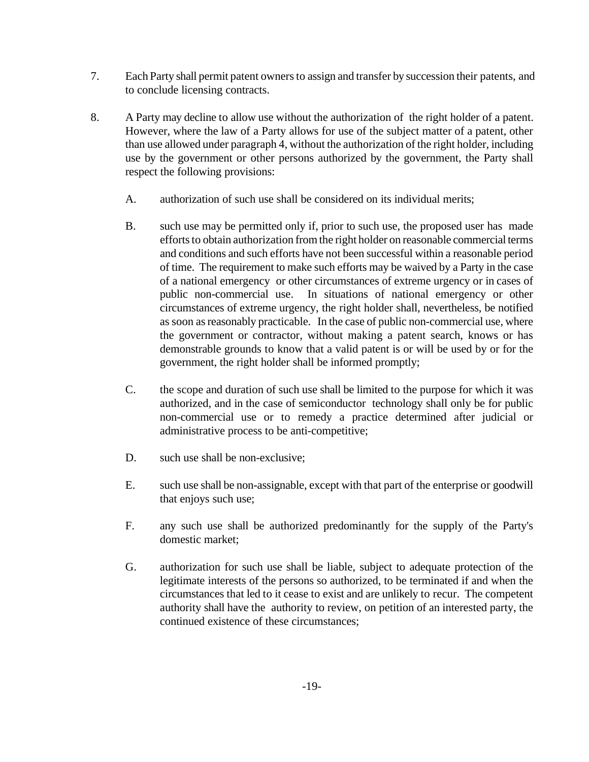- 7. Each Party shall permit patent owners to assign and transfer by succession their patents, and to conclude licensing contracts.
- 8. A Party may decline to allow use without the authorization of the right holder of a patent. However, where the law of a Party allows for use of the subject matter of a patent, other than use allowed under paragraph 4, without the authorization of the right holder, including use by the government or other persons authorized by the government, the Party shall respect the following provisions:
	- A. authorization of such use shall be considered on its individual merits;
	- B. such use may be permitted only if, prior to such use, the proposed user has made efforts to obtain authorization from the right holder on reasonable commercial terms and conditions and such efforts have not been successful within a reasonable period of time. The requirement to make such efforts may be waived by a Party in the case of a national emergency or other circumstances of extreme urgency or in cases of public non-commercial use. In situations of national emergency or other circumstances of extreme urgency, the right holder shall, nevertheless, be notified as soon as reasonably practicable. In the case of public non-commercial use, where the government or contractor, without making a patent search, knows or has demonstrable grounds to know that a valid patent is or will be used by or for the government, the right holder shall be informed promptly;
	- C. the scope and duration of such use shall be limited to the purpose for which it was authorized, and in the case of semiconductor technology shall only be for public non-commercial use or to remedy a practice determined after judicial or administrative process to be anti-competitive;
	- D. such use shall be non-exclusive;
	- E. such use shall be non-assignable, except with that part of the enterprise or goodwill that enjoys such use;
	- F. any such use shall be authorized predominantly for the supply of the Party's domestic market;
	- G. authorization for such use shall be liable, subject to adequate protection of the legitimate interests of the persons so authorized, to be terminated if and when the circumstances that led to it cease to exist and are unlikely to recur. The competent authority shall have the authority to review, on petition of an interested party, the continued existence of these circumstances;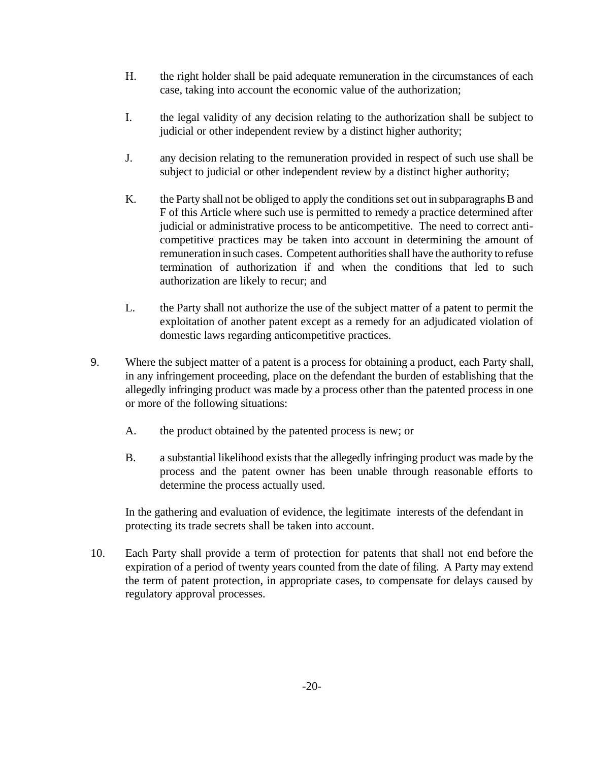- H. the right holder shall be paid adequate remuneration in the circumstances of each case, taking into account the economic value of the authorization;
- I. the legal validity of any decision relating to the authorization shall be subject to judicial or other independent review by a distinct higher authority;
- J. any decision relating to the remuneration provided in respect of such use shall be subject to judicial or other independent review by a distinct higher authority;
- K. the Party shall not be obliged to apply the conditions set out in subparagraphs B and F of this Article where such use is permitted to remedy a practice determined after judicial or administrative process to be anticompetitive. The need to correct anticompetitive practices may be taken into account in determining the amount of remuneration in such cases. Competent authorities shall have the authority to refuse termination of authorization if and when the conditions that led to such authorization are likely to recur; and
- L. the Party shall not authorize the use of the subject matter of a patent to permit the exploitation of another patent except as a remedy for an adjudicated violation of domestic laws regarding anticompetitive practices.
- 9. Where the subject matter of a patent is a process for obtaining a product, each Party shall, in any infringement proceeding, place on the defendant the burden of establishing that the allegedly infringing product was made by a process other than the patented process in one or more of the following situations:
	- A. the product obtained by the patented process is new; or
	- B. a substantial likelihood exists that the allegedly infringing product was made by the process and the patent owner has been unable through reasonable efforts to determine the process actually used.

In the gathering and evaluation of evidence, the legitimate interests of the defendant in protecting its trade secrets shall be taken into account.

10. Each Party shall provide a term of protection for patents that shall not end before the expiration of a period of twenty years counted from the date of filing. A Party may extend the term of patent protection, in appropriate cases, to compensate for delays caused by regulatory approval processes.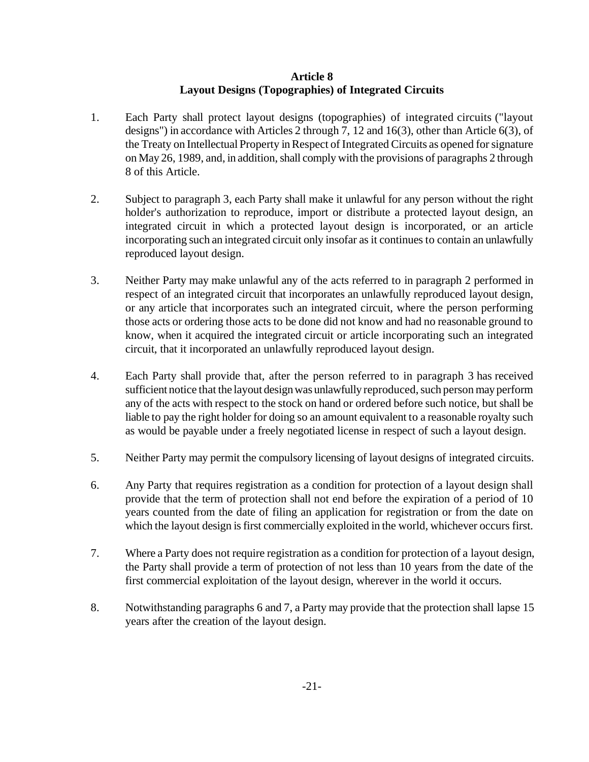## **Article 8 Layout Designs (Topographies) of Integrated Circuits**

- 1. Each Party shall protect layout designs (topographies) of integrated circuits ("layout designs") in accordance with Articles 2 through 7, 12 and 16(3), other than Article 6(3), of the Treaty on Intellectual Property in Respect of Integrated Circuits as opened for signature on May 26, 1989, and, in addition, shall comply with the provisions of paragraphs 2 through 8 of this Article.
- 2. Subject to paragraph 3, each Party shall make it unlawful for any person without the right holder's authorization to reproduce, import or distribute a protected layout design, an integrated circuit in which a protected layout design is incorporated, or an article incorporating such an integrated circuit only insofar as it continues to contain an unlawfully reproduced layout design.
- 3. Neither Party may make unlawful any of the acts referred to in paragraph 2 performed in respect of an integrated circuit that incorporates an unlawfully reproduced layout design, or any article that incorporates such an integrated circuit, where the person performing those acts or ordering those acts to be done did not know and had no reasonable ground to know, when it acquired the integrated circuit or article incorporating such an integrated circuit, that it incorporated an unlawfully reproduced layout design.
- 4. Each Party shall provide that, after the person referred to in paragraph 3 has received sufficient notice that the layout design was unlawfully reproduced, such person may perform any of the acts with respect to the stock on hand or ordered before such notice, but shall be liable to pay the right holder for doing so an amount equivalent to a reasonable royalty such as would be payable under a freely negotiated license in respect of such a layout design.
- 5. Neither Party may permit the compulsory licensing of layout designs of integrated circuits.
- 6. Any Party that requires registration as a condition for protection of a layout design shall provide that the term of protection shall not end before the expiration of a period of 10 years counted from the date of filing an application for registration or from the date on which the layout design is first commercially exploited in the world, whichever occurs first.
- 7. Where a Party does not require registration as a condition for protection of a layout design, the Party shall provide a term of protection of not less than 10 years from the date of the first commercial exploitation of the layout design, wherever in the world it occurs.
- 8. Notwithstanding paragraphs 6 and 7, a Party may provide that the protection shall lapse 15 years after the creation of the layout design.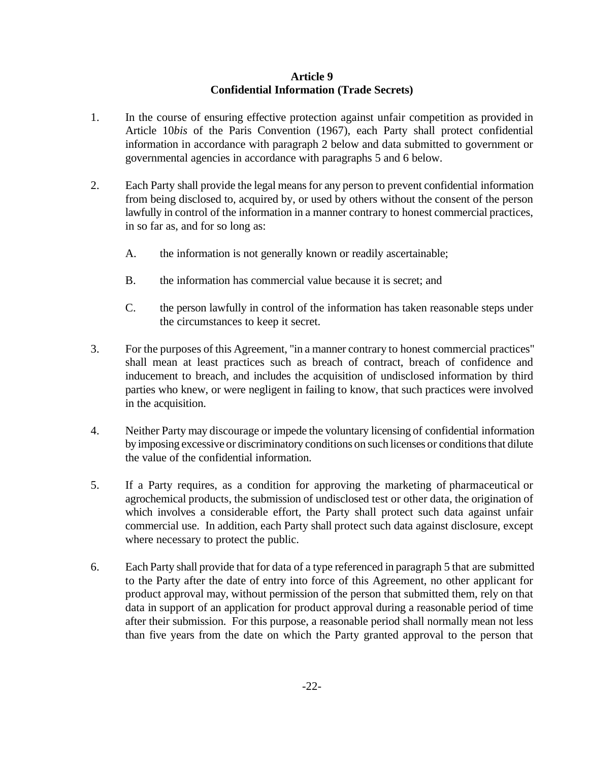### **Article 9 Confidential Information (Trade Secrets)**

- 1. In the course of ensuring effective protection against unfair competition as provided in Article 10*bis* of the Paris Convention (1967), each Party shall protect confidential information in accordance with paragraph 2 below and data submitted to government or governmental agencies in accordance with paragraphs 5 and 6 below.
- 2. Each Party shall provide the legal means for any person to prevent confidential information from being disclosed to, acquired by, or used by others without the consent of the person lawfully in control of the information in a manner contrary to honest commercial practices, in so far as, and for so long as:
	- A. the information is not generally known or readily ascertainable;
	- B. the information has commercial value because it is secret; and
	- C. the person lawfully in control of the information has taken reasonable steps under the circumstances to keep it secret.
- 3. For the purposes of this Agreement, "in a manner contrary to honest commercial practices" shall mean at least practices such as breach of contract, breach of confidence and inducement to breach, and includes the acquisition of undisclosed information by third parties who knew, or were negligent in failing to know, that such practices were involved in the acquisition.
- 4. Neither Party may discourage or impede the voluntary licensing of confidential information by imposing excessive or discriminatory conditions on such licenses or conditionsthat dilute the value of the confidential information.
- 5. If a Party requires, as a condition for approving the marketing of pharmaceutical or agrochemical products, the submission of undisclosed test or other data, the origination of which involves a considerable effort, the Party shall protect such data against unfair commercial use. In addition, each Party shall protect such data against disclosure, except where necessary to protect the public.
- 6. Each Party shall provide that for data of a type referenced in paragraph 5 that are submitted to the Party after the date of entry into force of this Agreement, no other applicant for product approval may, without permission of the person that submitted them, rely on that data in support of an application for product approval during a reasonable period of time after their submission. For this purpose, a reasonable period shall normally mean not less than five years from the date on which the Party granted approval to the person that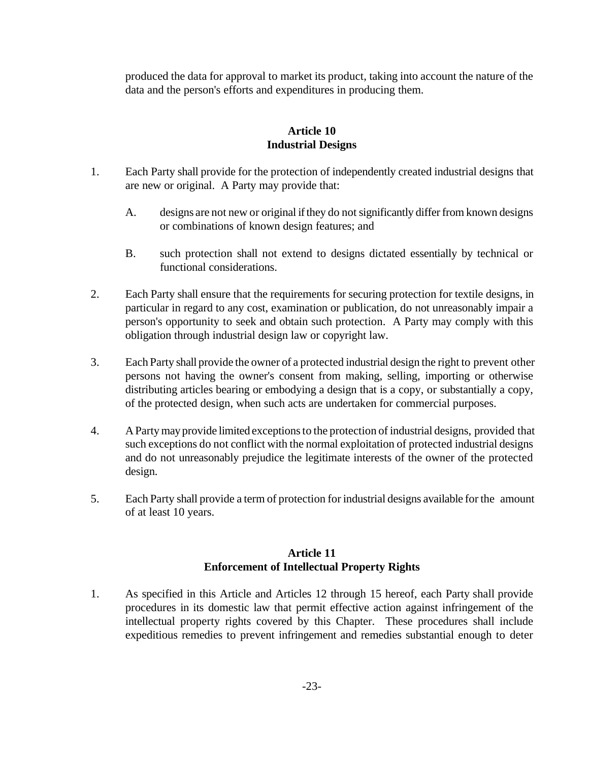produced the data for approval to market its product, taking into account the nature of the data and the person's efforts and expenditures in producing them.

# **Article 10 Industrial Designs**

- 1. Each Party shall provide for the protection of independently created industrial designs that are new or original. A Party may provide that:
	- A. designs are not new or original if they do not significantly differ from known designs or combinations of known design features; and
	- B. such protection shall not extend to designs dictated essentially by technical or functional considerations.
- 2. Each Party shall ensure that the requirements for securing protection for textile designs, in particular in regard to any cost, examination or publication, do not unreasonably impair a person's opportunity to seek and obtain such protection. A Party may comply with this obligation through industrial design law or copyright law.
- 3. Each Party shall provide the owner of a protected industrial design the right to prevent other persons not having the owner's consent from making, selling, importing or otherwise distributing articles bearing or embodying a design that is a copy, or substantially a copy, of the protected design, when such acts are undertaken for commercial purposes.
- 4. AParty may provide limited exceptionsto the protection of industrial designs, provided that such exceptions do not conflict with the normal exploitation of protected industrial designs and do not unreasonably prejudice the legitimate interests of the owner of the protected design.
- 5. Each Party shall provide a term of protection for industrial designs available for the amount of at least 10 years.

# **Article 11 Enforcement of Intellectual Property Rights**

1. As specified in this Article and Articles 12 through 15 hereof, each Party shall provide procedures in its domestic law that permit effective action against infringement of the intellectual property rights covered by this Chapter. These procedures shall include expeditious remedies to prevent infringement and remedies substantial enough to deter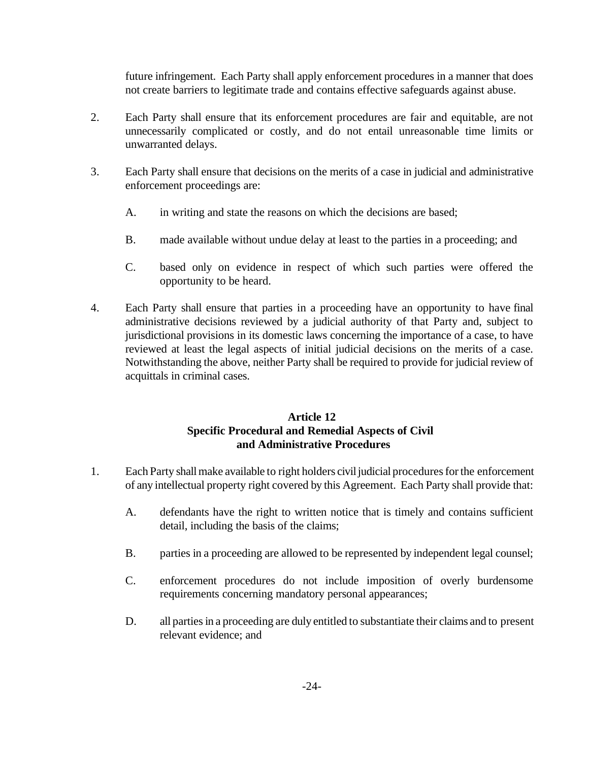future infringement. Each Party shall apply enforcement procedures in a manner that does not create barriers to legitimate trade and contains effective safeguards against abuse.

- 2. Each Party shall ensure that its enforcement procedures are fair and equitable, are not unnecessarily complicated or costly, and do not entail unreasonable time limits or unwarranted delays.
- 3. Each Party shall ensure that decisions on the merits of a case in judicial and administrative enforcement proceedings are:
	- A. in writing and state the reasons on which the decisions are based;
	- B. made available without undue delay at least to the parties in a proceeding; and
	- C. based only on evidence in respect of which such parties were offered the opportunity to be heard.
- 4. Each Party shall ensure that parties in a proceeding have an opportunity to have final administrative decisions reviewed by a judicial authority of that Party and, subject to jurisdictional provisions in its domestic laws concerning the importance of a case, to have reviewed at least the legal aspects of initial judicial decisions on the merits of a case. Notwithstanding the above, neither Party shall be required to provide for judicial review of acquittals in criminal cases.

# **Article 12 Specific Procedural and Remedial Aspects of Civil and Administrative Procedures**

- 1. Each Party shallmake available to right holders civiljudicial proceduresforthe enforcement of any intellectual property right covered by this Agreement. Each Party shall provide that:
	- A. defendants have the right to written notice that is timely and contains sufficient detail, including the basis of the claims;
	- B. parties in a proceeding are allowed to be represented by independent legal counsel;
	- C. enforcement procedures do not include imposition of overly burdensome requirements concerning mandatory personal appearances;
	- D. all partiesin a proceeding are duly entitled to substantiate their claims and to present relevant evidence; and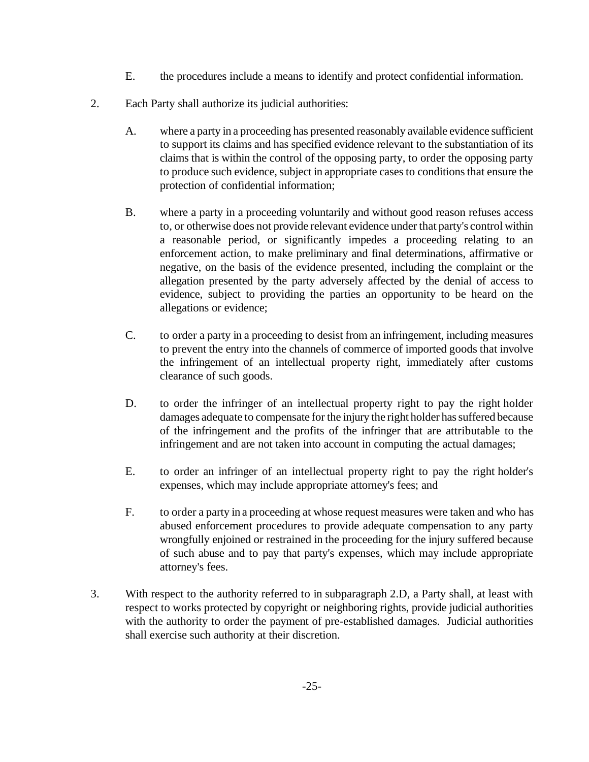- E. the procedures include a means to identify and protect confidential information.
- 2. Each Party shall authorize its judicial authorities:
	- A. where a party in a proceeding has presented reasonably available evidence sufficient to support its claims and has specified evidence relevant to the substantiation of its claims that is within the control of the opposing party, to order the opposing party to produce such evidence, subject in appropriate cases to conditions that ensure the protection of confidential information;
	- B. where a party in a proceeding voluntarily and without good reason refuses access to, or otherwise does not provide relevant evidence under that party's control within a reasonable period, or significantly impedes a proceeding relating to an enforcement action, to make preliminary and final determinations, affirmative or negative, on the basis of the evidence presented, including the complaint or the allegation presented by the party adversely affected by the denial of access to evidence, subject to providing the parties an opportunity to be heard on the allegations or evidence;
	- C. to order a party in a proceeding to desist from an infringement, including measures to prevent the entry into the channels of commerce of imported goods that involve the infringement of an intellectual property right, immediately after customs clearance of such goods.
	- D. to order the infringer of an intellectual property right to pay the right holder damages adequate to compensate for the injury the right holder has suffered because of the infringement and the profits of the infringer that are attributable to the infringement and are not taken into account in computing the actual damages;
	- E. to order an infringer of an intellectual property right to pay the right holder's expenses, which may include appropriate attorney's fees; and
	- F. to order a party in a proceeding at whose request measures were taken and who has abused enforcement procedures to provide adequate compensation to any party wrongfully enjoined or restrained in the proceeding for the injury suffered because of such abuse and to pay that party's expenses, which may include appropriate attorney's fees.
- 3. With respect to the authority referred to in subparagraph 2.D, a Party shall, at least with respect to works protected by copyright or neighboring rights, provide judicial authorities with the authority to order the payment of pre-established damages. Judicial authorities shall exercise such authority at their discretion.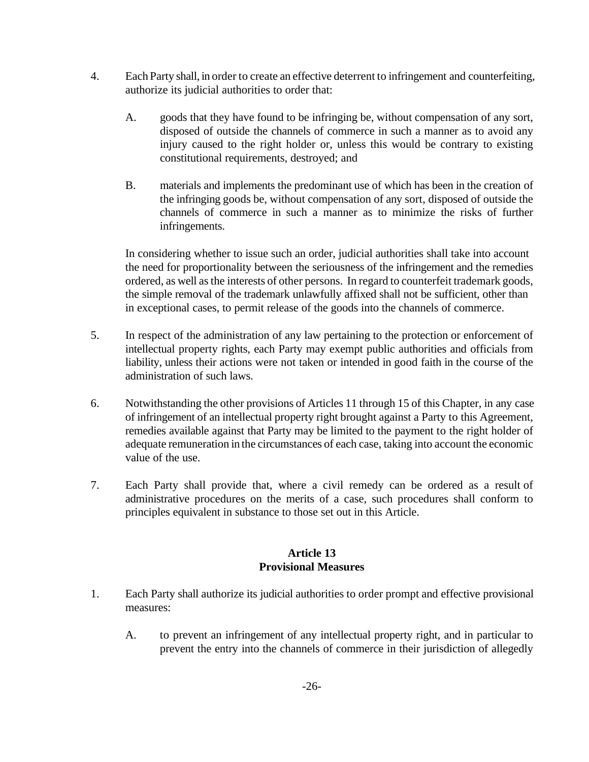- 4. Each Party shall, in order to create an effective deterrent to infringement and counterfeiting, authorize its judicial authorities to order that:
	- A. goods that they have found to be infringing be, without compensation of any sort, disposed of outside the channels of commerce in such a manner as to avoid any injury caused to the right holder or, unless this would be contrary to existing constitutional requirements, destroyed; and
	- B. materials and implements the predominant use of which has been in the creation of the infringing goods be, without compensation of any sort, disposed of outside the channels of commerce in such a manner as to minimize the risks of further infringements.

In considering whether to issue such an order, judicial authorities shall take into account the need for proportionality between the seriousness of the infringement and the remedies ordered, as well asthe interests of other persons. In regard to counterfeit trademark goods, the simple removal of the trademark unlawfully affixed shall not be sufficient, other than in exceptional cases, to permit release of the goods into the channels of commerce.

- 5. In respect of the administration of any law pertaining to the protection or enforcement of intellectual property rights, each Party may exempt public authorities and officials from liability, unless their actions were not taken or intended in good faith in the course of the administration of such laws.
- 6. Notwithstanding the other provisions of Articles 11 through 15 of this Chapter, in any case of infringement of an intellectual property right brought against a Party to this Agreement, remedies available against that Party may be limited to the payment to the right holder of adequate remuneration in the circumstances of each case, taking into account the economic value of the use.
- 7. Each Party shall provide that, where a civil remedy can be ordered as a result of administrative procedures on the merits of a case, such procedures shall conform to principles equivalent in substance to those set out in this Article.

# **Article 13 Provisional Measures**

- 1. Each Party shall authorize its judicial authorities to order prompt and effective provisional measures:
	- A. to prevent an infringement of any intellectual property right, and in particular to prevent the entry into the channels of commerce in their jurisdiction of allegedly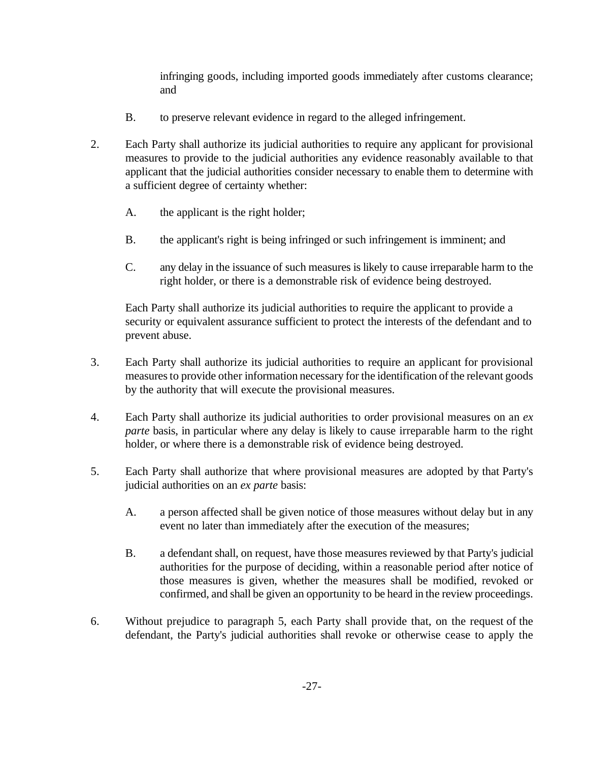infringing goods, including imported goods immediately after customs clearance; and

- B. to preserve relevant evidence in regard to the alleged infringement.
- 2. Each Party shall authorize its judicial authorities to require any applicant for provisional measures to provide to the judicial authorities any evidence reasonably available to that applicant that the judicial authorities consider necessary to enable them to determine with a sufficient degree of certainty whether:
	- A. the applicant is the right holder;
	- B. the applicant's right is being infringed or such infringement is imminent; and
	- C. any delay in the issuance of such measures is likely to cause irreparable harm to the right holder, or there is a demonstrable risk of evidence being destroyed.

Each Party shall authorize its judicial authorities to require the applicant to provide a security or equivalent assurance sufficient to protect the interests of the defendant and to prevent abuse.

- 3. Each Party shall authorize its judicial authorities to require an applicant for provisional measures to provide other information necessary for the identification of the relevant goods by the authority that will execute the provisional measures.
- 4. Each Party shall authorize its judicial authorities to order provisional measures on an *ex parte* basis, in particular where any delay is likely to cause irreparable harm to the right holder, or where there is a demonstrable risk of evidence being destroyed.
- 5. Each Party shall authorize that where provisional measures are adopted by that Party's judicial authorities on an *ex parte* basis:
	- A. a person affected shall be given notice of those measures without delay but in any event no later than immediately after the execution of the measures;
	- B. a defendant shall, on request, have those measures reviewed by that Party's judicial authorities for the purpose of deciding, within a reasonable period after notice of those measures is given, whether the measures shall be modified, revoked or confirmed, and shall be given an opportunity to be heard in the review proceedings.
- 6. Without prejudice to paragraph 5, each Party shall provide that, on the request of the defendant, the Party's judicial authorities shall revoke or otherwise cease to apply the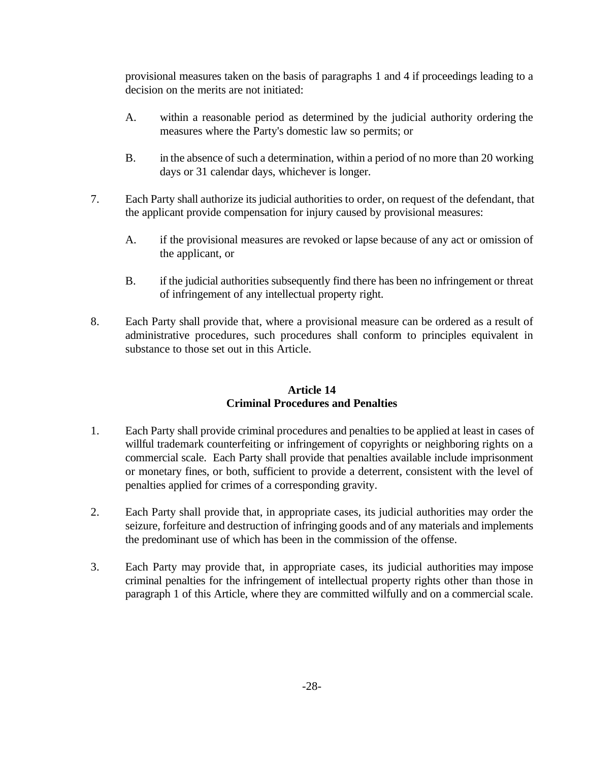provisional measures taken on the basis of paragraphs 1 and 4 if proceedings leading to a decision on the merits are not initiated:

- A. within a reasonable period as determined by the judicial authority ordering the measures where the Party's domestic law so permits; or
- B. in the absence of such a determination, within a period of no more than 20 working days or 31 calendar days, whichever is longer.
- 7. Each Party shall authorize its judicial authorities to order, on request of the defendant, that the applicant provide compensation for injury caused by provisional measures:
	- A. if the provisional measures are revoked or lapse because of any act or omission of the applicant, or
	- B. if the judicial authorities subsequently find there has been no infringement or threat of infringement of any intellectual property right.
- 8. Each Party shall provide that, where a provisional measure can be ordered as a result of administrative procedures, such procedures shall conform to principles equivalent in substance to those set out in this Article.

# **Article 14 Criminal Procedures and Penalties**

- 1. Each Party shall provide criminal procedures and penalties to be applied at least in cases of willful trademark counterfeiting or infringement of copyrights or neighboring rights on a commercial scale. Each Party shall provide that penalties available include imprisonment or monetary fines, or both, sufficient to provide a deterrent, consistent with the level of penalties applied for crimes of a corresponding gravity.
- 2. Each Party shall provide that, in appropriate cases, its judicial authorities may order the seizure, forfeiture and destruction of infringing goods and of any materials and implements the predominant use of which has been in the commission of the offense.
- 3. Each Party may provide that, in appropriate cases, its judicial authorities may impose criminal penalties for the infringement of intellectual property rights other than those in paragraph 1 of this Article, where they are committed wilfully and on a commercial scale.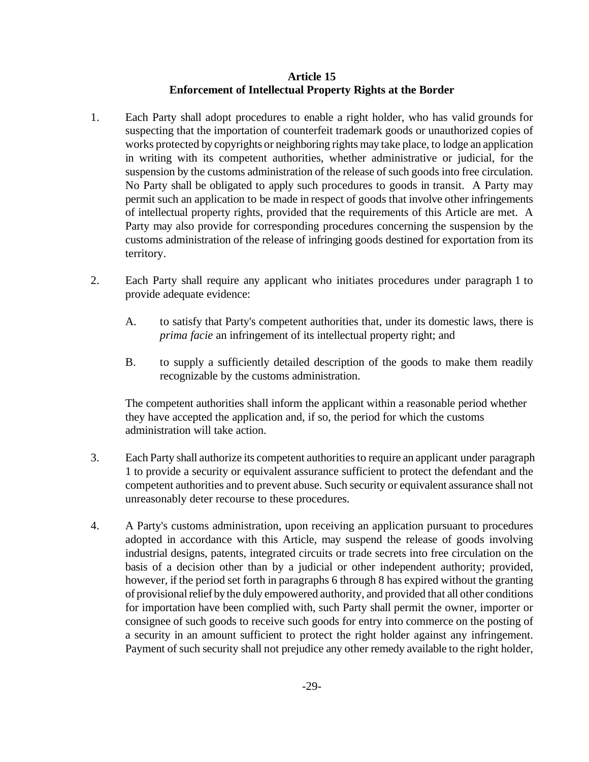# **Article 15 Enforcement of Intellectual Property Rights at the Border**

- 1. Each Party shall adopt procedures to enable a right holder, who has valid grounds for suspecting that the importation of counterfeit trademark goods or unauthorized copies of works protected by copyrights or neighboring rights may take place, to lodge an application in writing with its competent authorities, whether administrative or judicial, for the suspension by the customs administration of the release of such goods into free circulation. No Party shall be obligated to apply such procedures to goods in transit. A Party may permit such an application to be made in respect of goods that involve other infringements of intellectual property rights, provided that the requirements of this Article are met. A Party may also provide for corresponding procedures concerning the suspension by the customs administration of the release of infringing goods destined for exportation from its territory.
- 2. Each Party shall require any applicant who initiates procedures under paragraph 1 to provide adequate evidence:
	- A. to satisfy that Party's competent authorities that, under its domestic laws, there is *prima facie* an infringement of its intellectual property right; and
	- B. to supply a sufficiently detailed description of the goods to make them readily recognizable by the customs administration.

The competent authorities shall inform the applicant within a reasonable period whether they have accepted the application and, if so, the period for which the customs administration will take action.

- 3. Each Party shall authorize its competent authoritiesto require an applicant under paragraph 1 to provide a security or equivalent assurance sufficient to protect the defendant and the competent authorities and to prevent abuse. Such security or equivalent assurance shall not unreasonably deter recourse to these procedures.
- 4. A Party's customs administration, upon receiving an application pursuant to procedures adopted in accordance with this Article, may suspend the release of goods involving industrial designs, patents, integrated circuits or trade secrets into free circulation on the basis of a decision other than by a judicial or other independent authority; provided, however, if the period set forth in paragraphs 6 through 8 has expired without the granting of provisional relief by the duly empowered authority, and provided that all other conditions for importation have been complied with, such Party shall permit the owner, importer or consignee of such goods to receive such goods for entry into commerce on the posting of a security in an amount sufficient to protect the right holder against any infringement. Payment of such security shall not prejudice any other remedy available to the right holder,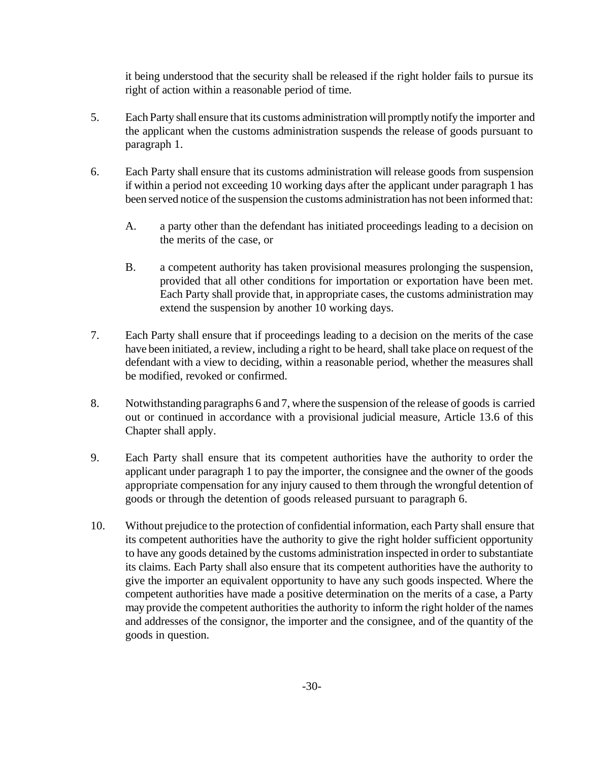it being understood that the security shall be released if the right holder fails to pursue its right of action within a reasonable period of time.

- 5. Each Party shall ensure that its customs administration will promptly notify the importer and the applicant when the customs administration suspends the release of goods pursuant to paragraph 1.
- 6. Each Party shall ensure that its customs administration will release goods from suspension if within a period not exceeding 10 working days after the applicant under paragraph 1 has been served notice of the suspension the customs administration has not been informed that:
	- A. a party other than the defendant has initiated proceedings leading to a decision on the merits of the case, or
	- B. a competent authority has taken provisional measures prolonging the suspension, provided that all other conditions for importation or exportation have been met. Each Party shall provide that, in appropriate cases, the customs administration may extend the suspension by another 10 working days.
- 7. Each Party shall ensure that if proceedings leading to a decision on the merits of the case have been initiated, a review, including a right to be heard, shall take place on request of the defendant with a view to deciding, within a reasonable period, whether the measures shall be modified, revoked or confirmed.
- 8. Notwithstanding paragraphs 6 and 7, where the suspension of the release of goods is carried out or continued in accordance with a provisional judicial measure, Article 13.6 of this Chapter shall apply.
- 9. Each Party shall ensure that its competent authorities have the authority to order the applicant under paragraph 1 to pay the importer, the consignee and the owner of the goods appropriate compensation for any injury caused to them through the wrongful detention of goods or through the detention of goods released pursuant to paragraph 6.
- 10. Without prejudice to the protection of confidential information, each Party shall ensure that its competent authorities have the authority to give the right holder sufficient opportunity to have any goods detained by the customs administration inspected in order to substantiate its claims. Each Party shall also ensure that its competent authorities have the authority to give the importer an equivalent opportunity to have any such goods inspected. Where the competent authorities have made a positive determination on the merits of a case, a Party may provide the competent authorities the authority to inform the right holder of the names and addresses of the consignor, the importer and the consignee, and of the quantity of the goods in question.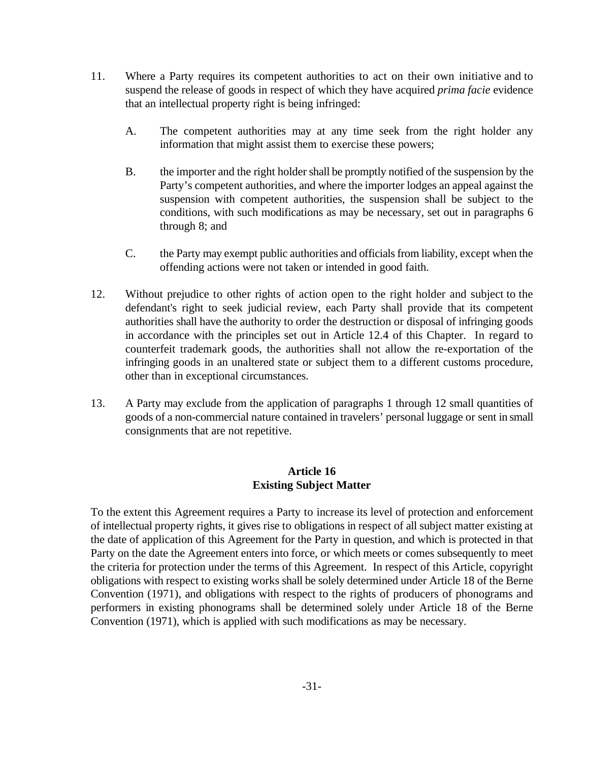- 11. Where a Party requires its competent authorities to act on their own initiative and to suspend the release of goods in respect of which they have acquired *prima facie* evidence that an intellectual property right is being infringed:
	- A. The competent authorities may at any time seek from the right holder any information that might assist them to exercise these powers;
	- B. the importer and the right holder shall be promptly notified of the suspension by the Party's competent authorities, and where the importer lodges an appeal against the suspension with competent authorities, the suspension shall be subject to the conditions, with such modifications as may be necessary, set out in paragraphs 6 through 8; and
	- C. the Party may exempt public authorities and officials from liability, except when the offending actions were not taken or intended in good faith.
- 12. Without prejudice to other rights of action open to the right holder and subject to the defendant's right to seek judicial review, each Party shall provide that its competent authorities shall have the authority to order the destruction or disposal of infringing goods in accordance with the principles set out in Article 12.4 of this Chapter. In regard to counterfeit trademark goods, the authorities shall not allow the re-exportation of the infringing goods in an unaltered state or subject them to a different customs procedure, other than in exceptional circumstances.
- 13. A Party may exclude from the application of paragraphs 1 through 12 small quantities of goods of a non-commercial nature contained in travelers' personal luggage or sent in small consignments that are not repetitive.

#### **Article 16 Existing Subject Matter**

To the extent this Agreement requires a Party to increase its level of protection and enforcement of intellectual property rights, it gives rise to obligations in respect of all subject matter existing at the date of application of this Agreement for the Party in question, and which is protected in that Party on the date the Agreement enters into force, or which meets or comes subsequently to meet the criteria for protection under the terms of this Agreement. In respect of this Article, copyright obligations with respect to existing works shall be solely determined under Article 18 of the Berne Convention (1971), and obligations with respect to the rights of producers of phonograms and performers in existing phonograms shall be determined solely under Article 18 of the Berne Convention (1971), which is applied with such modifications as may be necessary.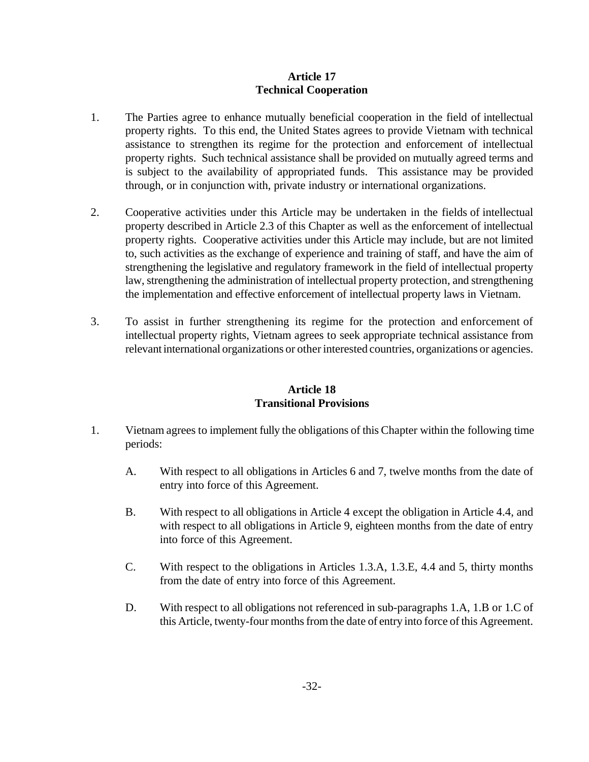# **Article 17 Technical Cooperation**

- 1. The Parties agree to enhance mutually beneficial cooperation in the field of intellectual property rights. To this end, the United States agrees to provide Vietnam with technical assistance to strengthen its regime for the protection and enforcement of intellectual property rights. Such technical assistance shall be provided on mutually agreed terms and is subject to the availability of appropriated funds. This assistance may be provided through, or in conjunction with, private industry or international organizations.
- 2. Cooperative activities under this Article may be undertaken in the fields of intellectual property described in Article 2.3 of this Chapter as well as the enforcement of intellectual property rights. Cooperative activities under this Article may include, but are not limited to, such activities as the exchange of experience and training of staff, and have the aim of strengthening the legislative and regulatory framework in the field of intellectual property law, strengthening the administration of intellectual property protection, and strengthening the implementation and effective enforcement of intellectual property laws in Vietnam.
- 3. To assist in further strengthening its regime for the protection and enforcement of intellectual property rights, Vietnam agrees to seek appropriate technical assistance from relevant international organizations or other interested countries, organizations or agencies.

# **Article 18 Transitional Provisions**

- 1. Vietnam agrees to implement fully the obligations of this Chapter within the following time periods:
	- A. With respect to all obligations in Articles 6 and 7, twelve months from the date of entry into force of this Agreement.
	- B. With respect to all obligations in Article 4 except the obligation in Article 4.4, and with respect to all obligations in Article 9, eighteen months from the date of entry into force of this Agreement.
	- C. With respect to the obligations in Articles 1.3.A, 1.3.E, 4.4 and 5, thirty months from the date of entry into force of this Agreement.
	- D. With respect to all obligations not referenced in sub-paragraphs 1.A, 1.B or 1.C of this Article, twenty-four monthsfrom the date of entry into force of this Agreement.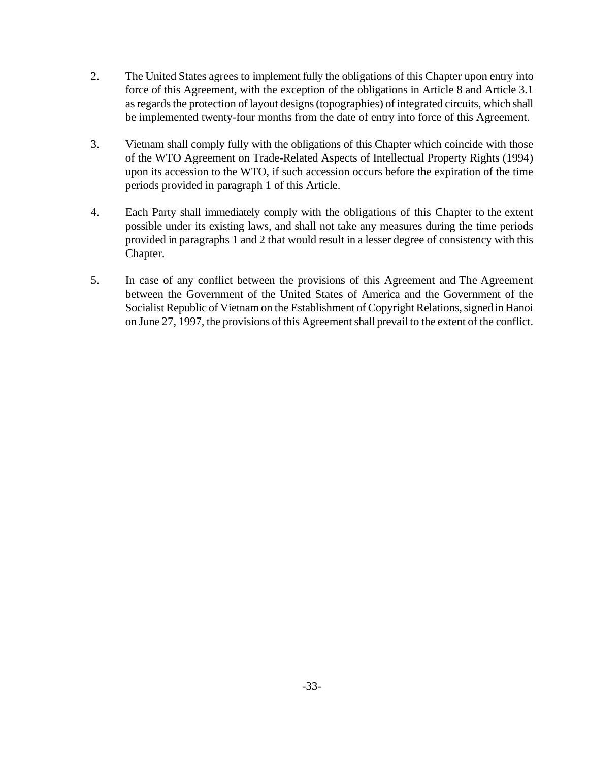- 2. The United States agrees to implement fully the obligations of this Chapter upon entry into force of this Agreement, with the exception of the obligations in Article 8 and Article 3.1 as regards the protection of layout designs (topographies) of integrated circuits, which shall be implemented twenty-four months from the date of entry into force of this Agreement.
- 3. Vietnam shall comply fully with the obligations of this Chapter which coincide with those of the WTO Agreement on Trade-Related Aspects of Intellectual Property Rights (1994) upon its accession to the WTO, if such accession occurs before the expiration of the time periods provided in paragraph 1 of this Article.
- 4. Each Party shall immediately comply with the obligations of this Chapter to the extent possible under its existing laws, and shall not take any measures during the time periods provided in paragraphs 1 and 2 that would result in a lesser degree of consistency with this Chapter.
- 5. In case of any conflict between the provisions of this Agreement and The Agreement between the Government of the United States of America and the Government of the Socialist Republic of Vietnam on the Establishment of Copyright Relations, signed in Hanoi on June 27, 1997, the provisions of this Agreement shall prevail to the extent of the conflict.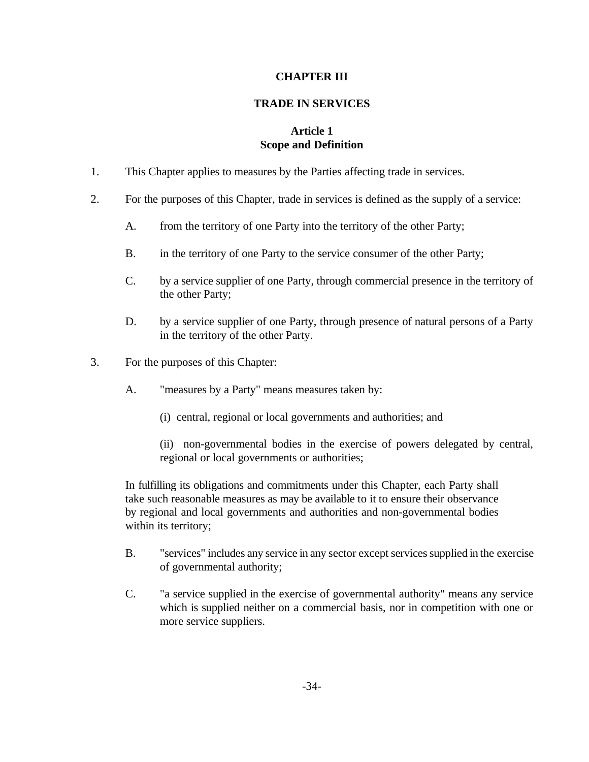#### **CHAPTER III**

#### **TRADE IN SERVICES**

## **Article 1 Scope and Definition**

- 1. This Chapter applies to measures by the Parties affecting trade in services.
- 2. For the purposes of this Chapter, trade in services is defined as the supply of a service:
	- A. from the territory of one Party into the territory of the other Party;
	- B. in the territory of one Party to the service consumer of the other Party;
	- C. by a service supplier of one Party, through commercial presence in the territory of the other Party;
	- D. by a service supplier of one Party, through presence of natural persons of a Party in the territory of the other Party.
- 3. For the purposes of this Chapter:
	- A. "measures by a Party" means measures taken by:
		- (i) central, regional or local governments and authorities; and
		- (ii) non-governmental bodies in the exercise of powers delegated by central, regional or local governments or authorities;

In fulfilling its obligations and commitments under this Chapter, each Party shall take such reasonable measures as may be available to it to ensure their observance by regional and local governments and authorities and non-governmental bodies within its territory;

- B. "services" includes any service in any sector except services supplied in the exercise of governmental authority;
- C. "a service supplied in the exercise of governmental authority" means any service which is supplied neither on a commercial basis, nor in competition with one or more service suppliers.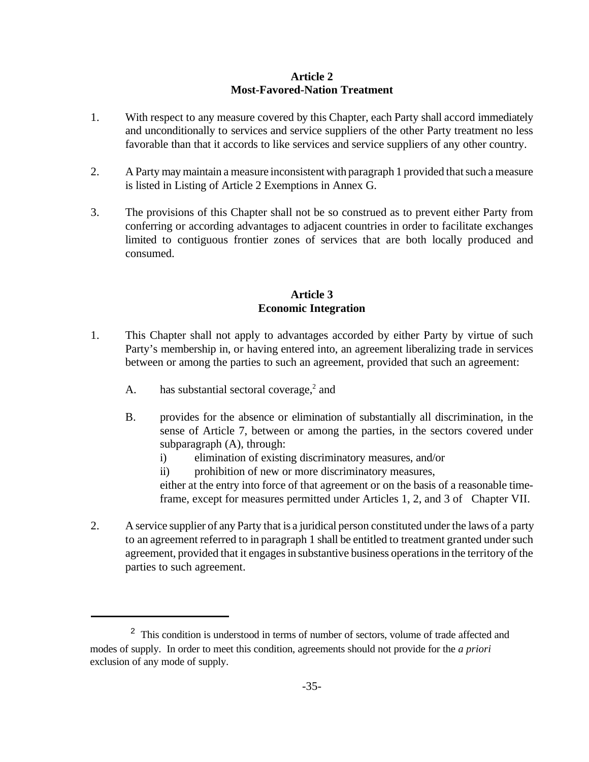# **Article 2 Most-Favored-Nation Treatment**

- 1. With respect to any measure covered by this Chapter, each Party shall accord immediately and unconditionally to services and service suppliers of the other Party treatment no less favorable than that it accords to like services and service suppliers of any other country.
- 2. A Party may maintain a measure inconsistent with paragraph 1 provided that such a measure is listed in Listing of Article 2 Exemptions in Annex G.
- 3. The provisions of this Chapter shall not be so construed as to prevent either Party from conferring or according advantages to adjacent countries in order to facilitate exchanges limited to contiguous frontier zones of services that are both locally produced and consumed.

#### **Article 3 Economic Integration**

- 1. This Chapter shall not apply to advantages accorded by either Party by virtue of such Party's membership in, or having entered into, an agreement liberalizing trade in services between or among the parties to such an agreement, provided that such an agreement:
	- A. has substantial sectoral coverage, $2$  and
	- B. provides for the absence or elimination of substantially all discrimination, in the sense of Article 7, between or among the parties, in the sectors covered under subparagraph (A), through:
		- i) elimination of existing discriminatory measures, and/or
		- ii) prohibition of new or more discriminatory measures,

either at the entry into force of that agreement or on the basis of a reasonable timeframe, except for measures permitted under Articles 1, 2, and 3 of Chapter VII.

2. A service supplier of any Party that is a juridical person constituted under the laws of a party to an agreement referred to in paragraph 1 shall be entitled to treatment granted under such agreement, provided that it engages in substantive business operations in the territory of the parties to such agreement.

<sup>&</sup>lt;sup>2</sup> This condition is understood in terms of number of sectors, volume of trade affected and modes of supply. In order to meet this condition, agreements should not provide for the *a priori* exclusion of any mode of supply.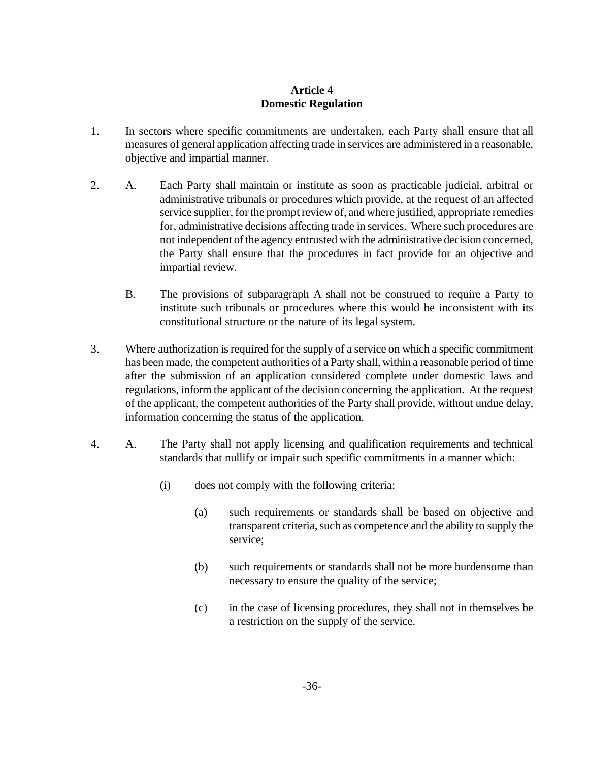# **Article 4 Domestic Regulation**

- 1. In sectors where specific commitments are undertaken, each Party shall ensure that all measures of general application affecting trade in services are administered in a reasonable, objective and impartial manner.
- 2. A. Each Party shall maintain or institute as soon as practicable judicial, arbitral or administrative tribunals or procedures which provide, at the request of an affected service supplier, for the prompt review of, and where justified, appropriate remedies for, administrative decisions affecting trade in services. Where such procedures are not independent of the agency entrusted with the administrative decision concerned, the Party shall ensure that the procedures in fact provide for an objective and impartial review.
	- B. The provisions of subparagraph A shall not be construed to require a Party to institute such tribunals or procedures where this would be inconsistent with its constitutional structure or the nature of its legal system.
- 3. Where authorization is required for the supply of a service on which a specific commitment has been made, the competent authorities of a Party shall, within a reasonable period of time after the submission of an application considered complete under domestic laws and regulations, inform the applicant of the decision concerning the application. At the request of the applicant, the competent authorities of the Party shall provide, without undue delay, information concerning the status of the application.
- 4. A. The Party shall not apply licensing and qualification requirements and technical standards that nullify or impair such specific commitments in a manner which:
	- (i) does not comply with the following criteria:
		- (a) such requirements or standards shall be based on objective and transparent criteria, such as competence and the ability to supply the service;
		- (b) such requirements or standards shall not be more burdensome than necessary to ensure the quality of the service;
		- (c) in the case of licensing procedures, they shall not in themselves be a restriction on the supply of the service.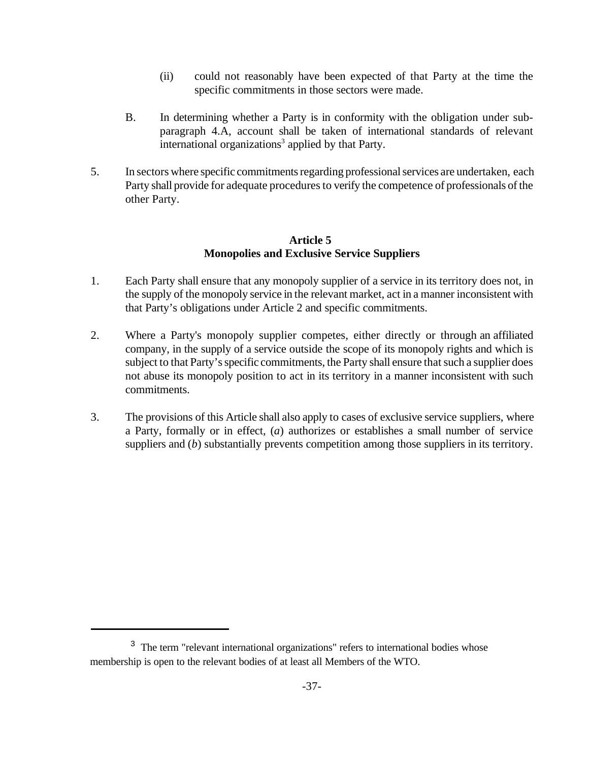- (ii) could not reasonably have been expected of that Party at the time the specific commitments in those sectors were made.
- B. In determining whether a Party is in conformity with the obligation under subparagraph 4.A, account shall be taken of international standards of relevant international organizations<sup>3</sup> applied by that Party.
- 5. In sectors where specific commitments regarding professional services are undertaken, each Party shall provide for adequate procedures to verify the competence of professionals of the other Party.

# **Article 5 Monopolies and Exclusive Service Suppliers**

- 1. Each Party shall ensure that any monopoly supplier of a service in its territory does not, in the supply of the monopoly service in the relevant market, act in a manner inconsistent with that Party's obligations under Article 2 and specific commitments.
- 2. Where a Party's monopoly supplier competes, either directly or through an affiliated company, in the supply of a service outside the scope of its monopoly rights and which is subject to that Party's specific commitments, the Party shall ensure that such a supplier does not abuse its monopoly position to act in its territory in a manner inconsistent with such commitments.
- 3. The provisions of this Article shall also apply to cases of exclusive service suppliers, where a Party, formally or in effect, (*a*) authorizes or establishes a small number of service suppliers and (*b*) substantially prevents competition among those suppliers in its territory.

<sup>&</sup>lt;sup>3</sup> The term "relevant international organizations" refers to international bodies whose membership is open to the relevant bodies of at least all Members of the WTO.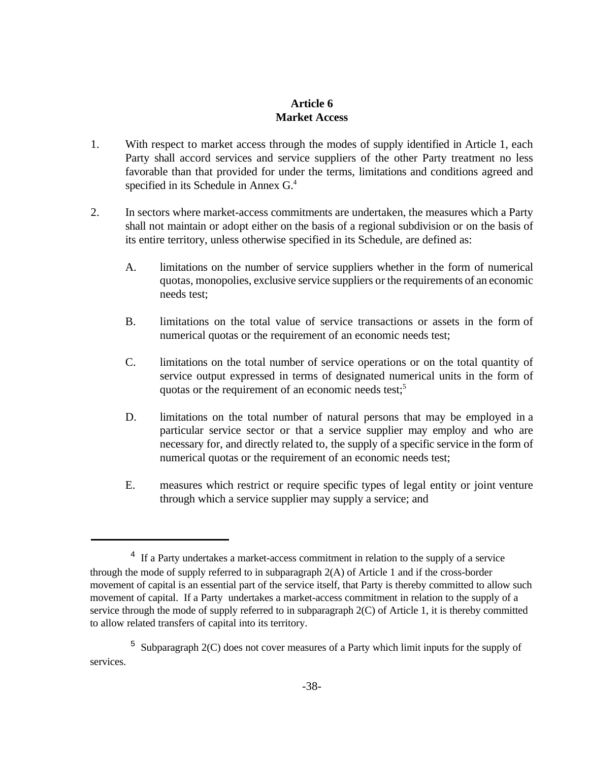# **Article 6 Market Access**

- 1. With respect to market access through the modes of supply identified in Article 1, each Party shall accord services and service suppliers of the other Party treatment no less favorable than that provided for under the terms, limitations and conditions agreed and specified in its Schedule in Annex G.<sup>4</sup>
- 2. In sectors where market-access commitments are undertaken, the measures which a Party shall not maintain or adopt either on the basis of a regional subdivision or on the basis of its entire territory, unless otherwise specified in its Schedule, are defined as:
	- A. limitations on the number of service suppliers whether in the form of numerical quotas, monopolies, exclusive service suppliers or the requirements of an economic needs test;
	- B. limitations on the total value of service transactions or assets in the form of numerical quotas or the requirement of an economic needs test;
	- C. limitations on the total number of service operations or on the total quantity of service output expressed in terms of designated numerical units in the form of quotas or the requirement of an economic needs test;<sup>5</sup>
	- D. limitations on the total number of natural persons that may be employed in a particular service sector or that a service supplier may employ and who are necessary for, and directly related to, the supply of a specific service in the form of numerical quotas or the requirement of an economic needs test;
	- E. measures which restrict or require specific types of legal entity or joint venture through which a service supplier may supply a service; and

<sup>&</sup>lt;sup>4</sup> If a Party undertakes a market-access commitment in relation to the supply of a service through the mode of supply referred to in subparagraph 2(A) of Article 1 and if the cross-border movement of capital is an essential part of the service itself, that Party is thereby committed to allow such movement of capital. If a Party undertakes a market-access commitment in relation to the supply of a service through the mode of supply referred to in subparagraph 2(C) of Article 1, it is thereby committed to allow related transfers of capital into its territory.

<sup>&</sup>lt;sup>5</sup> Subparagraph  $2(C)$  does not cover measures of a Party which limit inputs for the supply of services.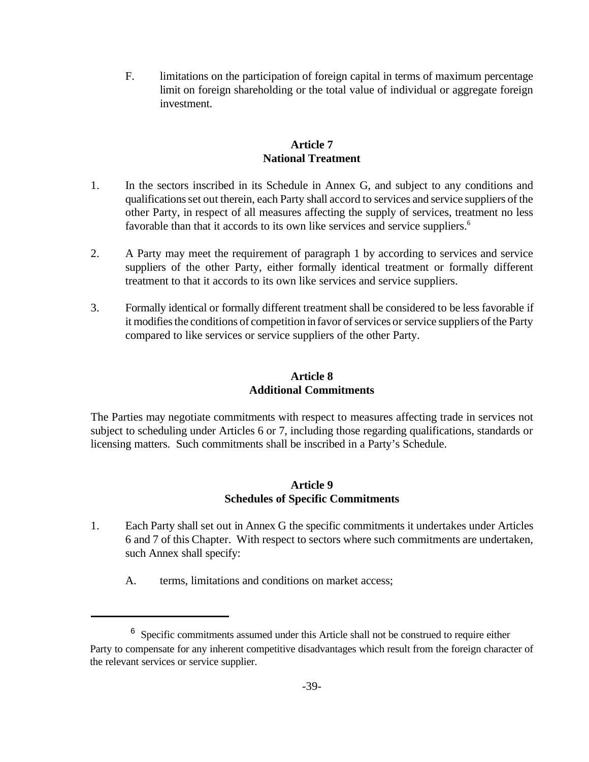F. limitations on the participation of foreign capital in terms of maximum percentage limit on foreign shareholding or the total value of individual or aggregate foreign investment.

#### **Article 7 National Treatment**

- 1. In the sectors inscribed in its Schedule in Annex G, and subject to any conditions and qualifications set out therein, each Party shall accord to services and service suppliers of the other Party, in respect of all measures affecting the supply of services, treatment no less favorable than that it accords to its own like services and service suppliers.<sup>6</sup>
- 2. A Party may meet the requirement of paragraph 1 by according to services and service suppliers of the other Party, either formally identical treatment or formally different treatment to that it accords to its own like services and service suppliers.
- 3. Formally identical or formally different treatment shall be considered to be less favorable if it modifies the conditions of competition in favor of services or service suppliers of the Party compared to like services or service suppliers of the other Party.

# **Article 8 Additional Commitments**

The Parties may negotiate commitments with respect to measures affecting trade in services not subject to scheduling under Articles 6 or 7, including those regarding qualifications, standards or licensing matters. Such commitments shall be inscribed in a Party's Schedule.

# **Article 9 Schedules of Specific Commitments**

- 1. Each Party shall set out in Annex G the specific commitments it undertakes under Articles 6 and 7 of this Chapter. With respect to sectors where such commitments are undertaken, such Annex shall specify:
	- A. terms, limitations and conditions on market access;

<sup>&</sup>lt;sup>6</sup> Specific commitments assumed under this Article shall not be construed to require either Party to compensate for any inherent competitive disadvantages which result from the foreign character of the relevant services or service supplier.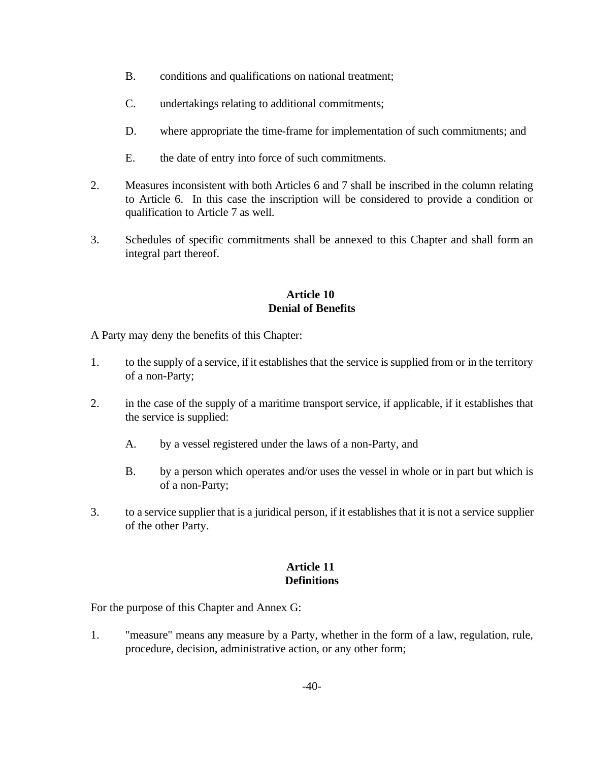- B. conditions and qualifications on national treatment;
- C. undertakings relating to additional commitments;
- D. where appropriate the time-frame for implementation of such commitments; and
- E. the date of entry into force of such commitments.
- 2. Measures inconsistent with both Articles 6 and 7 shall be inscribed in the column relating to Article 6. In this case the inscription will be considered to provide a condition or qualification to Article 7 as well.
- 3. Schedules of specific commitments shall be annexed to this Chapter and shall form an integral part thereof.

#### **Article 10 Denial of Benefits**

A Party may deny the benefits of this Chapter:

- 1. to the supply of a service, if it establishes that the service is supplied from or in the territory of a non-Party;
- 2. in the case of the supply of a maritime transport service, if applicable, if it establishes that the service is supplied:
	- A. by a vessel registered under the laws of a non-Party, and
	- B. by a person which operates and/or uses the vessel in whole or in part but which is of a non-Party;
- 3. to a service supplier that is a juridical person, if it establishes that it is not a service supplier of the other Party.

# **Article 11 Definitions**

For the purpose of this Chapter and Annex G:

1. "measure" means any measure by a Party, whether in the form of a law, regulation, rule, procedure, decision, administrative action, or any other form;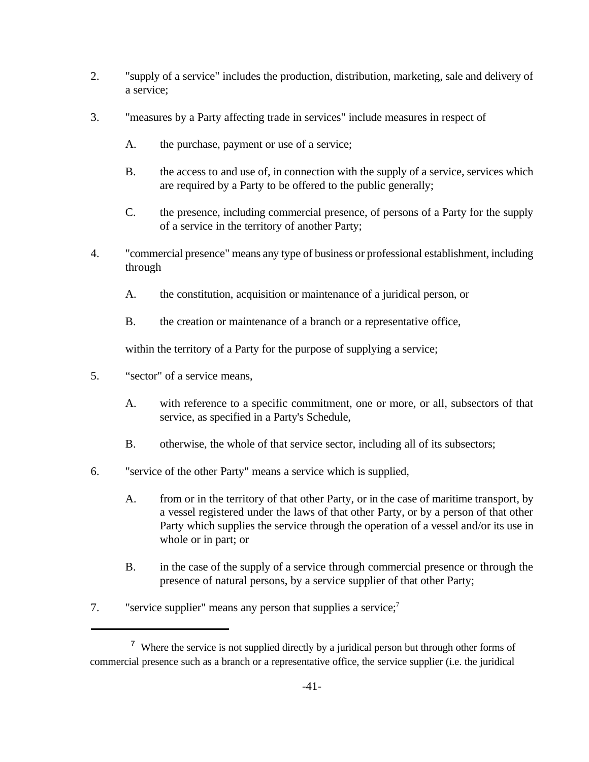- 2. "supply of a service" includes the production, distribution, marketing, sale and delivery of a service;
- 3. "measures by a Party affecting trade in services" include measures in respect of
	- A. the purchase, payment or use of a service;
	- B. the access to and use of, in connection with the supply of a service, services which are required by a Party to be offered to the public generally;
	- C. the presence, including commercial presence, of persons of a Party for the supply of a service in the territory of another Party;
- 4. "commercial presence" means any type of business or professional establishment, including through
	- A. the constitution, acquisition or maintenance of a juridical person, or
	- B. the creation or maintenance of a branch or a representative office,

within the territory of a Party for the purpose of supplying a service;

- 5. "sector" of a service means,
	- A. with reference to a specific commitment, one or more, or all, subsectors of that service, as specified in a Party's Schedule,
	- B. otherwise, the whole of that service sector, including all of its subsectors;
- 6. "service of the other Party" means a service which is supplied,
	- A. from or in the territory of that other Party, or in the case of maritime transport, by a vessel registered under the laws of that other Party, or by a person of that other Party which supplies the service through the operation of a vessel and/or its use in whole or in part; or
	- B. in the case of the supply of a service through commercial presence or through the presence of natural persons, by a service supplier of that other Party;
- 7. "service supplier" means any person that supplies a service;<sup>7</sup>

<sup>&</sup>lt;sup>7</sup> Where the service is not supplied directly by a juridical person but through other forms of commercial presence such as a branch or a representative office, the service supplier (i.e. the juridical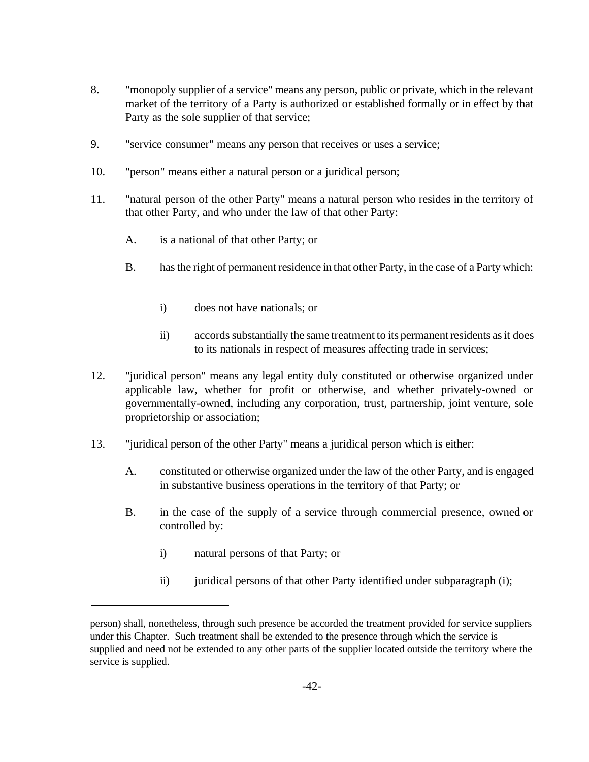- 8. "monopoly supplier of a service" means any person, public or private, which in the relevant market of the territory of a Party is authorized or established formally or in effect by that Party as the sole supplier of that service;
- 9. "service consumer" means any person that receives or uses a service;
- 10. "person" means either a natural person or a juridical person;
- 11. "natural person of the other Party" means a natural person who resides in the territory of that other Party, and who under the law of that other Party:
	- A. is a national of that other Party; or
	- B. hasthe right of permanent residence in that other Party, in the case of a Party which:
		- i) does not have nationals; or
		- ii) accords substantially the same treatment to its permanent residents as it does to its nationals in respect of measures affecting trade in services;
- 12. "juridical person" means any legal entity duly constituted or otherwise organized under applicable law, whether for profit or otherwise, and whether privately-owned or governmentally-owned, including any corporation, trust, partnership, joint venture, sole proprietorship or association;
- 13. "juridical person of the other Party" means a juridical person which is either:
	- A. constituted or otherwise organized under the law of the other Party, and is engaged in substantive business operations in the territory of that Party; or
	- B. in the case of the supply of a service through commercial presence, owned or controlled by:
		- i) natural persons of that Party; or
		- ii) juridical persons of that other Party identified under subparagraph (i);

person) shall, nonetheless, through such presence be accorded the treatment provided for service suppliers under this Chapter. Such treatment shall be extended to the presence through which the service is supplied and need not be extended to any other parts of the supplier located outside the territory where the service is supplied.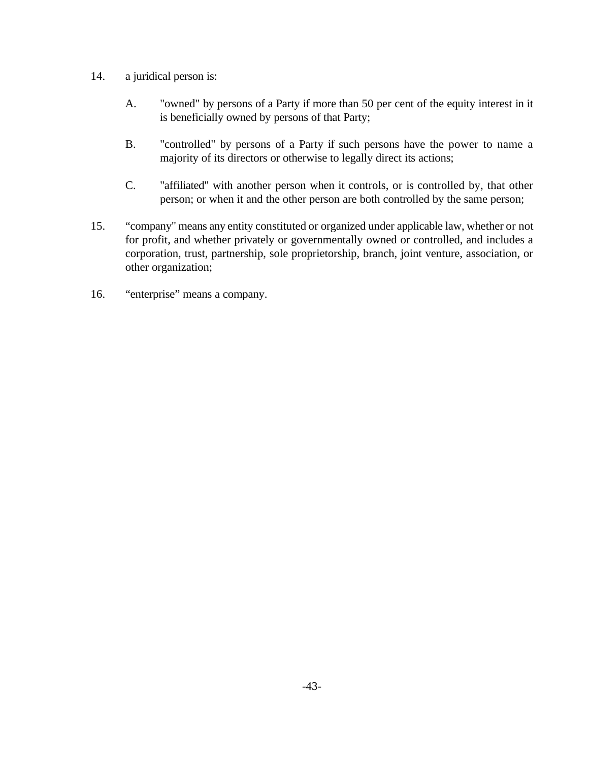- 14. a juridical person is:
	- A. "owned" by persons of a Party if more than 50 per cent of the equity interest in it is beneficially owned by persons of that Party;
	- B. "controlled" by persons of a Party if such persons have the power to name a majority of its directors or otherwise to legally direct its actions;
	- C. "affiliated" with another person when it controls, or is controlled by, that other person; or when it and the other person are both controlled by the same person;
- 15. "company" means any entity constituted or organized under applicable law, whether or not for profit, and whether privately or governmentally owned or controlled, and includes a corporation, trust, partnership, sole proprietorship, branch, joint venture, association, or other organization;
- 16. "enterprise" means a company.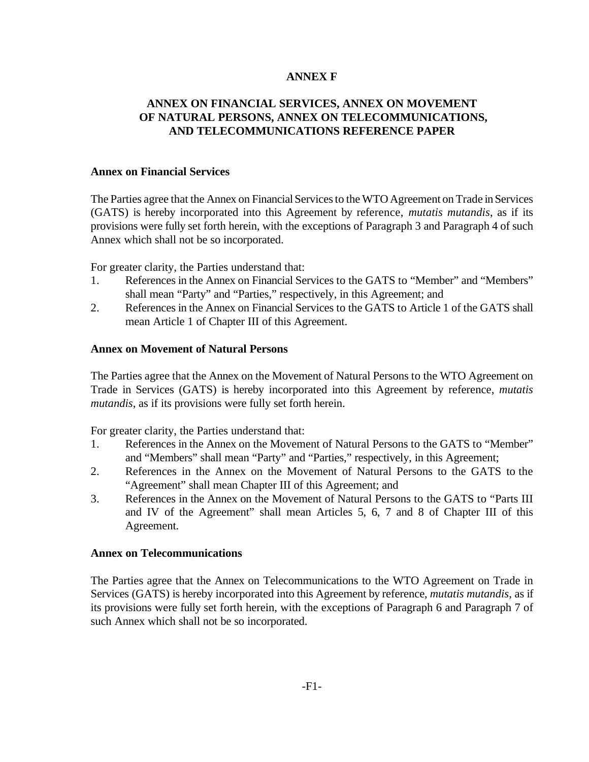#### **ANNEX F**

# **ANNEX ON FINANCIAL SERVICES, ANNEX ON MOVEMENT OF NATURAL PERSONS, ANNEX ON TELECOMMUNICATIONS, AND TELECOMMUNICATIONS REFERENCE PAPER**

#### **Annex on Financial Services**

The Parties agree that the Annex on Financial Services to the WTO Agreement on Trade in Services (GATS) is hereby incorporated into this Agreement by reference, *mutatis mutandis*, as if its provisions were fully set forth herein, with the exceptions of Paragraph 3 and Paragraph 4 of such Annex which shall not be so incorporated.

For greater clarity, the Parties understand that:

- 1. References in the Annex on Financial Services to the GATS to "Member" and "Members" shall mean "Party" and "Parties," respectively, in this Agreement; and
- 2. References in the Annex on Financial Services to the GATS to Article 1 of the GATS shall mean Article 1 of Chapter III of this Agreement.

#### **Annex on Movement of Natural Persons**

The Parties agree that the Annex on the Movement of Natural Persons to the WTO Agreement on Trade in Services (GATS) is hereby incorporated into this Agreement by reference, *mutatis mutandis*, as if its provisions were fully set forth herein.

For greater clarity, the Parties understand that:

- 1. References in the Annex on the Movement of Natural Persons to the GATS to "Member" and "Members" shall mean "Party" and "Parties," respectively, in this Agreement;
- 2. References in the Annex on the Movement of Natural Persons to the GATS to the "Agreement" shall mean Chapter III of this Agreement; and
- 3. References in the Annex on the Movement of Natural Persons to the GATS to "Parts III and IV of the Agreement" shall mean Articles 5, 6, 7 and 8 of Chapter III of this Agreement.

#### **Annex on Telecommunications**

The Parties agree that the Annex on Telecommunications to the WTO Agreement on Trade in Services (GATS) is hereby incorporated into this Agreement by reference, *mutatis mutandis*, as if its provisions were fully set forth herein, with the exceptions of Paragraph 6 and Paragraph 7 of such Annex which shall not be so incorporated.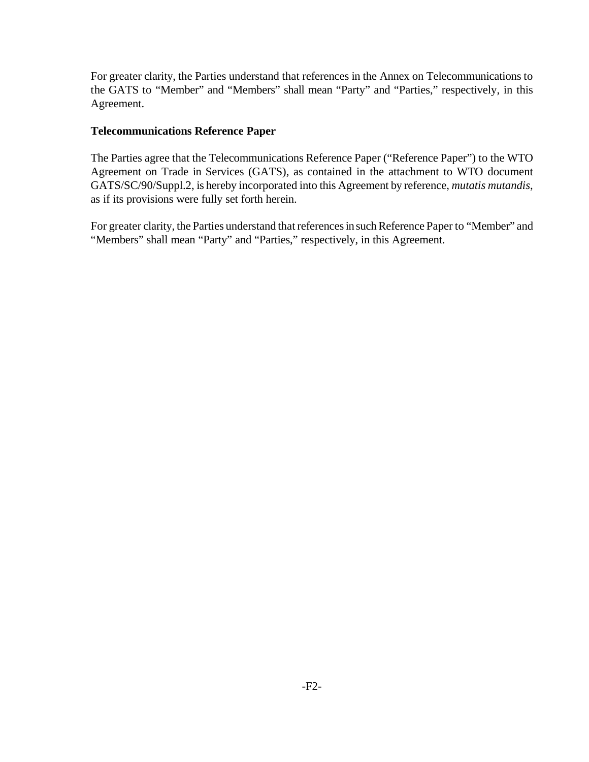For greater clarity, the Parties understand that references in the Annex on Telecommunications to the GATS to "Member" and "Members" shall mean "Party" and "Parties," respectively, in this Agreement.

#### **Telecommunications Reference Paper**

The Parties agree that the Telecommunications Reference Paper ("Reference Paper") to the WTO Agreement on Trade in Services (GATS), as contained in the attachment to WTO document GATS/SC/90/Suppl.2, is hereby incorporated into this Agreement by reference, *mutatis mutandis*, as if its provisions were fully set forth herein.

For greater clarity, the Parties understand that references in such Reference Paper to "Member" and "Members" shall mean "Party" and "Parties," respectively, in this Agreement.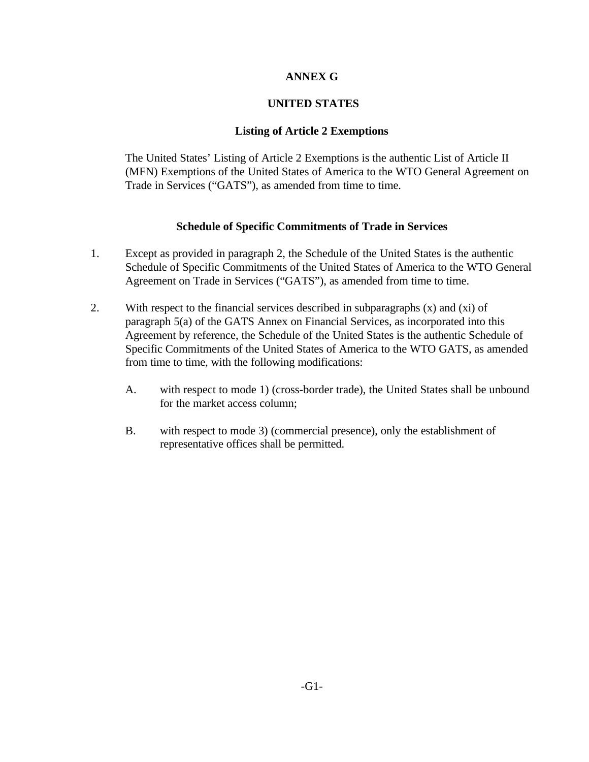## **ANNEX G**

#### **UNITED STATES**

#### **Listing of Article 2 Exemptions**

The United States' Listing of Article 2 Exemptions is the authentic List of Article II (MFN) Exemptions of the United States of America to the WTO General Agreement on Trade in Services ("GATS"), as amended from time to time.

#### **Schedule of Specific Commitments of Trade in Services**

- 1. Except as provided in paragraph 2, the Schedule of the United States is the authentic Schedule of Specific Commitments of the United States of America to the WTO General Agreement on Trade in Services ("GATS"), as amended from time to time.
- 2. With respect to the financial services described in subparagraphs (x) and (xi) of paragraph 5(a) of the GATS Annex on Financial Services, as incorporated into this Agreement by reference, the Schedule of the United States is the authentic Schedule of Specific Commitments of the United States of America to the WTO GATS, as amended from time to time, with the following modifications:
	- A. with respect to mode 1) (cross-border trade), the United States shall be unbound for the market access column;
	- B. with respect to mode 3) (commercial presence), only the establishment of representative offices shall be permitted.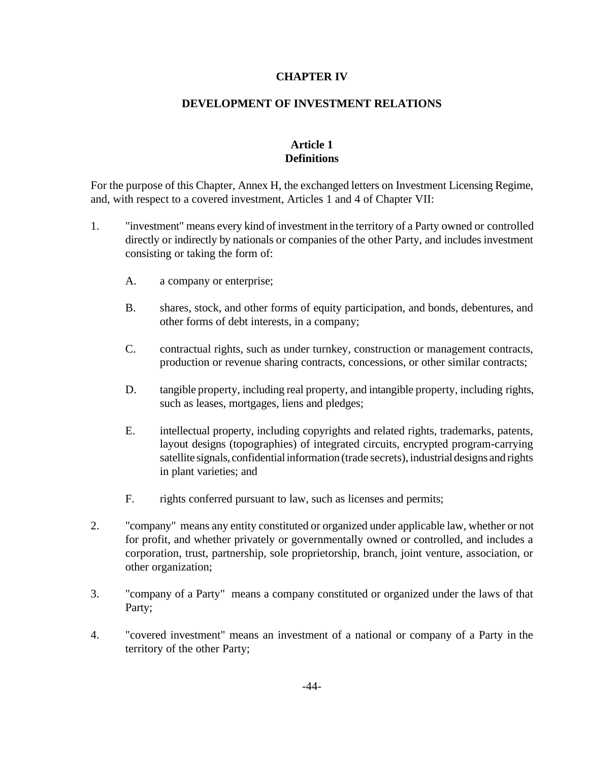#### **CHAPTER IV**

#### **DEVELOPMENT OF INVESTMENT RELATIONS**

#### **Article 1 Definitions**

For the purpose of this Chapter, Annex H, the exchanged letters on Investment Licensing Regime, and, with respect to a covered investment, Articles 1 and 4 of Chapter VII:

- 1. "investment" means every kind of investment in the territory of a Party owned or controlled directly or indirectly by nationals or companies of the other Party, and includes investment consisting or taking the form of:
	- A. a company or enterprise;
	- B. shares, stock, and other forms of equity participation, and bonds, debentures, and other forms of debt interests, in a company;
	- C. contractual rights, such as under turnkey, construction or management contracts, production or revenue sharing contracts, concessions, or other similar contracts;
	- D. tangible property, including real property, and intangible property, including rights, such as leases, mortgages, liens and pledges;
	- E. intellectual property, including copyrights and related rights, trademarks, patents, layout designs (topographies) of integrated circuits, encrypted program-carrying satellite signals, confidential information (trade secrets), industrial designs and rights in plant varieties; and
	- F. rights conferred pursuant to law, such as licenses and permits;
- 2. "company" means any entity constituted or organized under applicable law, whether or not for profit, and whether privately or governmentally owned or controlled, and includes a corporation, trust, partnership, sole proprietorship, branch, joint venture, association, or other organization;
- 3. "company of a Party" means a company constituted or organized under the laws of that Party;
- 4. "covered investment" means an investment of a national or company of a Party in the territory of the other Party;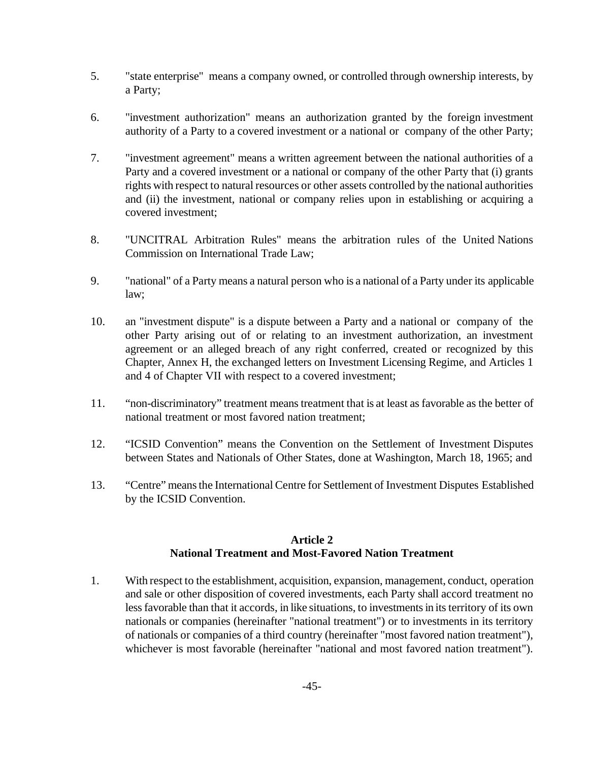- 5. "state enterprise" means a company owned, or controlled through ownership interests, by a Party;
- 6. "investment authorization" means an authorization granted by the foreign investment authority of a Party to a covered investment or a national or company of the other Party;
- 7. "investment agreement" means a written agreement between the national authorities of a Party and a covered investment or a national or company of the other Party that (i) grants rights with respect to natural resources or other assets controlled by the national authorities and (ii) the investment, national or company relies upon in establishing or acquiring a covered investment;
- 8. "UNCITRAL Arbitration Rules" means the arbitration rules of the United Nations Commission on International Trade Law;
- 9. "national" of a Party means a natural person who is a national of a Party under its applicable law;
- 10. an "investment dispute" is a dispute between a Party and a national or company of the other Party arising out of or relating to an investment authorization, an investment agreement or an alleged breach of any right conferred, created or recognized by this Chapter, Annex H, the exchanged letters on Investment Licensing Regime, and Articles 1 and 4 of Chapter VII with respect to a covered investment;
- 11. "non-discriminatory" treatment meanstreatment that is at least asfavorable as the better of national treatment or most favored nation treatment;
- 12. "ICSID Convention" means the Convention on the Settlement of Investment Disputes between States and Nationals of Other States, done at Washington, March 18, 1965; and
- 13. "Centre" meansthe International Centre for Settlement of Investment Disputes Established by the ICSID Convention.

# **Article 2 National Treatment and Most-Favored Nation Treatment**

1. With respect to the establishment, acquisition, expansion, management, conduct, operation and sale or other disposition of covered investments, each Party shall accord treatment no less favorable than that it accords, in like situations, to investments in its territory of its own nationals or companies (hereinafter "national treatment") or to investments in its territory of nationals or companies of a third country (hereinafter "most favored nation treatment"), whichever is most favorable (hereinafter "national and most favored nation treatment").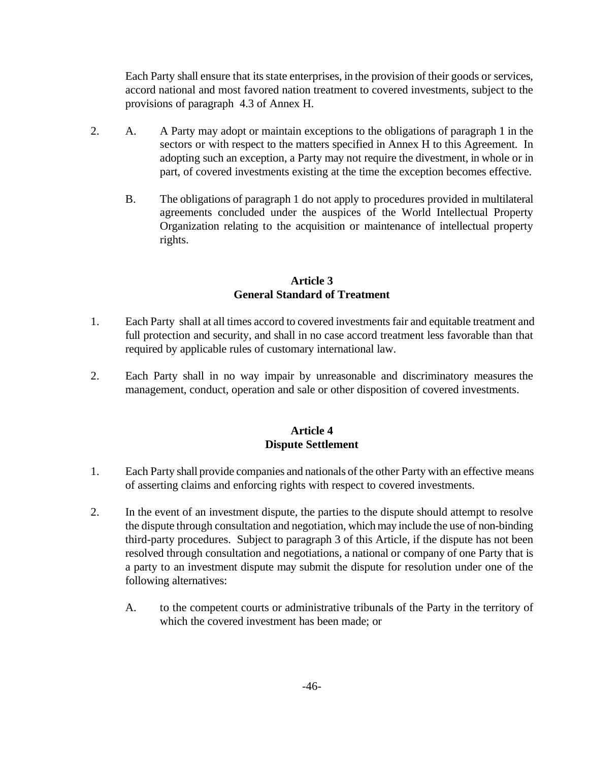Each Party shall ensure that its state enterprises, in the provision of their goods or services, accord national and most favored nation treatment to covered investments, subject to the provisions of paragraph 4.3 of Annex H.

- 2. A. A Party may adopt or maintain exceptions to the obligations of paragraph 1 in the sectors or with respect to the matters specified in Annex H to this Agreement. In adopting such an exception, a Party may not require the divestment, in whole or in part, of covered investments existing at the time the exception becomes effective.
	- B. The obligations of paragraph 1 do not apply to procedures provided in multilateral agreements concluded under the auspices of the World Intellectual Property Organization relating to the acquisition or maintenance of intellectual property rights.

## **Article 3 General Standard of Treatment**

- 1. Each Party shall at all times accord to covered investments fair and equitable treatment and full protection and security, and shall in no case accord treatment less favorable than that required by applicable rules of customary international law.
- 2. Each Party shall in no way impair by unreasonable and discriminatory measures the management, conduct, operation and sale or other disposition of covered investments.

# **Article 4 Dispute Settlement**

- 1. Each Party shall provide companies and nationals of the other Party with an effective means of asserting claims and enforcing rights with respect to covered investments.
- 2. In the event of an investment dispute, the parties to the dispute should attempt to resolve the dispute through consultation and negotiation, which may include the use of non-binding third-party procedures. Subject to paragraph 3 of this Article, if the dispute has not been resolved through consultation and negotiations, a national or company of one Party that is a party to an investment dispute may submit the dispute for resolution under one of the following alternatives:
	- A. to the competent courts or administrative tribunals of the Party in the territory of which the covered investment has been made; or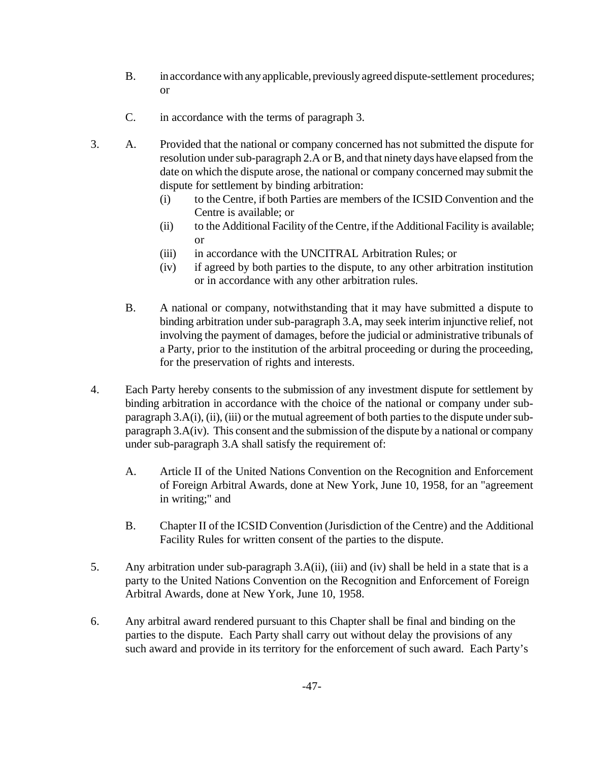- B. inaccordancewith anyapplicable, previously agreed dispute-settlement procedures; or
- C. in accordance with the terms of paragraph 3.
- 3. A. Provided that the national or company concerned has not submitted the dispute for resolution under sub-paragraph 2.A or B, and that ninety days have elapsed from the date on which the dispute arose, the national or company concerned may submit the dispute for settlement by binding arbitration:
	- (i) to the Centre, if both Parties are members of the ICSID Convention and the Centre is available; or
	- (ii) to the Additional Facility of the Centre, if the Additional Facility is available; or
	- (iii) in accordance with the UNCITRAL Arbitration Rules; or
	- (iv) if agreed by both parties to the dispute, to any other arbitration institution or in accordance with any other arbitration rules.
	- B. A national or company, notwithstanding that it may have submitted a dispute to binding arbitration under sub-paragraph 3.A, may seek interim injunctive relief, not involving the payment of damages, before the judicial or administrative tribunals of a Party, prior to the institution of the arbitral proceeding or during the proceeding, for the preservation of rights and interests.
- 4. Each Party hereby consents to the submission of any investment dispute for settlement by binding arbitration in accordance with the choice of the national or company under subparagraph  $3.A(i)$ , (ii), (iii) or the mutual agreement of both parties to the dispute under subparagraph 3.A(iv). This consent and the submission of the dispute by a national or company under sub-paragraph 3.A shall satisfy the requirement of:
	- A. Article II of the United Nations Convention on the Recognition and Enforcement of Foreign Arbitral Awards, done at New York, June 10, 1958, for an "agreement in writing;" and
	- B. Chapter II of the ICSID Convention (Jurisdiction of the Centre) and the Additional Facility Rules for written consent of the parties to the dispute.
- 5. Any arbitration under sub-paragraph 3.A(ii), (iii) and (iv) shall be held in a state that is a party to the United Nations Convention on the Recognition and Enforcement of Foreign Arbitral Awards, done at New York, June 10, 1958.
- 6. Any arbitral award rendered pursuant to this Chapter shall be final and binding on the parties to the dispute. Each Party shall carry out without delay the provisions of any such award and provide in its territory for the enforcement of such award. Each Party's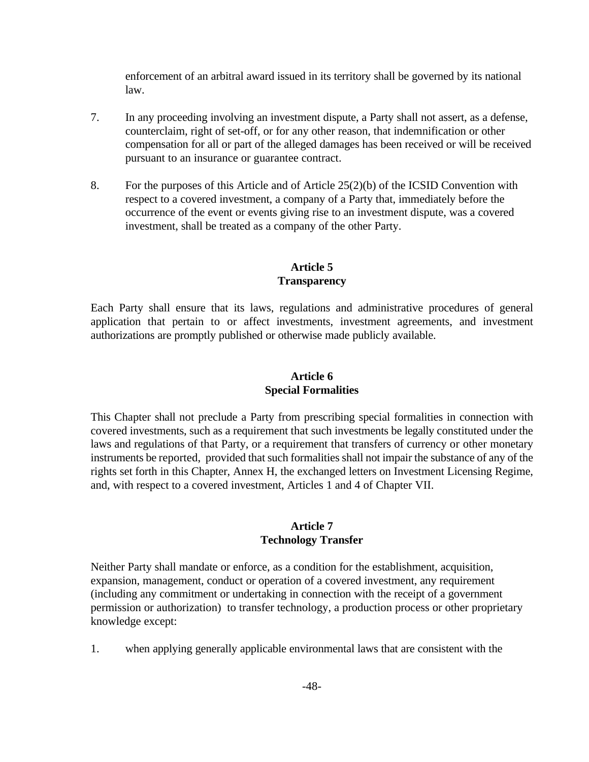enforcement of an arbitral award issued in its territory shall be governed by its national law.

- 7. In any proceeding involving an investment dispute, a Party shall not assert, as a defense, counterclaim, right of set-off, or for any other reason, that indemnification or other compensation for all or part of the alleged damages has been received or will be received pursuant to an insurance or guarantee contract.
- 8. For the purposes of this Article and of Article 25(2)(b) of the ICSID Convention with respect to a covered investment, a company of a Party that, immediately before the occurrence of the event or events giving rise to an investment dispute, was a covered investment, shall be treated as a company of the other Party.

# **Article 5 Transparency**

Each Party shall ensure that its laws, regulations and administrative procedures of general application that pertain to or affect investments, investment agreements, and investment authorizations are promptly published or otherwise made publicly available.

# **Article 6 Special Formalities**

This Chapter shall not preclude a Party from prescribing special formalities in connection with covered investments, such as a requirement that such investments be legally constituted under the laws and regulations of that Party, or a requirement that transfers of currency or other monetary instruments be reported, provided that such formalities shall not impair the substance of any of the rights set forth in this Chapter, Annex H, the exchanged letters on Investment Licensing Regime, and, with respect to a covered investment, Articles 1 and 4 of Chapter VII.

#### **Article 7 Technology Transfer**

Neither Party shall mandate or enforce, as a condition for the establishment, acquisition, expansion, management, conduct or operation of a covered investment, any requirement (including any commitment or undertaking in connection with the receipt of a government permission or authorization) to transfer technology, a production process or other proprietary knowledge except:

1. when applying generally applicable environmental laws that are consistent with the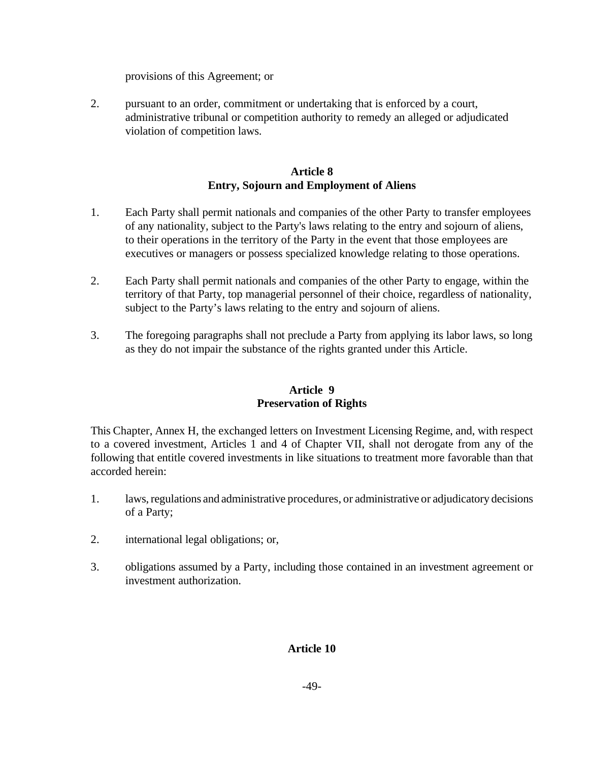provisions of this Agreement; or

2. pursuant to an order, commitment or undertaking that is enforced by a court, administrative tribunal or competition authority to remedy an alleged or adjudicated violation of competition laws.

# **Article 8 Entry, Sojourn and Employment of Aliens**

- 1. Each Party shall permit nationals and companies of the other Party to transfer employees of any nationality, subject to the Party's laws relating to the entry and sojourn of aliens, to their operations in the territory of the Party in the event that those employees are executives or managers or possess specialized knowledge relating to those operations.
- 2. Each Party shall permit nationals and companies of the other Party to engage, within the territory of that Party, top managerial personnel of their choice, regardless of nationality, subject to the Party's laws relating to the entry and sojourn of aliens.
- 3. The foregoing paragraphs shall not preclude a Party from applying its labor laws, so long as they do not impair the substance of the rights granted under this Article.

# **Article 9 Preservation of Rights**

This Chapter, Annex H, the exchanged letters on Investment Licensing Regime, and, with respect to a covered investment, Articles 1 and 4 of Chapter VII, shall not derogate from any of the following that entitle covered investments in like situations to treatment more favorable than that accorded herein:

- 1. laws, regulations and administrative procedures, or administrative or adjudicatory decisions of a Party;
- 2. international legal obligations; or,
- 3. obligations assumed by a Party, including those contained in an investment agreement or investment authorization.

# **Article 10**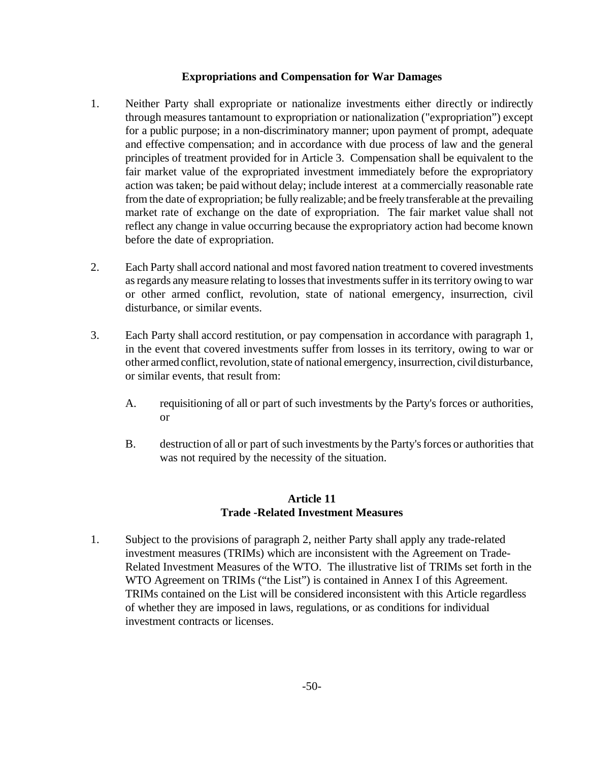#### **Expropriations and Compensation for War Damages**

- 1. Neither Party shall expropriate or nationalize investments either directly or indirectly through measures tantamount to expropriation or nationalization ("expropriation") except for a public purpose; in a non-discriminatory manner; upon payment of prompt, adequate and effective compensation; and in accordance with due process of law and the general principles of treatment provided for in Article 3. Compensation shall be equivalent to the fair market value of the expropriated investment immediately before the expropriatory action was taken; be paid without delay; include interest at a commercially reasonable rate from the date of expropriation; be fully realizable; and be freely transferable at the prevailing market rate of exchange on the date of expropriation. The fair market value shall not reflect any change in value occurring because the expropriatory action had become known before the date of expropriation.
- 2. Each Party shall accord national and most favored nation treatment to covered investments as regards any measure relating to losses that investments suffer in its territory owing to war or other armed conflict, revolution, state of national emergency, insurrection, civil disturbance, or similar events.
- 3. Each Party shall accord restitution, or pay compensation in accordance with paragraph 1, in the event that covered investments suffer from losses in its territory, owing to war or other armed conflict, revolution, state of national emergency, insurrection, civil disturbance, or similar events, that result from:
	- A. requisitioning of all or part of such investments by the Party's forces or authorities, or
	- B. destruction of all or part of such investments by the Party's forces or authorities that was not required by the necessity of the situation.

# **Article 11 Trade -Related Investment Measures**

1. Subject to the provisions of paragraph 2, neither Party shall apply any trade-related investment measures (TRIMs) which are inconsistent with the Agreement on Trade-Related Investment Measures of the WTO. The illustrative list of TRIMs set forth in the WTO Agreement on TRIMs ("the List") is contained in Annex I of this Agreement. TRIMs contained on the List will be considered inconsistent with this Article regardless of whether they are imposed in laws, regulations, or as conditions for individual investment contracts or licenses.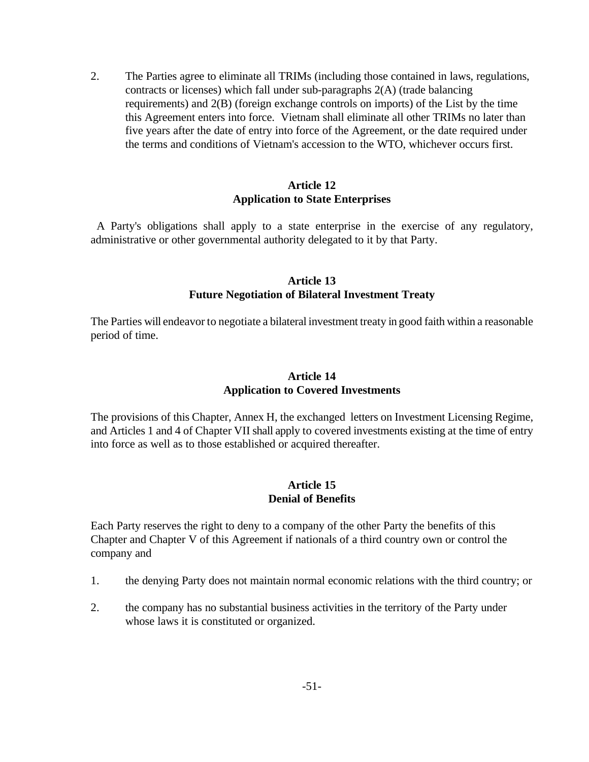2. The Parties agree to eliminate all TRIMs (including those contained in laws, regulations, contracts or licenses) which fall under sub-paragraphs 2(A) (trade balancing requirements) and 2(B) (foreign exchange controls on imports) of the List by the time this Agreement enters into force. Vietnam shall eliminate all other TRIMs no later than five years after the date of entry into force of the Agreement, or the date required under the terms and conditions of Vietnam's accession to the WTO, whichever occurs first.

## **Article 12 Application to State Enterprises**

A Party's obligations shall apply to a state enterprise in the exercise of any regulatory, administrative or other governmental authority delegated to it by that Party.

## **Article 13 Future Negotiation of Bilateral Investment Treaty**

The Parties will endeavor to negotiate a bilateral investment treaty in good faith within a reasonable period of time.

# **Article 14 Application to Covered Investments**

The provisions of this Chapter, Annex H, the exchanged letters on Investment Licensing Regime, and Articles 1 and 4 of Chapter VII shall apply to covered investments existing at the time of entry into force as well as to those established or acquired thereafter.

#### **Article 15 Denial of Benefits**

Each Party reserves the right to deny to a company of the other Party the benefits of this Chapter and Chapter V of this Agreement if nationals of a third country own or control the company and

- 1. the denying Party does not maintain normal economic relations with the third country; or
- 2. the company has no substantial business activities in the territory of the Party under whose laws it is constituted or organized.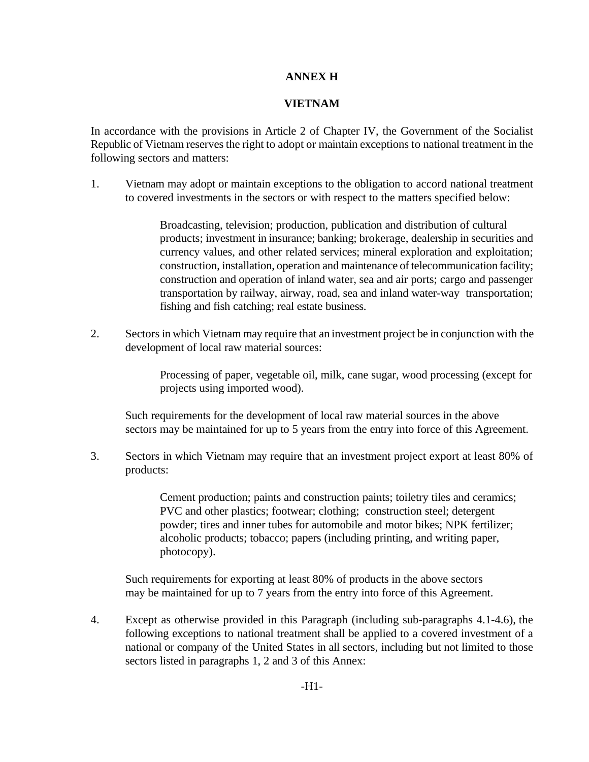## **ANNEX H**

#### **VIETNAM**

In accordance with the provisions in Article 2 of Chapter IV, the Government of the Socialist Republic of Vietnam reserves the right to adopt or maintain exceptions to national treatment in the following sectors and matters:

1. Vietnam may adopt or maintain exceptions to the obligation to accord national treatment to covered investments in the sectors or with respect to the matters specified below:

> Broadcasting, television; production, publication and distribution of cultural products; investment in insurance; banking; brokerage, dealership in securities and currency values, and other related services; mineral exploration and exploitation; construction, installation, operation and maintenance of telecommunication facility; construction and operation of inland water, sea and air ports; cargo and passenger transportation by railway, airway, road, sea and inland water-way transportation; fishing and fish catching; real estate business.

2. Sectors in which Vietnam may require that an investment project be in conjunction with the development of local raw material sources:

> Processing of paper, vegetable oil, milk, cane sugar, wood processing (except for projects using imported wood).

Such requirements for the development of local raw material sources in the above sectors may be maintained for up to 5 years from the entry into force of this Agreement.

3. Sectors in which Vietnam may require that an investment project export at least 80% of products:

> Cement production; paints and construction paints; toiletry tiles and ceramics; PVC and other plastics; footwear; clothing; construction steel; detergent powder; tires and inner tubes for automobile and motor bikes; NPK fertilizer; alcoholic products; tobacco; papers (including printing, and writing paper, photocopy).

Such requirements for exporting at least 80% of products in the above sectors may be maintained for up to 7 years from the entry into force of this Agreement.

4. Except as otherwise provided in this Paragraph (including sub-paragraphs 4.1-4.6), the following exceptions to national treatment shall be applied to a covered investment of a national or company of the United States in all sectors, including but not limited to those sectors listed in paragraphs 1, 2 and 3 of this Annex: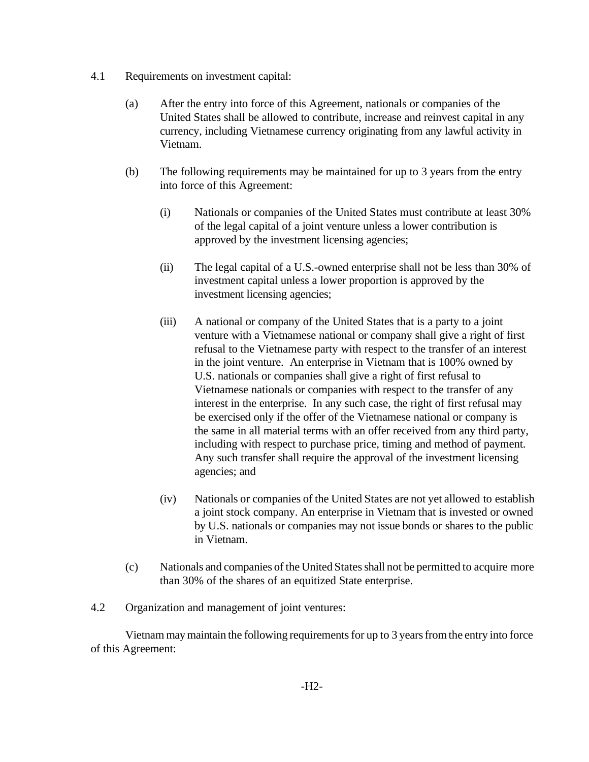- 4.1 Requirements on investment capital:
	- (a) After the entry into force of this Agreement, nationals or companies of the United States shall be allowed to contribute, increase and reinvest capital in any currency, including Vietnamese currency originating from any lawful activity in Vietnam.
	- (b) The following requirements may be maintained for up to 3 years from the entry into force of this Agreement:
		- (i) Nationals or companies of the United States must contribute at least 30% of the legal capital of a joint venture unless a lower contribution is approved by the investment licensing agencies;
		- (ii) The legal capital of a U.S.-owned enterprise shall not be less than 30% of investment capital unless a lower proportion is approved by the investment licensing agencies;
		- (iii) A national or company of the United States that is a party to a joint venture with a Vietnamese national or company shall give a right of first refusal to the Vietnamese party with respect to the transfer of an interest in the joint venture. An enterprise in Vietnam that is 100% owned by U.S. nationals or companies shall give a right of first refusal to Vietnamese nationals or companies with respect to the transfer of any interest in the enterprise. In any such case, the right of first refusal may be exercised only if the offer of the Vietnamese national or company is the same in all material terms with an offer received from any third party, including with respect to purchase price, timing and method of payment. Any such transfer shall require the approval of the investment licensing agencies; and
		- (iv) Nationals or companies of the United States are not yet allowed to establish a joint stock company. An enterprise in Vietnam that is invested or owned by U.S. nationals or companies may not issue bonds or shares to the public in Vietnam.
	- (c) Nationals and companies of the United Statesshall not be permitted to acquire more than 30% of the shares of an equitized State enterprise.
- 4.2 Organization and management of joint ventures:

Vietnam may maintain the following requirements for up to 3 years from the entry into force of this Agreement: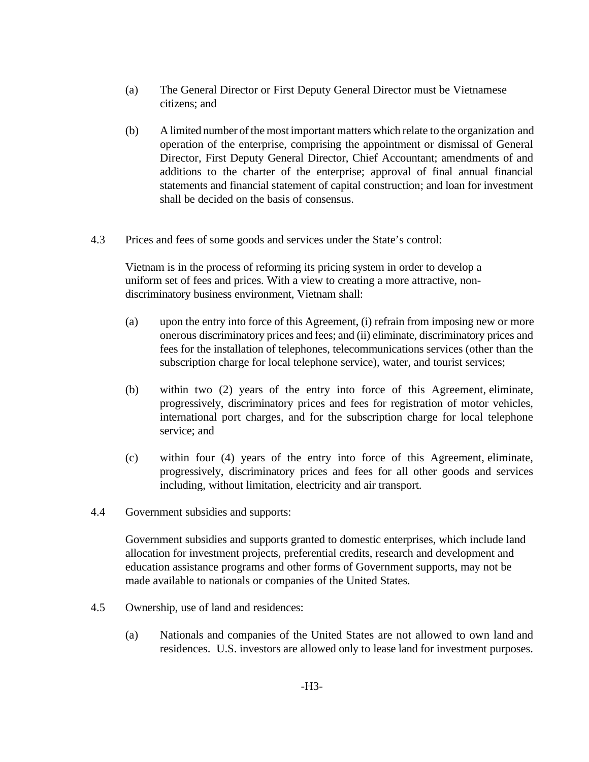- (a) The General Director or First Deputy General Director must be Vietnamese citizens; and
- (b) A limited number ofthe most important matters which relate to the organization and operation of the enterprise, comprising the appointment or dismissal of General Director, First Deputy General Director, Chief Accountant; amendments of and additions to the charter of the enterprise; approval of final annual financial statements and financial statement of capital construction; and loan for investment shall be decided on the basis of consensus.
- 4.3 Prices and fees of some goods and services under the State's control:

Vietnam is in the process of reforming its pricing system in order to develop a uniform set of fees and prices. With a view to creating a more attractive, nondiscriminatory business environment, Vietnam shall:

- (a) upon the entry into force of this Agreement, (i) refrain from imposing new or more onerous discriminatory prices and fees; and (ii) eliminate, discriminatory prices and fees for the installation of telephones, telecommunications services (other than the subscription charge for local telephone service), water, and tourist services;
- (b) within two (2) years of the entry into force of this Agreement, eliminate, progressively, discriminatory prices and fees for registration of motor vehicles, international port charges, and for the subscription charge for local telephone service; and
- (c) within four (4) years of the entry into force of this Agreement, eliminate, progressively, discriminatory prices and fees for all other goods and services including, without limitation, electricity and air transport.
- 4.4 Government subsidies and supports:

Government subsidies and supports granted to domestic enterprises, which include land allocation for investment projects, preferential credits, research and development and education assistance programs and other forms of Government supports, may not be made available to nationals or companies of the United States.

- 4.5 Ownership, use of land and residences:
	- (a) Nationals and companies of the United States are not allowed to own land and residences. U.S. investors are allowed only to lease land for investment purposes.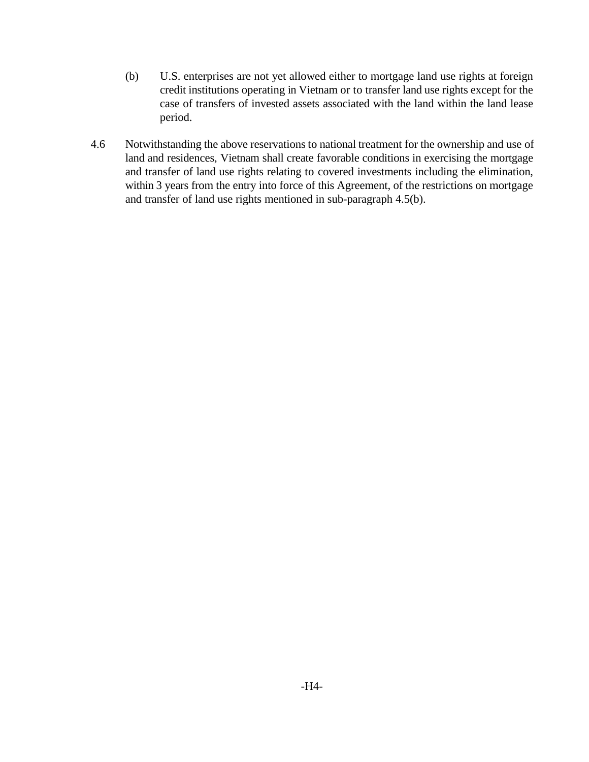- (b) U.S. enterprises are not yet allowed either to mortgage land use rights at foreign credit institutions operating in Vietnam or to transfer land use rights except for the case of transfers of invested assets associated with the land within the land lease period.
- 4.6 Notwithstanding the above reservations to national treatment for the ownership and use of land and residences, Vietnam shall create favorable conditions in exercising the mortgage and transfer of land use rights relating to covered investments including the elimination, within 3 years from the entry into force of this Agreement, of the restrictions on mortgage and transfer of land use rights mentioned in sub-paragraph 4.5(b).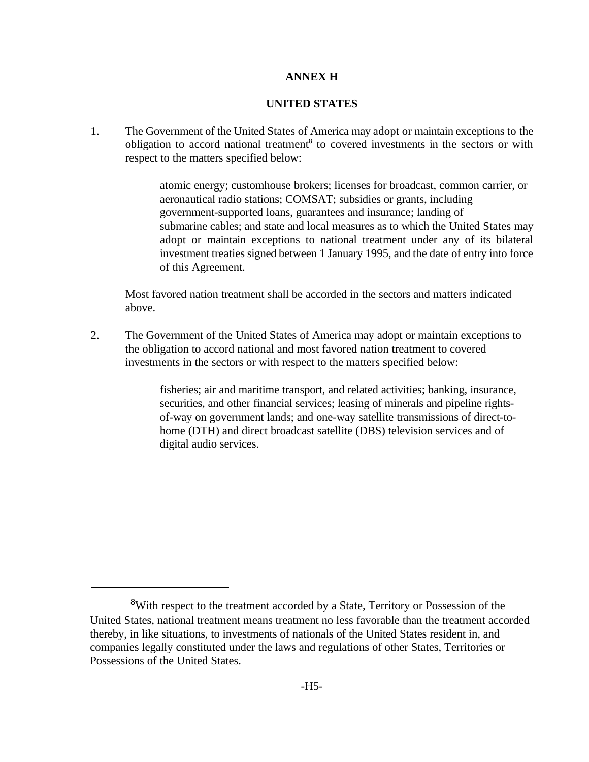### **ANNEX H**

### **UNITED STATES**

1. The Government of the United States of America may adopt or maintain exceptions to the obligation to accord national treatment<sup>8</sup> to covered investments in the sectors or with respect to the matters specified below:

> atomic energy; customhouse brokers; licenses for broadcast, common carrier, or aeronautical radio stations; COMSAT; subsidies or grants, including government-supported loans, guarantees and insurance; landing of submarine cables; and state and local measures as to which the United States may adopt or maintain exceptions to national treatment under any of its bilateral investment treaties signed between 1 January 1995, and the date of entry into force of this Agreement.

Most favored nation treatment shall be accorded in the sectors and matters indicated above.

2. The Government of the United States of America may adopt or maintain exceptions to the obligation to accord national and most favored nation treatment to covered investments in the sectors or with respect to the matters specified below:

> fisheries; air and maritime transport, and related activities; banking, insurance, securities, and other financial services; leasing of minerals and pipeline rightsof-way on government lands; and one-way satellite transmissions of direct-tohome (DTH) and direct broadcast satellite (DBS) television services and of digital audio services.

<sup>&</sup>lt;sup>8</sup>With respect to the treatment accorded by a State, Territory or Possession of the United States, national treatment means treatment no less favorable than the treatment accorded thereby, in like situations, to investments of nationals of the United States resident in, and companies legally constituted under the laws and regulations of other States, Territories or Possessions of the United States.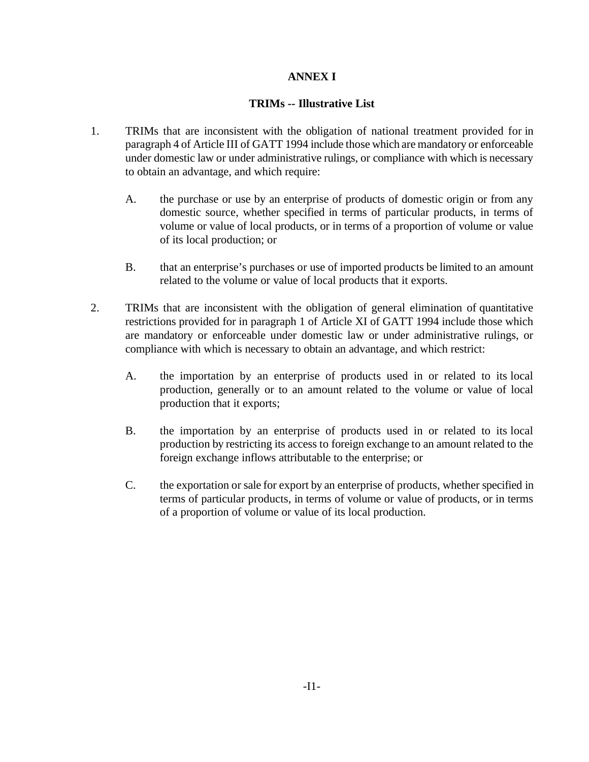# **ANNEX I**

# **TRIMs -- Illustrative List**

- 1. TRIMs that are inconsistent with the obligation of national treatment provided for in paragraph 4 of Article III of GATT 1994 include those which are mandatory or enforceable under domestic law or under administrative rulings, or compliance with which is necessary to obtain an advantage, and which require:
	- A. the purchase or use by an enterprise of products of domestic origin or from any domestic source, whether specified in terms of particular products, in terms of volume or value of local products, or in terms of a proportion of volume or value of its local production; or
	- B. that an enterprise's purchases or use of imported products be limited to an amount related to the volume or value of local products that it exports.
- 2. TRIMs that are inconsistent with the obligation of general elimination of quantitative restrictions provided for in paragraph 1 of Article XI of GATT 1994 include those which are mandatory or enforceable under domestic law or under administrative rulings, or compliance with which is necessary to obtain an advantage, and which restrict:
	- A. the importation by an enterprise of products used in or related to its local production, generally or to an amount related to the volume or value of local production that it exports;
	- B. the importation by an enterprise of products used in or related to its local production by restricting its access to foreign exchange to an amount related to the foreign exchange inflows attributable to the enterprise; or
	- C. the exportation or sale for export by an enterprise of products, whether specified in terms of particular products, in terms of volume or value of products, or in terms of a proportion of volume or value of its local production.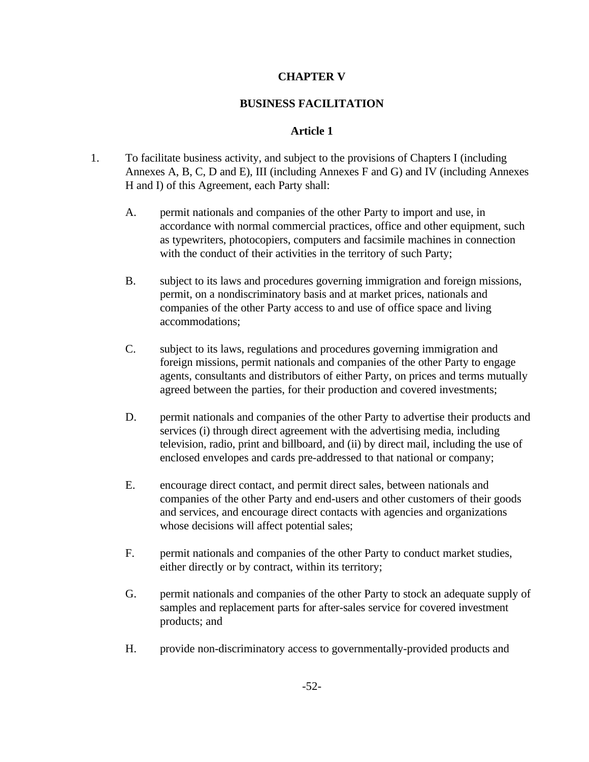# **CHAPTER V**

# **BUSINESS FACILITATION**

### **Article 1**

- 1. To facilitate business activity, and subject to the provisions of Chapters I (including Annexes A, B, C, D and E), III (including Annexes F and G) and IV (including Annexes H and I) of this Agreement, each Party shall:
	- A. permit nationals and companies of the other Party to import and use, in accordance with normal commercial practices, office and other equipment, such as typewriters, photocopiers, computers and facsimile machines in connection with the conduct of their activities in the territory of such Party;
	- B. subject to its laws and procedures governing immigration and foreign missions, permit, on a nondiscriminatory basis and at market prices, nationals and companies of the other Party access to and use of office space and living accommodations;
	- C. subject to its laws, regulations and procedures governing immigration and foreign missions, permit nationals and companies of the other Party to engage agents, consultants and distributors of either Party, on prices and terms mutually agreed between the parties, for their production and covered investments;
	- D. permit nationals and companies of the other Party to advertise their products and services (i) through direct agreement with the advertising media, including television, radio, print and billboard, and (ii) by direct mail, including the use of enclosed envelopes and cards pre-addressed to that national or company;
	- E. encourage direct contact, and permit direct sales, between nationals and companies of the other Party and end-users and other customers of their goods and services, and encourage direct contacts with agencies and organizations whose decisions will affect potential sales;
	- F. permit nationals and companies of the other Party to conduct market studies, either directly or by contract, within its territory;
	- G. permit nationals and companies of the other Party to stock an adequate supply of samples and replacement parts for after-sales service for covered investment products; and
	- H. provide non-discriminatory access to governmentally-provided products and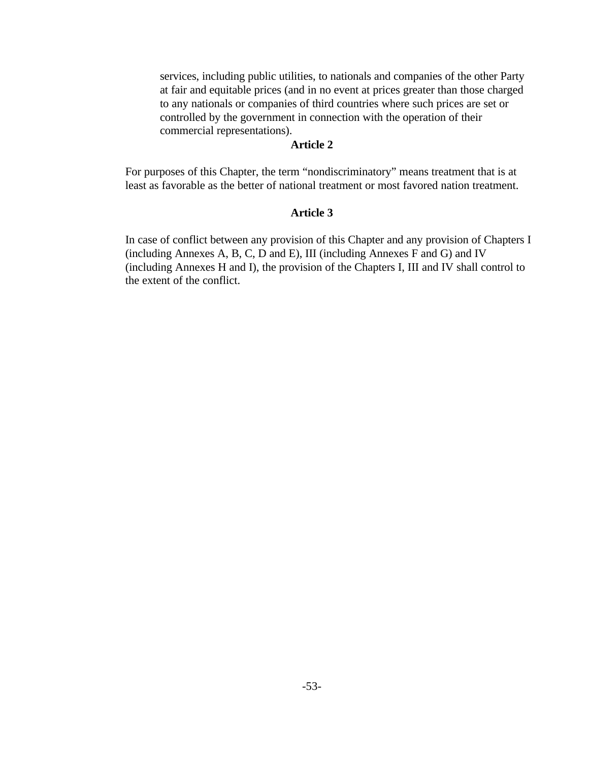services, including public utilities, to nationals and companies of the other Party at fair and equitable prices (and in no event at prices greater than those charged to any nationals or companies of third countries where such prices are set or controlled by the government in connection with the operation of their commercial representations).

# **Article 2**

For purposes of this Chapter, the term "nondiscriminatory" means treatment that is at least as favorable as the better of national treatment or most favored nation treatment.

### **Article 3**

In case of conflict between any provision of this Chapter and any provision of Chapters I (including Annexes A, B, C, D and E), III (including Annexes F and G) and IV (including Annexes H and I), the provision of the Chapters I, III and IV shall control to the extent of the conflict.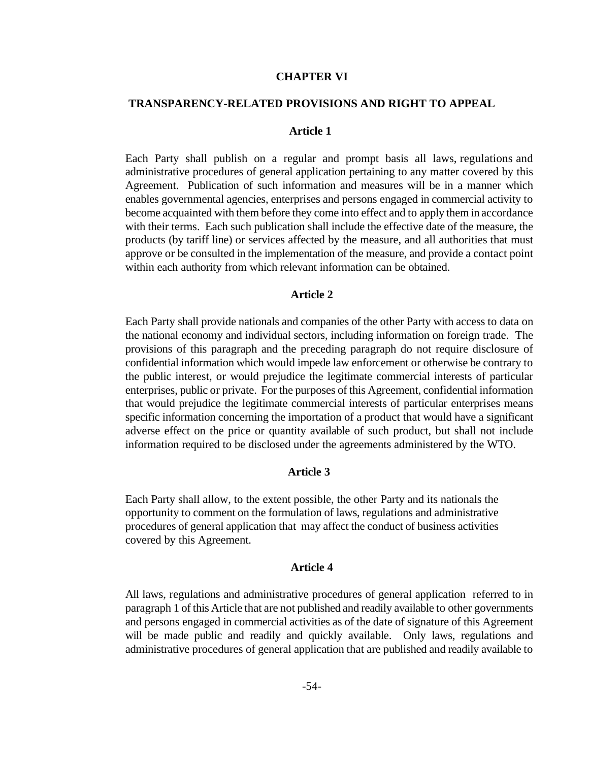### **CHAPTER VI**

### **TRANSPARENCY-RELATED PROVISIONS AND RIGHT TO APPEAL**

#### **Article 1**

 Each Party shall publish on a regular and prompt basis all laws, regulations and administrative procedures of general application pertaining to any matter covered by this Agreement. Publication of such information and measures will be in a manner which enables governmental agencies, enterprises and persons engaged in commercial activity to become acquainted with them before they come into effect and to apply them in accordance with their terms. Each such publication shall include the effective date of the measure, the products (by tariff line) or services affected by the measure, and all authorities that must approve or be consulted in the implementation of the measure, and provide a contact point within each authority from which relevant information can be obtained.

#### **Article 2**

Each Party shall provide nationals and companies of the other Party with access to data on the national economy and individual sectors, including information on foreign trade. The provisions of this paragraph and the preceding paragraph do not require disclosure of confidential information which would impede law enforcement or otherwise be contrary to the public interest, or would prejudice the legitimate commercial interests of particular enterprises, public or private. For the purposes of this Agreement, confidential information that would prejudice the legitimate commercial interests of particular enterprises means specific information concerning the importation of a product that would have a significant adverse effect on the price or quantity available of such product, but shall not include information required to be disclosed under the agreements administered by the WTO.

### **Article 3**

Each Party shall allow, to the extent possible, the other Party and its nationals the opportunity to comment on the formulation of laws, regulations and administrative procedures of general application that may affect the conduct of business activities covered by this Agreement.

#### **Article 4**

All laws, regulations and administrative procedures of general application referred to in paragraph 1 of this Article that are not published and readily available to other governments and persons engaged in commercial activities as of the date of signature of this Agreement will be made public and readily and quickly available. Only laws, regulations and administrative procedures of general application that are published and readily available to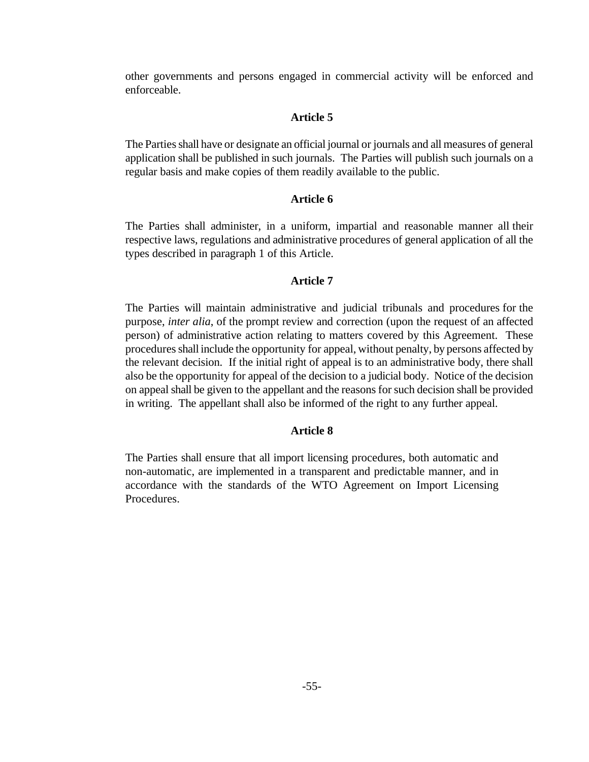other governments and persons engaged in commercial activity will be enforced and enforceable.

#### **Article 5**

The Parties shall have or designate an official journal or journals and all measures of general application shall be published in such journals. The Parties will publish such journals on a regular basis and make copies of them readily available to the public.

### **Article 6**

The Parties shall administer, in a uniform, impartial and reasonable manner all their respective laws, regulations and administrative procedures of general application of all the types described in paragraph 1 of this Article.

### **Article 7**

 The Parties will maintain administrative and judicial tribunals and procedures for the purpose, *inter alia*, of the prompt review and correction (upon the request of an affected person) of administrative action relating to matters covered by this Agreement. These procedures shall include the opportunity for appeal, without penalty, by persons affected by the relevant decision. If the initial right of appeal is to an administrative body, there shall also be the opportunity for appeal of the decision to a judicial body. Notice of the decision on appealshall be given to the appellant and the reasons for such decision shall be provided in writing. The appellant shall also be informed of the right to any further appeal.

### **Article 8**

The Parties shall ensure that all import licensing procedures, both automatic and non-automatic, are implemented in a transparent and predictable manner, and in accordance with the standards of the WTO Agreement on Import Licensing Procedures.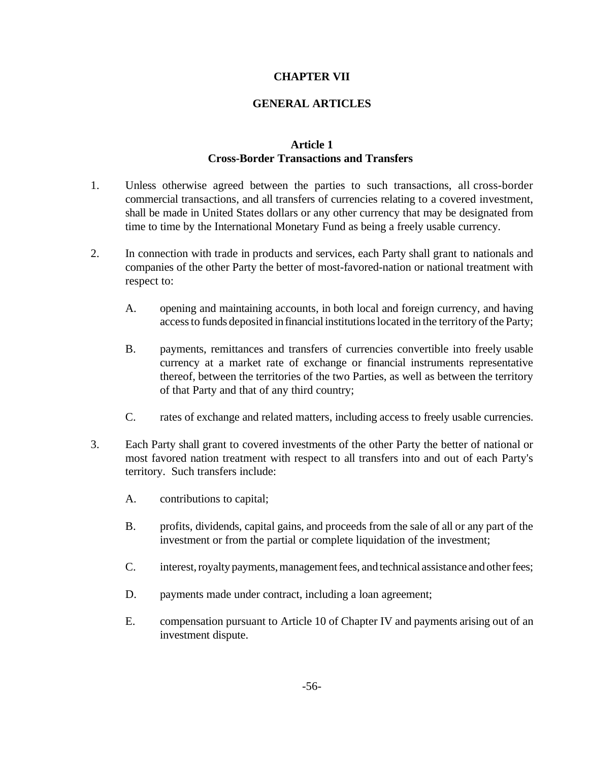## **CHAPTER VII**

# **GENERAL ARTICLES**

## **Article 1 Cross-Border Transactions and Transfers**

- 1. Unless otherwise agreed between the parties to such transactions, all cross-border commercial transactions, and all transfers of currencies relating to a covered investment, shall be made in United States dollars or any other currency that may be designated from time to time by the International Monetary Fund as being a freely usable currency.
- 2. In connection with trade in products and services, each Party shall grant to nationals and companies of the other Party the better of most-favored-nation or national treatment with respect to:
	- A. opening and maintaining accounts, in both local and foreign currency, and having access to funds deposited in financial institutions located in the territory of the Party;
	- B. payments, remittances and transfers of currencies convertible into freely usable currency at a market rate of exchange or financial instruments representative thereof, between the territories of the two Parties, as well as between the territory of that Party and that of any third country;
	- C. rates of exchange and related matters, including access to freely usable currencies.
- 3. Each Party shall grant to covered investments of the other Party the better of national or most favored nation treatment with respect to all transfers into and out of each Party's territory. Such transfers include:
	- A. contributions to capital;
	- B. profits, dividends, capital gains, and proceeds from the sale of all or any part of the investment or from the partial or complete liquidation of the investment;
	- C. interest, royalty payments, management fees, and technical assistance and other fees;
	- D. payments made under contract, including a loan agreement;
	- E. compensation pursuant to Article 10 of Chapter IV and payments arising out of an investment dispute.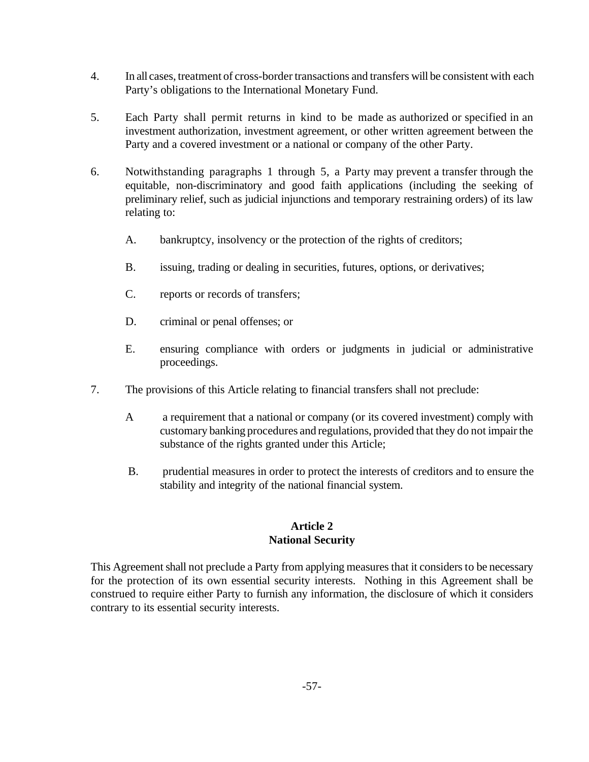- 4. In all cases, treatment of cross-border transactions and transfers will be consistent with each Party's obligations to the International Monetary Fund.
- 5. Each Party shall permit returns in kind to be made as authorized or specified in an investment authorization, investment agreement, or other written agreement between the Party and a covered investment or a national or company of the other Party.
- 6. Notwithstanding paragraphs 1 through 5, a Party may prevent a transfer through the equitable, non-discriminatory and good faith applications (including the seeking of preliminary relief, such as judicial injunctions and temporary restraining orders) of its law relating to:
	- A. bankruptcy, insolvency or the protection of the rights of creditors;
	- B. issuing, trading or dealing in securities, futures, options, or derivatives;
	- C. reports or records of transfers;
	- D. criminal or penal offenses; or
	- E. ensuring compliance with orders or judgments in judicial or administrative proceedings.
- 7. The provisions of this Article relating to financial transfers shall not preclude:
	- A a requirement that a national or company (or its covered investment) comply with customary banking procedures and regulations, provided that they do not impairthe substance of the rights granted under this Article;
	- B. prudential measures in order to protect the interests of creditors and to ensure the stability and integrity of the national financial system.

### **Article 2 National Security**

This Agreement shall not preclude a Party from applying measures that it considers to be necessary for the protection of its own essential security interests. Nothing in this Agreement shall be construed to require either Party to furnish any information, the disclosure of which it considers contrary to its essential security interests.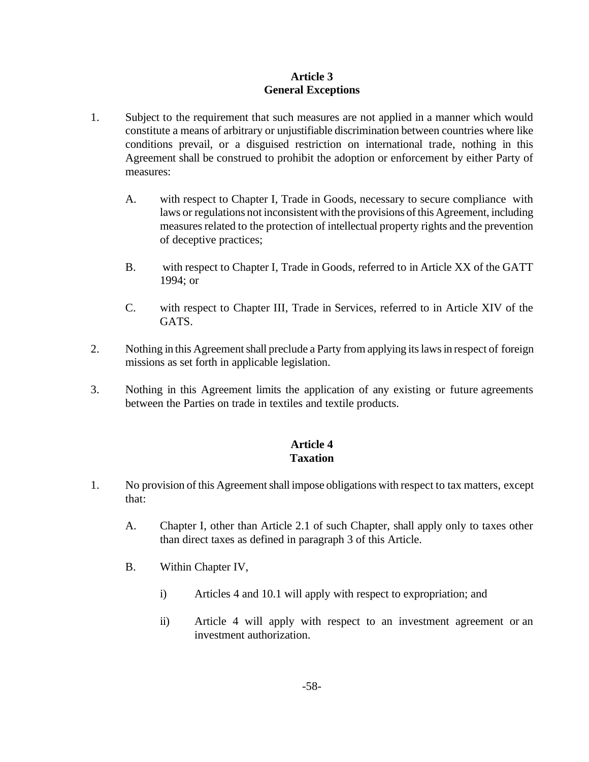# **Article 3 General Exceptions**

- 1. Subject to the requirement that such measures are not applied in a manner which would constitute a means of arbitrary or unjustifiable discrimination between countries where like conditions prevail, or a disguised restriction on international trade, nothing in this Agreement shall be construed to prohibit the adoption or enforcement by either Party of measures:
	- A. with respect to Chapter I, Trade in Goods, necessary to secure compliance with laws or regulations not inconsistent with the provisions ofthis Agreement, including measures related to the protection of intellectual property rights and the prevention of deceptive practices;
	- B. with respect to Chapter I, Trade in Goods, referred to in Article XX of the GATT 1994; or
	- C. with respect to Chapter III, Trade in Services, referred to in Article XIV of the GATS.
- 2. Nothing in this Agreement shall preclude a Party from applying its laws in respect of foreign missions as set forth in applicable legislation.
- 3. Nothing in this Agreement limits the application of any existing or future agreements between the Parties on trade in textiles and textile products.

# **Article 4 Taxation**

- 1. No provision of this Agreementshall impose obligations with respect to tax matters, except that:
	- A. Chapter I, other than Article 2.1 of such Chapter, shall apply only to taxes other than direct taxes as defined in paragraph 3 of this Article.
	- B. Within Chapter IV,
		- i) Articles 4 and 10.1 will apply with respect to expropriation; and
		- ii) Article 4 will apply with respect to an investment agreement or an investment authorization.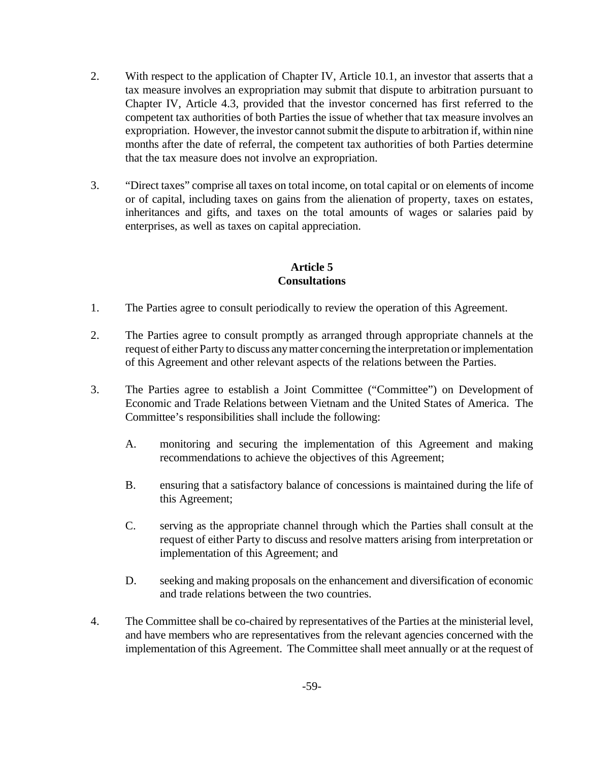- 2. With respect to the application of Chapter IV, Article 10.1, an investor that asserts that a tax measure involves an expropriation may submit that dispute to arbitration pursuant to Chapter IV, Article 4.3, provided that the investor concerned has first referred to the competent tax authorities of both Parties the issue of whether that tax measure involves an expropriation. However, the investor cannot submit the dispute to arbitration if, within nine months after the date of referral, the competent tax authorities of both Parties determine that the tax measure does not involve an expropriation.
- 3. "Direct taxes" comprise all taxes on total income, on total capital or on elements of income or of capital, including taxes on gains from the alienation of property, taxes on estates, inheritances and gifts, and taxes on the total amounts of wages or salaries paid by enterprises, as well as taxes on capital appreciation.

# **Article 5 Consultations**

- 1. The Parties agree to consult periodically to review the operation of this Agreement.
- 2. The Parties agree to consult promptly as arranged through appropriate channels at the request of either Party to discuss anymatter concerning the interpretation orimplementation of this Agreement and other relevant aspects of the relations between the Parties.
- 3. The Parties agree to establish a Joint Committee ("Committee") on Development of Economic and Trade Relations between Vietnam and the United States of America. The Committee's responsibilities shall include the following:
	- A. monitoring and securing the implementation of this Agreement and making recommendations to achieve the objectives of this Agreement;
	- B. ensuring that a satisfactory balance of concessions is maintained during the life of this Agreement;
	- C. serving as the appropriate channel through which the Parties shall consult at the request of either Party to discuss and resolve matters arising from interpretation or implementation of this Agreement; and
	- D. seeking and making proposals on the enhancement and diversification of economic and trade relations between the two countries.
- 4. The Committee shall be co-chaired by representatives of the Parties at the ministerial level, and have members who are representatives from the relevant agencies concerned with the implementation of this Agreement. The Committee shall meet annually or at the request of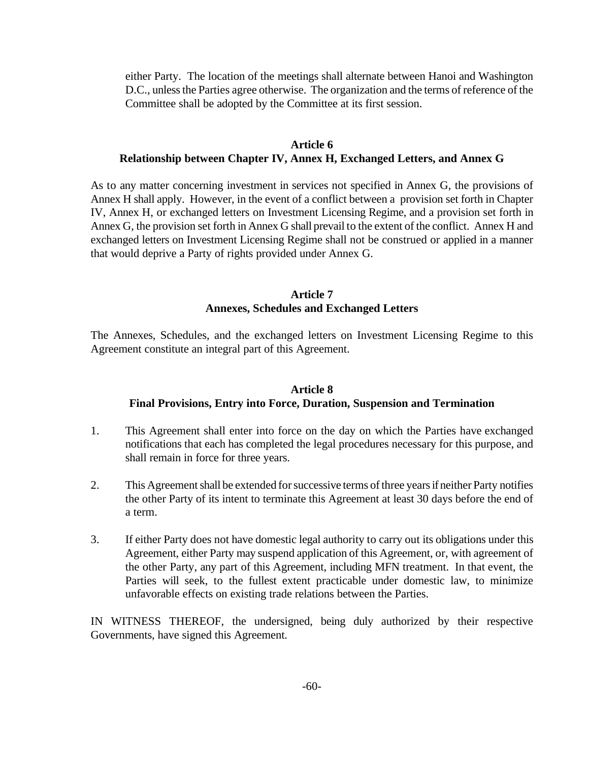either Party. The location of the meetings shall alternate between Hanoi and Washington D.C., unless the Parties agree otherwise. The organization and the terms of reference of the Committee shall be adopted by the Committee at its first session.

# **Article 6 Relationship between Chapter IV, Annex H, Exchanged Letters, and Annex G**

As to any matter concerning investment in services not specified in Annex G, the provisions of Annex H shall apply. However, in the event of a conflict between a provision set forth in Chapter IV, Annex H, or exchanged letters on Investment Licensing Regime, and a provision set forth in Annex G, the provision set forth in Annex G shall prevail to the extent of the conflict. Annex H and exchanged letters on Investment Licensing Regime shall not be construed or applied in a manner that would deprive a Party of rights provided under Annex G.

### **Article 7 Annexes, Schedules and Exchanged Letters**

The Annexes, Schedules, and the exchanged letters on Investment Licensing Regime to this Agreement constitute an integral part of this Agreement.

# **Article 8 Final Provisions, Entry into Force, Duration, Suspension and Termination**

- 1. This Agreement shall enter into force on the day on which the Parties have exchanged notifications that each has completed the legal procedures necessary for this purpose, and shall remain in force for three years.
- 2. This Agreement shall be extended for successive terms of three years if neither Party notifies the other Party of its intent to terminate this Agreement at least 30 days before the end of a term.
- 3. If either Party does not have domestic legal authority to carry out its obligations under this Agreement, either Party may suspend application of this Agreement, or, with agreement of the other Party, any part of this Agreement, including MFN treatment. In that event, the Parties will seek, to the fullest extent practicable under domestic law, to minimize unfavorable effects on existing trade relations between the Parties.

IN WITNESS THEREOF, the undersigned, being duly authorized by their respective Governments, have signed this Agreement.